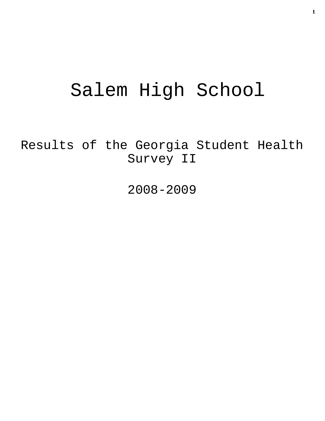# Salem High School

Results of the Georgia Student Health Survey II

2008-2009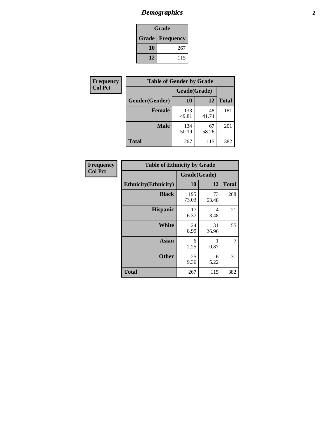## *Demographics* **2**

| Grade                    |     |  |  |  |
|--------------------------|-----|--|--|--|
| <b>Grade   Frequency</b> |     |  |  |  |
| 10                       | 267 |  |  |  |
| 12                       | 115 |  |  |  |

| <b>Frequency</b> | <b>Table of Gender by Grade</b> |              |             |              |  |  |
|------------------|---------------------------------|--------------|-------------|--------------|--|--|
| <b>Col Pct</b>   |                                 | Grade(Grade) |             |              |  |  |
|                  | Gender(Gender)                  | 10           | 12          | <b>Total</b> |  |  |
|                  | <b>Female</b>                   | 133<br>49.81 | 48<br>41.74 | 181          |  |  |
|                  | <b>Male</b>                     | 134<br>50.19 | 67<br>58.26 | 201          |  |  |
|                  | <b>Total</b>                    | 267          | 115         | 382          |  |  |

| <b>Frequency</b><br>Col Pct |
|-----------------------------|

| <b>Table of Ethnicity by Grade</b> |              |             |              |  |  |  |  |
|------------------------------------|--------------|-------------|--------------|--|--|--|--|
|                                    | Grade(Grade) |             |              |  |  |  |  |
| <b>Ethnicity</b> (Ethnicity)       | 10           | 12          | <b>Total</b> |  |  |  |  |
| <b>Black</b>                       | 195<br>73.03 | 73<br>63.48 | 268          |  |  |  |  |
| <b>Hispanic</b>                    | 17<br>6.37   | 4<br>3.48   | 21           |  |  |  |  |
| White                              | 24<br>8.99   | 31<br>26.96 | 55           |  |  |  |  |
| <b>Asian</b>                       | 6<br>2.25    | 0.87        | 7            |  |  |  |  |
| <b>Other</b>                       | 25<br>9.36   | 6<br>5.22   | 31           |  |  |  |  |
| <b>Total</b>                       | 267          | 115         | 382          |  |  |  |  |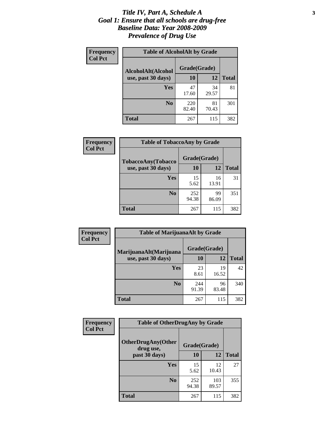#### *Title IV, Part A, Schedule A* **3** *Goal 1: Ensure that all schools are drug-free Baseline Data: Year 2008-2009 Prevalence of Drug Use*

| Frequency<br><b>Col Pct</b> | <b>Table of AlcoholAlt by Grade</b> |              |             |              |  |  |
|-----------------------------|-------------------------------------|--------------|-------------|--------------|--|--|
|                             | AlcoholAlt(Alcohol                  | Grade(Grade) |             |              |  |  |
|                             | use, past 30 days)                  | 10           | 12          | <b>Total</b> |  |  |
|                             | Yes                                 | 47<br>17.60  | 34<br>29.57 | 81           |  |  |
|                             | N <sub>0</sub>                      | 220<br>82.40 | 81<br>70.43 | 301          |  |  |
|                             | <b>Total</b>                        | 267          | 115         | 382          |  |  |

| <b>Frequency</b> | <b>Table of TobaccoAny by Grade</b> |              |             |              |  |
|------------------|-------------------------------------|--------------|-------------|--------------|--|
| <b>Col Pct</b>   | TobaccoAny(Tobacco                  | Grade(Grade) |             |              |  |
|                  | use, past 30 days)                  | 10           | 12          | <b>Total</b> |  |
|                  | Yes                                 | 15<br>5.62   | 16<br>13.91 | 31           |  |
|                  | N <sub>0</sub>                      | 252<br>94.38 | 99<br>86.09 | 351          |  |
|                  | <b>Total</b>                        | 267          | 115         | 382          |  |

| Frequency<br><b>Col Pct</b> | <b>Table of MarijuanaAlt by Grade</b> |              |             |              |  |
|-----------------------------|---------------------------------------|--------------|-------------|--------------|--|
|                             | MarijuanaAlt(Marijuana                | Grade(Grade) |             |              |  |
|                             | use, past 30 days)                    | 10           | 12          | <b>Total</b> |  |
|                             | Yes                                   | 23<br>8.61   | 19<br>16.52 | 42           |  |
|                             | N <sub>0</sub>                        | 244<br>91.39 | 96<br>83.48 | 340          |  |
|                             | <b>Total</b>                          | 267          | 115         | 382          |  |

| Frequency      | <b>Table of OtherDrugAny by Grade</b>  |              |              |              |  |  |
|----------------|----------------------------------------|--------------|--------------|--------------|--|--|
| <b>Col Pct</b> | <b>OtherDrugAny(Other</b><br>drug use, | Grade(Grade) |              |              |  |  |
|                | past 30 days)                          | 10           | 12           | <b>Total</b> |  |  |
|                | Yes                                    | 15<br>5.62   | 12<br>10.43  | 27           |  |  |
|                | N <sub>0</sub>                         | 252<br>94.38 | 103<br>89.57 | 355          |  |  |
|                | <b>Total</b>                           | 267          | 115          | 382          |  |  |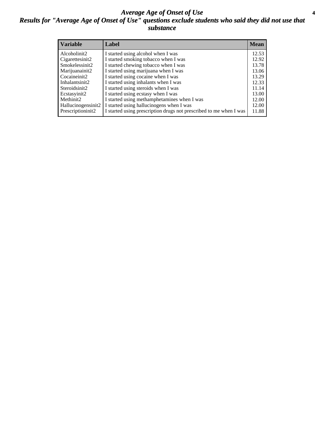#### *Average Age of Onset of Use* **4** *Results for "Average Age of Onset of Use" questions exclude students who said they did not use that substance*

| <b>Variable</b>     | Label                                                              | <b>Mean</b> |
|---------------------|--------------------------------------------------------------------|-------------|
| Alcoholinit2        | I started using alcohol when I was                                 | 12.53       |
| Cigarettesinit2     | I started smoking tobacco when I was                               | 12.92       |
| Smokelessinit2      | I started chewing tobacco when I was                               | 13.78       |
| Marijuanainit2      | I started using marijuana when I was                               | 13.06       |
| Cocaineinit2        | I started using cocaine when I was                                 | 13.29       |
| Inhalantsinit2      | I started using inhalants when I was                               | 12.33       |
| Steroidsinit2       | I started using steroids when I was                                | 11.14       |
| Ecstasyinit2        | I started using ecstasy when I was                                 | 13.00       |
| Methinit2           | I started using methamphetamines when I was                        | 12.00       |
| Hallucinogensinit2  | I started using hallucinogens when I was                           | 12.00       |
| Prescription in it2 | I started using prescription drugs not prescribed to me when I was | 11.88       |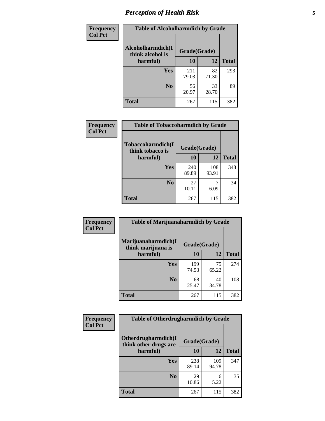### *Perception of Health Risk* **5**

| Frequency      | <b>Table of Alcoholharmdich by Grade</b> |              |             |              |  |
|----------------|------------------------------------------|--------------|-------------|--------------|--|
| <b>Col Pct</b> | Alcoholharmdich(I<br>think alcohol is    | Grade(Grade) |             |              |  |
|                | harmful)                                 | 10           | 12          | <b>Total</b> |  |
|                | Yes                                      | 211<br>79.03 | 82<br>71.30 | 293          |  |
|                | N <sub>0</sub>                           | 56<br>20.97  | 33<br>28.70 | 89           |  |
|                | <b>Total</b>                             | 267          | 115         | 382          |  |

| Frequency      | <b>Table of Tobaccoharmdich by Grade</b> |              |              |              |  |
|----------------|------------------------------------------|--------------|--------------|--------------|--|
| <b>Col Pct</b> | Tobaccoharmdich(I<br>think tobacco is    | Grade(Grade) |              |              |  |
|                | harmful)                                 | 10           | 12           | <b>Total</b> |  |
|                | Yes                                      | 240<br>89.89 | 108<br>93.91 | 348          |  |
|                | N <sub>0</sub>                           | 27<br>10.11  | 7<br>6.09    | 34           |  |
|                | <b>Total</b>                             | 267          | 115          | 382          |  |

| <b>Frequency</b> | <b>Table of Marijuanaharmdich by Grade</b> |              |             |              |  |  |
|------------------|--------------------------------------------|--------------|-------------|--------------|--|--|
| <b>Col Pct</b>   | Marijuanaharmdich(I<br>think marijuana is  | Grade(Grade) |             |              |  |  |
|                  | harmful)                                   | 10           | 12          | <b>Total</b> |  |  |
|                  | Yes                                        | 199<br>74.53 | 75<br>65.22 | 274          |  |  |
|                  | N <sub>0</sub>                             | 68<br>25.47  | 40<br>34.78 | 108          |  |  |
|                  | <b>Total</b>                               | 267          | 115         | 382          |  |  |

| Frequency      | <b>Table of Otherdrugharmdich by Grade</b>   |              |              |              |  |  |  |  |  |
|----------------|----------------------------------------------|--------------|--------------|--------------|--|--|--|--|--|
| <b>Col Pct</b> | Otherdrugharmdich(I<br>think other drugs are | Grade(Grade) |              |              |  |  |  |  |  |
|                | harmful)                                     | 10           | 12           | <b>Total</b> |  |  |  |  |  |
|                | Yes                                          | 238<br>89.14 | 109<br>94.78 | 347          |  |  |  |  |  |
|                | N <sub>0</sub>                               | 29<br>10.86  | 6<br>5.22    | 35           |  |  |  |  |  |
|                | <b>Total</b>                                 | 267          | 115          | 382          |  |  |  |  |  |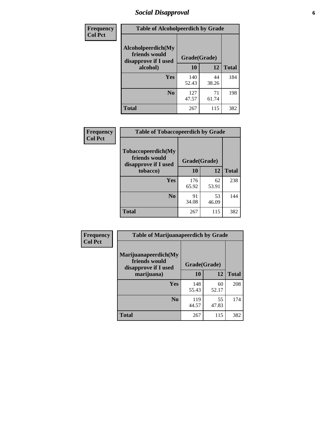### *Social Disapproval* **6**

| Frequency      | <b>Table of Alcoholpeerdich by Grade</b>                    |              |             |              |
|----------------|-------------------------------------------------------------|--------------|-------------|--------------|
| <b>Col Pct</b> | Alcoholpeerdich(My<br>friends would<br>disapprove if I used | Grade(Grade) |             |              |
|                | alcohol)                                                    | 10           | 12          | <b>Total</b> |
|                | <b>Yes</b>                                                  | 140<br>52.43 | 44<br>38.26 | 184          |
|                | N <sub>0</sub>                                              | 127<br>47.57 | 71<br>61.74 | 198          |
|                | Total                                                       | 267          | 115         | 382          |

| <b>Frequency</b> |
|------------------|
| <b>Col Pct</b>   |

| <b>Table of Tobaccopeerdich by Grade</b>                    |              |             |              |  |  |  |
|-------------------------------------------------------------|--------------|-------------|--------------|--|--|--|
| Tobaccopeerdich(My<br>friends would<br>disapprove if I used | Grade(Grade) |             |              |  |  |  |
| tobacco)                                                    | 10           | 12          | <b>Total</b> |  |  |  |
| Yes                                                         | 176<br>65.92 | 62<br>53.91 | 238          |  |  |  |
| N <sub>0</sub>                                              | 91<br>34.08  | 53<br>46.09 | 144          |  |  |  |
| <b>Total</b>                                                | 267          | 115         | 382          |  |  |  |

| <b>Frequency</b> | <b>Table of Marijuanapeerdich by Grade</b>                    |              |             |              |  |  |  |  |
|------------------|---------------------------------------------------------------|--------------|-------------|--------------|--|--|--|--|
| <b>Col Pct</b>   | Marijuanapeerdich(My<br>friends would<br>disapprove if I used | Grade(Grade) |             |              |  |  |  |  |
|                  | marijuana)                                                    | 10           | 12          | <b>Total</b> |  |  |  |  |
|                  | <b>Yes</b>                                                    | 148<br>55.43 | 60<br>52.17 | 208          |  |  |  |  |
|                  | N <sub>0</sub>                                                | 119<br>44.57 | 55<br>47.83 | 174          |  |  |  |  |
|                  | <b>Total</b>                                                  | 267          | 115         | 382          |  |  |  |  |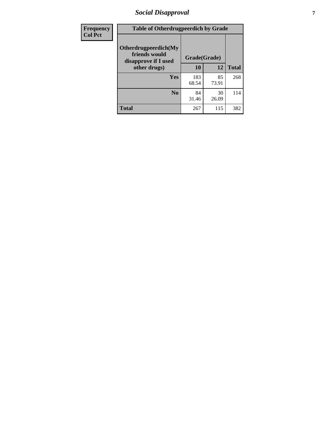### *Social Disapproval* **7**

| Frequency      | <b>Table of Otherdrugpeerdich by Grade</b>                    |              |             |              |  |  |  |  |
|----------------|---------------------------------------------------------------|--------------|-------------|--------------|--|--|--|--|
| <b>Col Pct</b> | Otherdrugpeerdich(My<br>friends would<br>disapprove if I used | Grade(Grade) |             |              |  |  |  |  |
|                | other drugs)                                                  | 10           | 12          | <b>Total</b> |  |  |  |  |
|                | Yes                                                           | 183<br>68.54 | 85<br>73.91 | 268          |  |  |  |  |
|                | N <sub>0</sub>                                                | 84<br>31.46  | 30<br>26.09 | 114          |  |  |  |  |
|                | <b>Total</b>                                                  | 267          | 115         | 382          |  |  |  |  |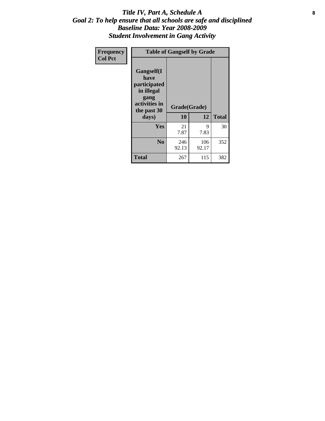#### Title IV, Part A, Schedule A **8** *Goal 2: To help ensure that all schools are safe and disciplined Baseline Data: Year 2008-2009 Student Involvement in Gang Activity*

| Frequency      | <b>Table of Gangself by Grade</b>                                                                 |                    |              |              |  |  |  |
|----------------|---------------------------------------------------------------------------------------------------|--------------------|--------------|--------------|--|--|--|
| <b>Col Pct</b> | Gangself(I<br>have<br>participated<br>in illegal<br>gang<br>activities in<br>the past 30<br>days) | Grade(Grade)<br>10 | 12           | <b>Total</b> |  |  |  |
|                | Yes                                                                                               | 21<br>7.87         | 9<br>7.83    | 30           |  |  |  |
|                | N <sub>0</sub>                                                                                    | 246<br>92.13       | 106<br>92.17 | 352          |  |  |  |
|                | <b>Total</b>                                                                                      | 267                | 115          | 382          |  |  |  |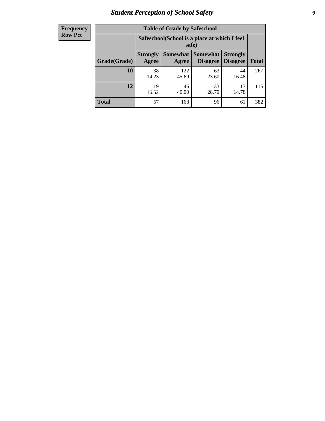### *Student Perception of School Safety* **9**

| <b>Frequency</b><br>Row Pct |
|-----------------------------|
|                             |

| <b>Table of Grade by Safeschool</b> |                                                        |              |                                 |                                    |              |  |  |
|-------------------------------------|--------------------------------------------------------|--------------|---------------------------------|------------------------------------|--------------|--|--|
|                                     | Safeschool (School is a place at which I feel<br>safe) |              |                                 |                                    |              |  |  |
| Grade(Grade)                        | <b>Strongly</b><br>Agree                               | Agree        | Somewhat   Somewhat<br>Disagree | <b>Strongly</b><br><b>Disagree</b> | <b>Total</b> |  |  |
| 10                                  | 38<br>14.23                                            | 122<br>45.69 | 63<br>23.60                     | 44<br>16.48                        | 267          |  |  |
| 12                                  | 19<br>16.52                                            | 46<br>40.00  | 33<br>28.70                     | 17<br>14.78                        | 115          |  |  |
| <b>Total</b>                        | 57                                                     | 168          | 96                              | 61                                 | 382          |  |  |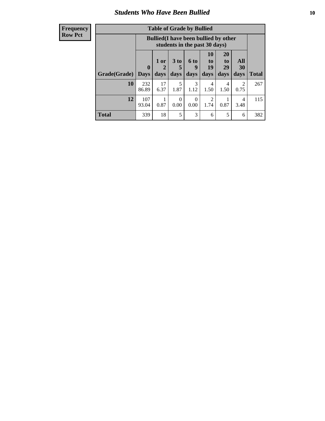### *Students Who Have Been Bullied* **10**

#### **Frequency Row Pct**

| <b>Table of Grade by Bullied</b> |                  |                                                                               |                              |                   |                               |                               |                        |              |
|----------------------------------|------------------|-------------------------------------------------------------------------------|------------------------------|-------------------|-------------------------------|-------------------------------|------------------------|--------------|
|                                  |                  | <b>Bullied</b> (I have been bullied by other<br>students in the past 30 days) |                              |                   |                               |                               |                        |              |
| Grade(Grade)                     | 0<br><b>Days</b> | 1 or<br>days                                                                  | 3 <sub>to</sub><br>5<br>days | 6 to<br>9<br>days | <b>10</b><br>to<br>19<br>days | <b>20</b><br>to<br>29<br>days | All<br>30<br>days      | <b>Total</b> |
| 10                               | 232<br>86.89     | 17<br>6.37                                                                    | 5<br>1.87                    | 3<br>1.12         | 4<br>1.50                     | 4<br>1.50                     | $\mathfrak{D}$<br>0.75 | 267          |
| 12                               | 107<br>93.04     | 0.87                                                                          | $\theta$<br>0.00             | $\Omega$<br>0.00  | 2<br>1.74                     | 0.87                          | 4<br>3.48              | 115          |
| <b>Total</b>                     | 339              | 18                                                                            | 5                            | 3                 | 6                             | 5                             | 6                      | 382          |

 $\blacksquare$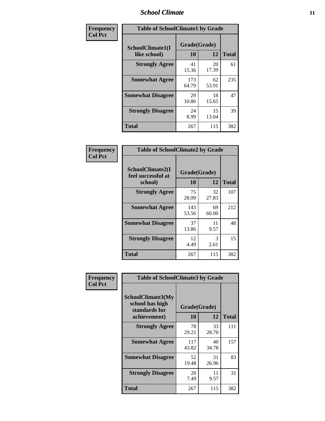#### *School Climate* **11**

| Frequency      | <b>Table of SchoolClimate1 by Grade</b> |                    |             |              |  |  |  |
|----------------|-----------------------------------------|--------------------|-------------|--------------|--|--|--|
| <b>Col Pct</b> | SchoolClimate1(I<br>like school)        | Grade(Grade)<br>10 | 12          | <b>Total</b> |  |  |  |
|                | <b>Strongly Agree</b>                   | 41<br>15.36        | 20<br>17.39 | 61           |  |  |  |
|                | <b>Somewhat Agree</b>                   | 173<br>64.79       | 62<br>53.91 | 235          |  |  |  |
|                | <b>Somewhat Disagree</b>                | 29<br>10.86        | 18<br>15.65 | 47           |  |  |  |
|                | <b>Strongly Disagree</b>                | 24<br>8.99         | 15<br>13.04 | 39           |  |  |  |
|                | <b>Total</b>                            | 267                | 115         | 382          |  |  |  |

| <b>Frequency</b> |  |
|------------------|--|
| <b>Col Pct</b>   |  |

| <b>Table of SchoolClimate2 by Grade</b>           |                    |             |              |  |
|---------------------------------------------------|--------------------|-------------|--------------|--|
| SchoolClimate2(I<br>feel successful at<br>school) | Grade(Grade)<br>10 | 12          | <b>Total</b> |  |
| <b>Strongly Agree</b>                             | 75<br>28.09        | 32<br>27.83 | 107          |  |
| <b>Somewhat Agree</b>                             | 143<br>53.56       | 69<br>60.00 | 212          |  |
| <b>Somewhat Disagree</b>                          | 37<br>13.86        | 11<br>9.57  | 48           |  |
| <b>Strongly Disagree</b>                          | 12<br>4.49         | 3<br>2.61   | 15           |  |
| <b>Total</b>                                      | 267                | 115         | 382          |  |

| Frequency      | <b>Table of SchoolClimate3 by Grade</b>                               |                    |             |              |
|----------------|-----------------------------------------------------------------------|--------------------|-------------|--------------|
| <b>Col Pct</b> | SchoolClimate3(My<br>school has high<br>standards for<br>achievement) | Grade(Grade)<br>10 | 12          | <b>Total</b> |
|                | <b>Strongly Agree</b>                                                 | 78                 | 33          | 111          |
|                |                                                                       | 29.21              | 28.70       |              |
|                | <b>Somewhat Agree</b>                                                 | 117<br>43.82       | 40<br>34.78 | 157          |
|                | <b>Somewhat Disagree</b>                                              | 52<br>19.48        | 31<br>26.96 | 83           |
|                | <b>Strongly Disagree</b>                                              | 20<br>7.49         | 11<br>9.57  | 31           |
|                | Total                                                                 | 267                | 115         | 382          |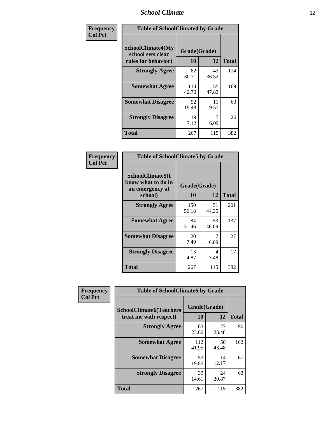#### *School Climate* **12**

| Frequency      | <b>Table of SchoolClimate4 by Grade</b>                              |                    |             |              |
|----------------|----------------------------------------------------------------------|--------------------|-------------|--------------|
| <b>Col Pct</b> | <b>SchoolClimate4(My</b><br>school sets clear<br>rules for behavior) | Grade(Grade)<br>10 | 12          | <b>Total</b> |
|                | <b>Strongly Agree</b>                                                | 82<br>30.71        | 42<br>36.52 | 124          |
|                | <b>Somewhat Agree</b>                                                | 114<br>42.70       | 55<br>47.83 | 169          |
|                | <b>Somewhat Disagree</b>                                             | 52<br>19.48        | 11<br>9.57  | 63           |
|                | <b>Strongly Disagree</b>                                             | 19<br>7.12         | 6.09        | 26           |
|                | Total                                                                | 267                | 115         | 382          |

| <b>Table of SchoolClimate5 by Grade</b>                              |                    |             |              |  |
|----------------------------------------------------------------------|--------------------|-------------|--------------|--|
| SchoolClimate5(I<br>know what to do in<br>an emergency at<br>school) | Grade(Grade)<br>10 | 12          | <b>Total</b> |  |
| <b>Strongly Agree</b>                                                | 150<br>56.18       | 51<br>44.35 | 201          |  |
| <b>Somewhat Agree</b>                                                | 84<br>31.46        | 53<br>46.09 | 137          |  |
| <b>Somewhat Disagree</b>                                             | 20<br>7.49         | 7<br>6.09   | 27           |  |
| <b>Strongly Disagree</b>                                             | 13<br>4.87         | 4<br>3.48   | 17           |  |
| Total                                                                | 267                | 115         | 382          |  |

| Frequency      | <b>Table of SchoolClimate6 by Grade</b>                  |                    |             |              |
|----------------|----------------------------------------------------------|--------------------|-------------|--------------|
| <b>Col Pct</b> | <b>SchoolClimate6(Teachers</b><br>treat me with respect) | Grade(Grade)<br>10 | 12          | <b>Total</b> |
|                | <b>Strongly Agree</b>                                    | 63<br>23.60        | 27<br>23.48 | 90           |
|                | <b>Somewhat Agree</b>                                    | 112<br>41.95       | 50<br>43.48 | 162          |
|                | <b>Somewhat Disagree</b>                                 | 53<br>19.85        | 14<br>12.17 | 67           |
|                | <b>Strongly Disagree</b>                                 | 39<br>14.61        | 24<br>20.87 | 63           |
|                | <b>Total</b>                                             | 267                | 115         | 382          |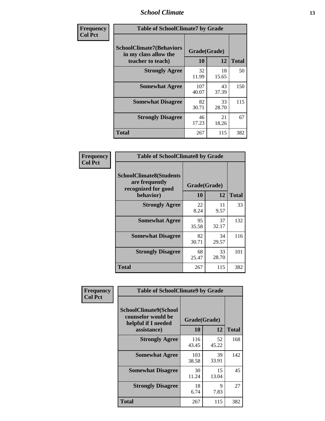#### *School Climate* **13**

| Frequency      | <b>Table of SchoolClimate7 by Grade</b>                                       |                           |             |              |
|----------------|-------------------------------------------------------------------------------|---------------------------|-------------|--------------|
| <b>Col Pct</b> | <b>SchoolClimate7(Behaviors</b><br>in my class allow the<br>teacher to teach) | Grade(Grade)<br><b>10</b> | 12          | <b>Total</b> |
|                | <b>Strongly Agree</b>                                                         | 32<br>11.99               | 18<br>15.65 | 50           |
|                | <b>Somewhat Agree</b>                                                         | 107<br>40.07              | 43<br>37.39 | 150          |
|                | <b>Somewhat Disagree</b>                                                      | 82<br>30.71               | 33<br>28.70 | 115          |
|                | <b>Strongly Disagree</b>                                                      | 46<br>17.23               | 21<br>18.26 | 67           |
|                | <b>Total</b>                                                                  | 267                       | 115         | 382          |

| Frequency      | <b>Table of SchoolClimate8 by Grade</b>                                 |              |             |              |
|----------------|-------------------------------------------------------------------------|--------------|-------------|--------------|
| <b>Col Pct</b> | <b>SchoolClimate8(Students</b><br>are frequently<br>recognized for good | Grade(Grade) |             |              |
|                | behavior)                                                               | 10           | 12          | <b>Total</b> |
|                | <b>Strongly Agree</b>                                                   | 22<br>8.24   | 11<br>9.57  | 33           |
|                | <b>Somewhat Agree</b>                                                   | 95<br>35.58  | 37<br>32.17 | 132          |
|                | <b>Somewhat Disagree</b>                                                | 82<br>30.71  | 34<br>29.57 | 116          |
|                | <b>Strongly Disagree</b>                                                | 68<br>25.47  | 33<br>28.70 | 101          |
|                | Total                                                                   | 267          | 115         | 382          |

| Frequency      | <b>Table of SchoolClimate9 by Grade</b>                                           |                    |             |              |
|----------------|-----------------------------------------------------------------------------------|--------------------|-------------|--------------|
| <b>Col Pct</b> | SchoolClimate9(School<br>counselor would be<br>helpful if I needed<br>assistance) | Grade(Grade)<br>10 | 12          | <b>Total</b> |
|                | <b>Strongly Agree</b>                                                             | 116<br>43.45       | 52<br>45.22 | 168          |
|                | <b>Somewhat Agree</b>                                                             | 103<br>38.58       | 39<br>33.91 | 142          |
|                | <b>Somewhat Disagree</b>                                                          | 30<br>11.24        | 15<br>13.04 | 45           |
|                | <b>Strongly Disagree</b>                                                          | 18<br>6.74         | 9<br>7.83   | 27           |
|                | Total                                                                             | 267                | 115         | 382          |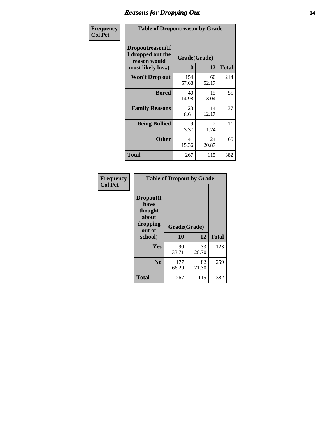### *Reasons for Dropping Out* **14**

| <b>Frequency</b> | <b>Table of Dropoutreason by Grade</b>                                   |                    |             |              |
|------------------|--------------------------------------------------------------------------|--------------------|-------------|--------------|
| <b>Col Pct</b>   | Dropoutreason(If<br>I dropped out the<br>reason would<br>most likely be) | Grade(Grade)<br>10 | 12          | <b>Total</b> |
|                  | <b>Won't Drop out</b>                                                    | 154<br>57.68       | 60<br>52.17 | 214          |
|                  | <b>Bored</b>                                                             | 40<br>14.98        | 15<br>13.04 | 55           |
|                  | <b>Family Reasons</b>                                                    | 23<br>8.61         | 14<br>12.17 | 37           |
|                  | <b>Being Bullied</b>                                                     | 9<br>3.37          | 2<br>1.74   | 11           |
|                  | <b>Other</b>                                                             | 41<br>15.36        | 24<br>20.87 | 65           |
|                  | Total                                                                    | 267                | 115         | 382          |

| Frequency<br><b>Col Pct</b> | <b>Table of Dropout by Grade</b>                            |              |             |              |  |
|-----------------------------|-------------------------------------------------------------|--------------|-------------|--------------|--|
|                             | Dropout(I<br>have<br>thought<br>about<br>dropping<br>out of | Grade(Grade) |             |              |  |
|                             | school)                                                     | 10           | 12          | <b>Total</b> |  |
|                             | Yes                                                         | 90<br>33.71  | 33<br>28.70 | 123          |  |
|                             | N <sub>0</sub>                                              | 177<br>66.29 | 82<br>71.30 | 259          |  |
|                             | <b>Total</b>                                                | 267          | 115         | 382          |  |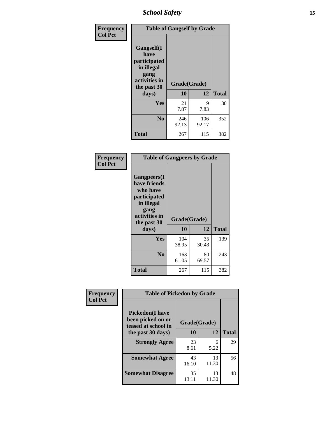*School Safety* **15**

| Frequency      |                                                                                                           | <b>Table of Gangself by Grade</b> |              |              |  |
|----------------|-----------------------------------------------------------------------------------------------------------|-----------------------------------|--------------|--------------|--|
| <b>Col Pct</b> | <b>Gangself</b> (I<br>have<br>participated<br>in illegal<br>gang<br>activities in<br>the past 30<br>days) | Grade(Grade)<br>10                | 12           | <b>Total</b> |  |
|                | Yes                                                                                                       | 21<br>7.87                        | 9<br>7.83    | 30           |  |
|                | N <sub>0</sub>                                                                                            | 246<br>92.13                      | 106<br>92.17 | 352          |  |
|                | <b>Total</b>                                                                                              | 267                               | 115          | 382          |  |

| Frequency<br><b>Col Pct</b> | <b>Table of Gangpeers by Grade</b>                                                                                             |                    |             |              |
|-----------------------------|--------------------------------------------------------------------------------------------------------------------------------|--------------------|-------------|--------------|
|                             | <b>Gangpeers</b> (I<br>have friends<br>who have<br>participated<br>in illegal<br>gang<br>activities in<br>the past 30<br>days) | Grade(Grade)<br>10 | 12          | <b>Total</b> |
|                             | <b>Yes</b>                                                                                                                     | 104<br>38.95       | 35<br>30.43 | 139          |
|                             | N <sub>0</sub>                                                                                                                 | 163<br>61.05       | 80<br>69.57 | 243          |
|                             | <b>Total</b>                                                                                                                   | 267                | 115         | 382          |

| Frequency      |                                                                    | <b>Table of Pickedon by Grade</b> |             |              |  |  |  |  |  |  |  |  |
|----------------|--------------------------------------------------------------------|-----------------------------------|-------------|--------------|--|--|--|--|--|--|--|--|
| <b>Col Pct</b> | <b>Pickedon(I have</b><br>been picked on or<br>teased at school in | Grade(Grade)                      |             |              |  |  |  |  |  |  |  |  |
|                | the past 30 days)                                                  | 10                                | 12          | <b>Total</b> |  |  |  |  |  |  |  |  |
|                | <b>Strongly Agree</b>                                              | 23<br>8.61                        | 6<br>5.22   | 29           |  |  |  |  |  |  |  |  |
|                | <b>Somewhat Agree</b>                                              | 43<br>16.10                       | 13<br>11.30 | 56           |  |  |  |  |  |  |  |  |
|                | <b>Somewhat Disagree</b>                                           | 35<br>13.11                       | 13<br>11.30 | 48           |  |  |  |  |  |  |  |  |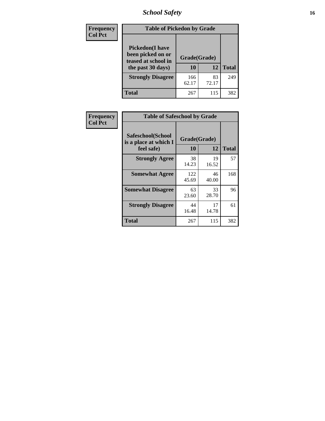### *School Safety* **16**

| <b>Frequency</b> | <b>Table of Pickedon by Grade</b>                                                       |                    |             |              |
|------------------|-----------------------------------------------------------------------------------------|--------------------|-------------|--------------|
| <b>Col Pct</b>   | <b>Pickedon(I have</b><br>been picked on or<br>teased at school in<br>the past 30 days) | Grade(Grade)<br>10 | 12          | <b>Total</b> |
|                  | <b>Strongly Disagree</b>                                                                | 166<br>62.17       | 83<br>72.17 | 249          |
|                  | Total                                                                                   | 267                | 115         | 382          |

| Frequency      | <b>Table of Safeschool by Grade</b>                      |                    |             |              |  |  |  |  |  |  |  |
|----------------|----------------------------------------------------------|--------------------|-------------|--------------|--|--|--|--|--|--|--|
| <b>Col Pct</b> | Safeschool(School<br>is a place at which I<br>feel safe) | Grade(Grade)<br>10 | 12          | <b>Total</b> |  |  |  |  |  |  |  |
|                | <b>Strongly Agree</b>                                    | 38<br>14.23        | 19<br>16.52 | 57           |  |  |  |  |  |  |  |
|                | <b>Somewhat Agree</b>                                    | 122<br>45.69       | 46<br>40.00 | 168          |  |  |  |  |  |  |  |
|                | <b>Somewhat Disagree</b>                                 | 63<br>23.60        | 33<br>28.70 | 96           |  |  |  |  |  |  |  |
|                | <b>Strongly Disagree</b>                                 | 44<br>16.48        | 17<br>14.78 | 61           |  |  |  |  |  |  |  |
|                | Total                                                    | 267                | 115         | 382          |  |  |  |  |  |  |  |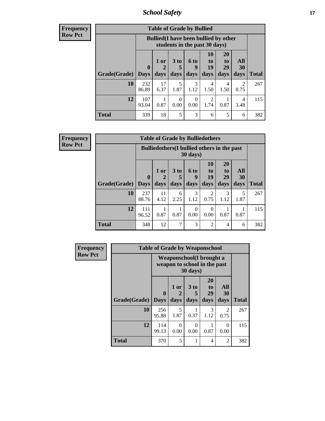*School Safety* **17**

| <b>Table of Grade by Bullied</b> |                             |                                                                               |                              |                   |                               |                               |                   |              |  |  |  |
|----------------------------------|-----------------------------|-------------------------------------------------------------------------------|------------------------------|-------------------|-------------------------------|-------------------------------|-------------------|--------------|--|--|--|
|                                  |                             | <b>Bullied</b> (I have been bullied by other<br>students in the past 30 days) |                              |                   |                               |                               |                   |              |  |  |  |
| Grade(Grade)                     | $\mathbf{0}$<br><b>Days</b> | 1 or<br>2<br>days                                                             | 3 <sub>to</sub><br>5<br>days | 6 to<br>9<br>days | <b>10</b><br>to<br>19<br>days | <b>20</b><br>to<br>29<br>days | All<br>30<br>days | <b>Total</b> |  |  |  |
| 10                               | 232<br>86.89                | 17<br>6.37                                                                    | 5<br>1.87                    | 3<br>1.12         | 4<br>1.50                     | 4<br>1.50                     | 0.75              | 267          |  |  |  |
| 12                               | 107<br>93.04                | 0.87                                                                          | $\Omega$<br>0.00             | 0<br>0.00         | 2<br>1.74                     | 0.87                          | 4<br>3.48         | 115          |  |  |  |
| Total                            | 339                         | 18                                                                            | 5                            | 3                 | 6                             | 5                             | 6                 | 382          |  |  |  |

| <b>Frequency</b> |
|------------------|
| <b>Row Pct</b>   |

| <b>Table of Grade by Bulliedothers</b> |              |                                                                         |                              |                   |                               |                        |                   |              |  |  |  |
|----------------------------------------|--------------|-------------------------------------------------------------------------|------------------------------|-------------------|-------------------------------|------------------------|-------------------|--------------|--|--|--|
|                                        |              | <b>Bulliedothers</b> (I bullied others in the past<br>$30 \text{ days}$ |                              |                   |                               |                        |                   |              |  |  |  |
| Grade(Grade)   Days                    | 0            | $1$ or<br>2<br>days                                                     | 3 <sub>to</sub><br>5<br>days | 6 to<br>9<br>days | <b>10</b><br>to<br>19<br>days | 20<br>to<br>29<br>days | All<br>30<br>days | <b>Total</b> |  |  |  |
| 10                                     | 237<br>88.76 | 11<br>4.12                                                              | 6<br>2.25                    | 3<br>1.12         | 2<br>0.75                     | 3<br>1.12              | 5<br>1.87         | 267          |  |  |  |
| 12                                     | 111<br>96.52 | 0.87                                                                    | 0.87                         | 0<br>0.00         | 0<br>0.00                     | 0.87                   | 0.87              | 115          |  |  |  |
| <b>Total</b>                           | 348          | 12                                                                      | 7                            | 3                 | 2                             | 4                      | 6                 | 382          |  |  |  |

| Frequency      |              | <b>Table of Grade by Weaponschool</b>                    |                   |                     |                        |                        |       |
|----------------|--------------|----------------------------------------------------------|-------------------|---------------------|------------------------|------------------------|-------|
| <b>Row Pct</b> |              | Weaponschool(I brought a<br>weapon to school in the past |                   |                     |                        |                        |       |
|                | Grade(Grade) | $\mathbf{0}$<br><b>Days</b>                              | 1 or<br>2<br>days | $3$ to<br>5<br>days | 20<br>to<br>29<br>days | All<br>30<br>days      | Total |
|                | 10           | 256<br>95.88                                             | 5<br>1.87         | 0.37                | 3<br>1.12              | $\mathfrak{D}$<br>0.75 | 267   |
|                | 12           | 114<br>99.13                                             | 0<br>0.00         | 0<br>0.00           | 0.87                   | 0<br>0.00              | 115   |
|                | <b>Total</b> | 370                                                      | 5                 |                     | 4                      | $\overline{2}$         | 382   |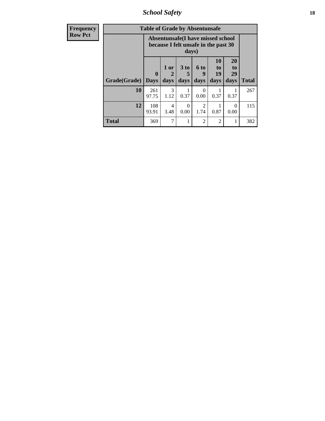*School Safety* **18**

| <b>Frequency</b> | <b>Table of Grade by Absentunsafe</b> |                            |                                                                           |                              |                        |                        |                        |              |  |  |  |
|------------------|---------------------------------------|----------------------------|---------------------------------------------------------------------------|------------------------------|------------------------|------------------------|------------------------|--------------|--|--|--|
| <b>Row Pct</b>   |                                       |                            | Absentunsafe(I have missed school<br>because I felt unsafe in the past 30 | days)                        |                        |                        |                        |              |  |  |  |
|                  | Grade(Grade)                          | $\mathbf 0$<br><b>Days</b> | 1 or<br>2<br>days                                                         | 3 <sub>to</sub><br>5<br>days | 6 to<br>9<br>days      | 10<br>to<br>19<br>days | 20<br>to<br>29<br>days | <b>Total</b> |  |  |  |
|                  | 10                                    | 261<br>97.75               | 3<br>1.12                                                                 | 0.37                         | $\Omega$<br>0.00       | 0.37                   | 0.37                   | 267          |  |  |  |
|                  | 12                                    | 108<br>93.91               | 4<br>3.48                                                                 | 0<br>0.00                    | $\mathfrak{D}$<br>1.74 | 0.87                   | $\Omega$<br>0.00       | 115          |  |  |  |
|                  | <b>Total</b>                          | 369                        | 7                                                                         |                              | $\overline{c}$         | 2                      | 1                      | 382          |  |  |  |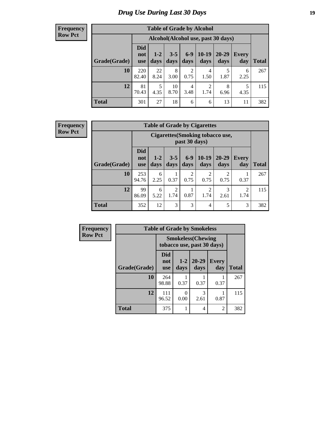### *Drug Use During Last 30 Days* **19**

#### **Frequency Row Pct**

| <b>Table of Grade by Alcohol</b> |                                 |                                     |                 |               |                 |                   |                     |              |  |  |  |
|----------------------------------|---------------------------------|-------------------------------------|-----------------|---------------|-----------------|-------------------|---------------------|--------------|--|--|--|
|                                  |                                 | Alcohol (Alcohol use, past 30 days) |                 |               |                 |                   |                     |              |  |  |  |
| Grade(Grade)                     | <b>Did</b><br>not<br><b>use</b> | $1 - 2$<br>days                     | $3 - 5$<br>days | $6-9$<br>days | $10-19$<br>days | $20 - 29$<br>days | <b>Every</b><br>day | <b>Total</b> |  |  |  |
| 10                               | 220<br>82.40                    | 22<br>8.24                          | 8<br>3.00       | 2<br>0.75     | 4<br>1.50       | 5<br>1.87         | 6<br>2.25           | 267          |  |  |  |
| 12                               | 81<br>70.43                     | 5<br>4.35                           | 10<br>8.70      | 4<br>3.48     | 2<br>1.74       | 8<br>6.96         | 5<br>4.35           | 115          |  |  |  |
| <b>Total</b>                     | 301                             | 27                                  | 18              | 6             | 6               | 13                | 11                  | 382          |  |  |  |

| <b>Table of Grade by Cigarettes</b> |                          |                                                   |                 |                        |                 |                        |                        |       |  |  |
|-------------------------------------|--------------------------|---------------------------------------------------|-----------------|------------------------|-----------------|------------------------|------------------------|-------|--|--|
|                                     |                          | Cigarettes (Smoking tobacco use,<br>past 30 days) |                 |                        |                 |                        |                        |       |  |  |
| Grade(Grade)                        | Did<br>not<br><b>use</b> | $1 - 2$<br>days                                   | $3 - 5$<br>days | $6-9$<br>days          | $10-19$<br>days | 20-29<br>days          | <b>Every</b><br>day    | Total |  |  |
| 10                                  | 253<br>94.76             | 6<br>2.25                                         | 0.37            | $\overline{2}$<br>0.75 | 2<br>0.75       | $\overline{2}$<br>0.75 | 0.37                   | 267   |  |  |
| 12                                  | 99<br>86.09              | 6<br>5.22                                         | 2<br>1.74       | 0.87                   | 2<br>1.74       | 3<br>2.61              | $\overline{2}$<br>1.74 | 115   |  |  |
| <b>Total</b>                        | 352                      | 12                                                | 3               | 3                      | $\overline{4}$  | 5                      | 3                      | 382   |  |  |

| Frequency      |              | <b>Table of Grade by Smokeless</b>                      |                 |                   |                     |              |  |  |  |  |  |
|----------------|--------------|---------------------------------------------------------|-----------------|-------------------|---------------------|--------------|--|--|--|--|--|
| <b>Row Pct</b> |              | <b>Smokeless</b> (Chewing<br>tobacco use, past 30 days) |                 |                   |                     |              |  |  |  |  |  |
|                | Grade(Grade) | Did<br>not<br><b>use</b>                                | $1 - 2$<br>days | $20 - 29$<br>days | <b>Every</b><br>day | <b>Total</b> |  |  |  |  |  |
|                | 10           | 264<br>98.88                                            | 0.37            | 0.37              | 0.37                | 267          |  |  |  |  |  |
|                | 12           | 111<br>96.52                                            | 0.00            | 3<br>2.61         | 0.87                | 115          |  |  |  |  |  |
|                | <b>Total</b> | 375                                                     |                 | 4                 | $\overline{c}$      | 382          |  |  |  |  |  |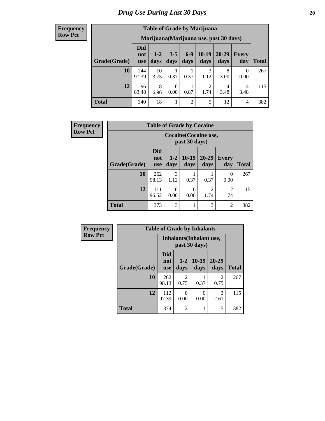| <b>Table of Grade by Marijuana</b> |                                 |                                         |                 |                 |                        |                   |              |       |  |  |  |
|------------------------------------|---------------------------------|-----------------------------------------|-----------------|-----------------|------------------------|-------------------|--------------|-------|--|--|--|
|                                    |                                 | Marijuana (Marijuana use, past 30 days) |                 |                 |                        |                   |              |       |  |  |  |
| Grade(Grade)                       | <b>Did</b><br>not<br><b>use</b> | $1 - 2$<br>days                         | $3 - 5$<br>days | $6 - 9$<br>days | $10-19$<br>days        | $20 - 29$<br>days | Every<br>day | Total |  |  |  |
| 10                                 | 244<br>91.39                    | 10<br>3.75                              | 0.37            | 0.37            | 3<br>1.12              | 8<br>3.00         | 0<br>0.00    | 267   |  |  |  |
| 12                                 | 96<br>83.48                     | 8<br>6.96                               | 0<br>0.00       | 0.87            | $\overline{2}$<br>1.74 | 4<br>3.48         | 4<br>3.48    | 115   |  |  |  |
| <b>Total</b>                       | 340                             | 18                                      | 1               | $\overline{c}$  | 5                      | 12                | 4            | 382   |  |  |  |

| <b>Frequency</b> | <b>Table of Grade by Cocaine</b> |                                 |                                        |                  |                   |                        |              |  |
|------------------|----------------------------------|---------------------------------|----------------------------------------|------------------|-------------------|------------------------|--------------|--|
| <b>Row Pct</b>   |                                  |                                 | Cocaine (Cocaine use,<br>past 30 days) |                  |                   |                        |              |  |
|                  | Grade(Grade)                     | <b>Did</b><br>not<br><b>use</b> | $1 - 2$<br>days                        | $10-19$<br>days  | $20 - 29$<br>days | <b>Every</b><br>day    | <b>Total</b> |  |
|                  | 10                               | 262<br>98.13                    | 3<br>1.12                              | 0.37             | 0.37              | $\Omega$<br>0.00       | 267          |  |
|                  | 12                               | 111<br>96.52                    | 0.00                                   | $\theta$<br>0.00 | 2<br>1.74         | $\mathfrak{D}$<br>1.74 | 115          |  |
|                  | <b>Total</b>                     | 373                             | 3                                      |                  | 3                 | $\overline{2}$         | 382          |  |

| Frequency      |              | <b>Table of Grade by Inhalants</b> |                |                                           |                        |              |  |  |
|----------------|--------------|------------------------------------|----------------|-------------------------------------------|------------------------|--------------|--|--|
| <b>Row Pct</b> |              |                                    |                | Inhalants (Inhalant use,<br>past 30 days) |                        |              |  |  |
|                | Grade(Grade) | <b>Did</b><br>not<br><b>use</b>    | $1-2$<br>days  | $10-19$<br>days                           | 20-29<br>days          | <b>Total</b> |  |  |
|                | 10           | 262<br>98.13                       | 2<br>0.75      | 0.37                                      | $\overline{2}$<br>0.75 | 267          |  |  |
|                | 12           | 112<br>97.39                       | 0<br>0.00      | 0<br>0.00                                 | 3<br>2.61              | 115          |  |  |
|                | <b>Total</b> | 374                                | $\overline{2}$ | 1                                         | 5                      | 382          |  |  |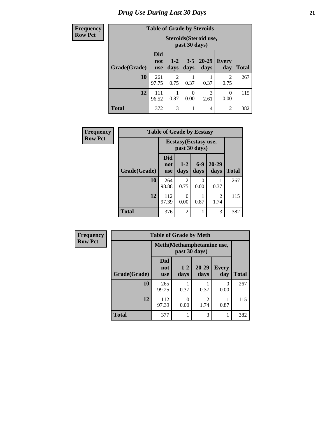### *Drug Use During Last 30 Days* **21**

| Frequency      | <b>Table of Grade by Steroids</b> |                                 |               |                 |                        |                        |              |
|----------------|-----------------------------------|---------------------------------|---------------|-----------------|------------------------|------------------------|--------------|
| <b>Row Pct</b> |                                   |                                 |               | past 30 days)   | Steroids (Steroid use, |                        |              |
|                | Grade(Grade)                      | <b>Did</b><br>not<br><b>use</b> | $1-2$<br>days | $3 - 5$<br>days | $20 - 29$<br>days      | <b>Every</b><br>day    | <b>Total</b> |
|                | 10                                | 261<br>97.75                    | 2<br>0.75     | 0.37            | 0.37                   | $\overline{2}$<br>0.75 | 267          |
|                | 12                                | 111<br>96.52                    | 0.87          | 0<br>0.00       | 3<br>2.61              | 0<br>0.00              | 115          |
|                | <b>Total</b>                      | 372                             | 3             |                 | 4                      | 2                      | 382          |

| <b>Frequency</b> | <b>Table of Grade by Ecstasy</b> |                                        |                 |               |                   |              |
|------------------|----------------------------------|----------------------------------------|-----------------|---------------|-------------------|--------------|
| <b>Row Pct</b>   |                                  | Ecstasy (Ecstasy use,<br>past 30 days) |                 |               |                   |              |
|                  | Grade(Grade)                     | <b>Did</b><br>not<br><b>use</b>        | $1 - 2$<br>days | $6-9$<br>days | $20 - 29$<br>days | <b>Total</b> |
|                  | 10                               | 264<br>98.88                           | 2<br>0.75       | 0<br>0.00     | 0.37              | 267          |
|                  | 12                               | 112<br>97.39                           | 0<br>0.00       | 0.87          | 2<br>1.74         | 115          |
|                  | <b>Total</b>                     | 376                                    | $\overline{c}$  |               | 3                 | 382          |

| <b>Frequency</b> | <b>Table of Grade by Meth</b><br>Meth (Methamphetamine use,<br>past 30 days) |                                 |               |                        |                     |              |
|------------------|------------------------------------------------------------------------------|---------------------------------|---------------|------------------------|---------------------|--------------|
| <b>Row Pct</b>   |                                                                              |                                 |               |                        |                     |              |
|                  | Grade(Grade)                                                                 | <b>Did</b><br>not<br><b>use</b> | $1-2$<br>days | $20 - 29$<br>days      | <b>Every</b><br>day | <b>Total</b> |
|                  | 10                                                                           | 265<br>99.25                    | 0.37          | 0.37                   | $\Omega$<br>0.00    | 267          |
|                  | 12                                                                           | 112<br>97.39                    | 0<br>0.00     | $\overline{2}$<br>1.74 | 0.87                | 115          |
|                  | <b>Total</b>                                                                 | 377                             |               | 3                      |                     | 382          |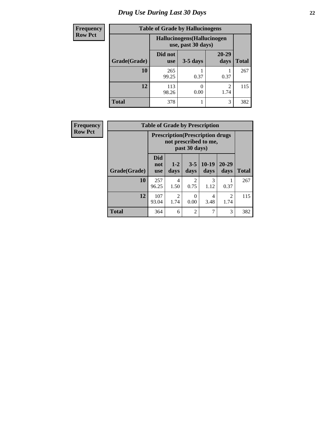### *Drug Use During Last 30 Days* **22**

| <b>Frequency</b> | <b>Table of Grade by Hallucinogens</b> |                                                   |            |                        |              |  |  |
|------------------|----------------------------------------|---------------------------------------------------|------------|------------------------|--------------|--|--|
| <b>Row Pct</b>   |                                        | Hallucinogens (Hallucinogen<br>use, past 30 days) |            |                        |              |  |  |
|                  | Grade(Grade)                           | Did not<br><b>use</b>                             | $3-5$ days | $20 - 29$<br>days      | <b>Total</b> |  |  |
|                  | 10                                     | 265<br>99.25                                      | 0.37       | 0.37                   | 267          |  |  |
|                  | 12                                     | 113<br>98.26                                      | 0.00       | $\mathfrak{D}$<br>1.74 | 115          |  |  |
|                  | <b>Total</b>                           | 378                                               |            | 3                      | 382          |  |  |

| <b>Frequency</b> |              |                                 |                        |                        | <b>Table of Grade by Prescription</b>                             |                        |              |
|------------------|--------------|---------------------------------|------------------------|------------------------|-------------------------------------------------------------------|------------------------|--------------|
| <b>Row Pct</b>   |              |                                 |                        | past 30 days)          | <b>Prescription</b> (Prescription drugs)<br>not prescribed to me, |                        |              |
|                  | Grade(Grade) | <b>Did</b><br>not<br><b>use</b> | $1 - 2$<br>days        | $3 - 5$<br>days        | $10-19$<br>days                                                   | $20 - 29$<br>days      | <b>Total</b> |
|                  | 10           | 257<br>96.25                    | 4<br>1.50              | $\mathfrak{D}$<br>0.75 | 3<br>1.12                                                         | 0.37                   | 267          |
|                  | 12           | 107<br>93.04                    | $\overline{2}$<br>1.74 | 0.00                   | 4<br>3.48                                                         | $\overline{2}$<br>1.74 | 115          |
|                  | <b>Total</b> | 364                             | 6                      | $\mathfrak{D}$         | 7                                                                 | 3                      | 382          |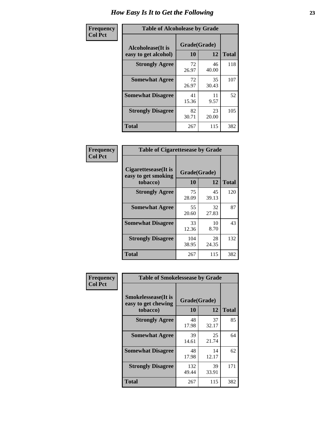| Frequency      | <b>Table of Alcoholease by Grade</b>              |                    |             |              |  |  |
|----------------|---------------------------------------------------|--------------------|-------------|--------------|--|--|
| <b>Col Pct</b> | <b>Alcoholease</b> (It is<br>easy to get alcohol) | Grade(Grade)<br>10 | 12          | <b>Total</b> |  |  |
|                | <b>Strongly Agree</b>                             | 72<br>26.97        | 46<br>40.00 | 118          |  |  |
|                | <b>Somewhat Agree</b>                             | 72<br>26.97        | 35<br>30.43 | 107          |  |  |
|                | <b>Somewhat Disagree</b>                          | 41<br>15.36        | 11<br>9.57  | 52           |  |  |
|                | <b>Strongly Disagree</b>                          | 82<br>30.71        | 23<br>20.00 | 105          |  |  |
|                | <b>Total</b>                                      | 267                | 115         | 382          |  |  |

| Frequency      | <b>Table of Cigarettesease by Grade</b>                  |                    |             |              |  |  |
|----------------|----------------------------------------------------------|--------------------|-------------|--------------|--|--|
| <b>Col Pct</b> | Cigarettesease (It is<br>easy to get smoking<br>tobacco) | Grade(Grade)<br>10 | 12          | <b>Total</b> |  |  |
|                | <b>Strongly Agree</b>                                    | 75<br>28.09        | 45<br>39.13 | 120          |  |  |
|                | <b>Somewhat Agree</b>                                    | 55<br>20.60        | 32<br>27.83 | 87           |  |  |
|                | <b>Somewhat Disagree</b>                                 | 33<br>12.36        | 10<br>8.70  | 43           |  |  |
|                | <b>Strongly Disagree</b>                                 | 104<br>38.95       | 28<br>24.35 | 132          |  |  |
|                | Total                                                    | 267                | 115         | 382          |  |  |

| Frequency      | <b>Table of Smokelessease by Grade</b>                         |                    |             |              |  |  |  |  |
|----------------|----------------------------------------------------------------|--------------------|-------------|--------------|--|--|--|--|
| <b>Col Pct</b> | <b>Smokelessease</b> (It is<br>easy to get chewing<br>tobacco) | Grade(Grade)<br>10 | 12          | <b>Total</b> |  |  |  |  |
|                | <b>Strongly Agree</b>                                          | 48<br>17.98        | 37<br>32.17 | 85           |  |  |  |  |
|                | <b>Somewhat Agree</b>                                          | 39<br>14.61        | 25<br>21.74 | 64           |  |  |  |  |
|                | <b>Somewhat Disagree</b>                                       | 48<br>17.98        | 14<br>12.17 | 62           |  |  |  |  |
|                | <b>Strongly Disagree</b>                                       | 132<br>49.44       | 39<br>33.91 | 171          |  |  |  |  |
|                | Total                                                          | 267                | 115         | 382          |  |  |  |  |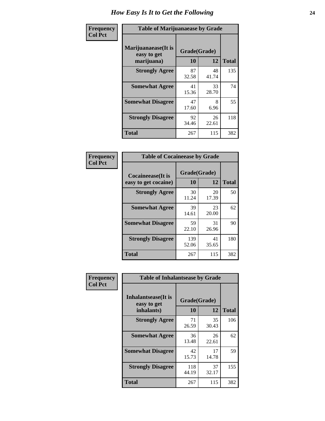| Frequency      | <b>Table of Marijuanaease by Grade</b>           |                           |             |              |  |  |
|----------------|--------------------------------------------------|---------------------------|-------------|--------------|--|--|
| <b>Col Pct</b> | Marijuanaease(It is<br>easy to get<br>marijuana) | Grade(Grade)<br><b>10</b> | 12          | <b>Total</b> |  |  |
|                | <b>Strongly Agree</b>                            | 87<br>32.58               | 48<br>41.74 | 135          |  |  |
|                | <b>Somewhat Agree</b>                            | 41<br>15.36               | 33<br>28.70 | 74           |  |  |
|                | <b>Somewhat Disagree</b>                         | 47<br>17.60               | 8<br>6.96   | 55           |  |  |
|                | <b>Strongly Disagree</b>                         | 92<br>34.46               | 26<br>22.61 | 118          |  |  |
|                | <b>Total</b>                                     | 267                       | 115         | 382          |  |  |

| <b>Table of Cocaineease by Grade</b>              |                    |             |              |  |  |  |
|---------------------------------------------------|--------------------|-------------|--------------|--|--|--|
| <b>Cocaineease</b> (It is<br>easy to get cocaine) | Grade(Grade)<br>10 | 12          | <b>Total</b> |  |  |  |
| <b>Strongly Agree</b>                             | 30<br>11.24        | 20<br>17.39 | 50           |  |  |  |
| <b>Somewhat Agree</b>                             | 39<br>14.61        | 23<br>20.00 | 62           |  |  |  |
| <b>Somewhat Disagree</b>                          | 59<br>22.10        | 31<br>26.96 | 90           |  |  |  |
| <b>Strongly Disagree</b>                          | 139<br>52.06       | 41<br>35.65 | 180          |  |  |  |
| <b>Total</b>                                      | 267                | 115         | 382          |  |  |  |

| Frequency      | <b>Table of Inhalantsease by Grade</b>           |                    |              |     |
|----------------|--------------------------------------------------|--------------------|--------------|-----|
| <b>Col Pct</b> | Inhalantsease(It is<br>easy to get<br>inhalants) | Grade(Grade)<br>10 | <b>Total</b> |     |
|                | <b>Strongly Agree</b>                            | 71<br>26.59        | 35<br>30.43  | 106 |
|                | <b>Somewhat Agree</b>                            | 36<br>13.48        | 26<br>22.61  | 62  |
|                | <b>Somewhat Disagree</b>                         | 42<br>15.73        | 17<br>14.78  | 59  |
|                | <b>Strongly Disagree</b>                         | 118<br>44.19       | 37<br>32.17  | 155 |
|                | <b>Total</b>                                     | 267                | 115          | 382 |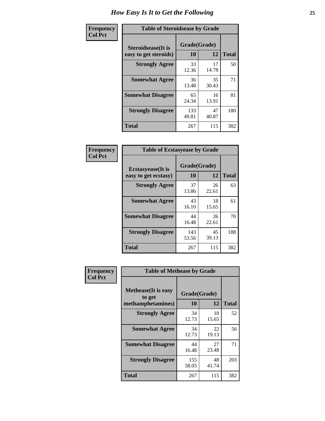| Frequency      | <b>Table of Steroidsease by Grade</b>               |                    |              |     |  |  |  |  |  |
|----------------|-----------------------------------------------------|--------------------|--------------|-----|--|--|--|--|--|
| <b>Col Pct</b> | <b>Steroidsease</b> (It is<br>easy to get steroids) | Grade(Grade)<br>10 | <b>Total</b> |     |  |  |  |  |  |
|                | <b>Strongly Agree</b>                               | 33<br>12.36        | 17<br>14.78  | 50  |  |  |  |  |  |
|                | <b>Somewhat Agree</b>                               | 36<br>13.48        | 35<br>30.43  | 71  |  |  |  |  |  |
|                | <b>Somewhat Disagree</b>                            | 65<br>24.34        | 16<br>13.91  | 81  |  |  |  |  |  |
|                | <b>Strongly Disagree</b>                            | 133<br>49.81       | 47<br>40.87  | 180 |  |  |  |  |  |
|                | <b>Total</b>                                        | 267                | 115          | 382 |  |  |  |  |  |

| Frequency      | <b>Table of Ecstasyease by Grade</b> |              |             |              |  |  |  |  |
|----------------|--------------------------------------|--------------|-------------|--------------|--|--|--|--|
| <b>Col Pct</b> | <b>Ecstasyease</b> (It is            | Grade(Grade) |             |              |  |  |  |  |
|                | easy to get ecstasy)                 | 10           | 12          | <b>Total</b> |  |  |  |  |
|                | <b>Strongly Agree</b>                | 37<br>13.86  | 26<br>22.61 | 63           |  |  |  |  |
|                | <b>Somewhat Agree</b>                | 43<br>16.10  | 18<br>15.65 | 61           |  |  |  |  |
|                | <b>Somewhat Disagree</b>             | 44<br>16.48  | 26<br>22.61 | 70           |  |  |  |  |
|                | <b>Strongly Disagree</b>             | 143<br>53.56 | 45<br>39.13 | 188          |  |  |  |  |
|                | <b>Total</b>                         | 267          | 115         | 382          |  |  |  |  |

| Frequency      | <b>Table of Methease by Grade</b>                          |                    |             |              |  |  |  |  |  |
|----------------|------------------------------------------------------------|--------------------|-------------|--------------|--|--|--|--|--|
| <b>Col Pct</b> | <b>Methease</b> (It is easy<br>to get<br>methamphetamines) | Grade(Grade)<br>10 | 12          | <b>Total</b> |  |  |  |  |  |
|                | <b>Strongly Agree</b>                                      | 34<br>12.73        | 18<br>15.65 | 52           |  |  |  |  |  |
|                | <b>Somewhat Agree</b>                                      | 34<br>12.73        | 22<br>19.13 | 56           |  |  |  |  |  |
|                | <b>Somewhat Disagree</b>                                   | 44<br>16.48        | 27<br>23.48 | 71           |  |  |  |  |  |
|                | <b>Strongly Disagree</b>                                   | 155<br>58.05       | 48<br>41.74 | 203          |  |  |  |  |  |
|                | Total                                                      | 267                | 115         | 382          |  |  |  |  |  |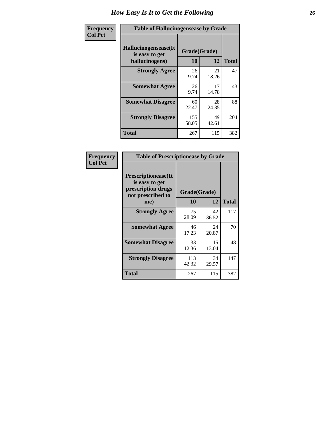| <b>Frequency</b> | <b>Table of Hallucinogensease by Grade</b>                |                    |             |              |  |
|------------------|-----------------------------------------------------------|--------------------|-------------|--------------|--|
| <b>Col Pct</b>   | Hallucinogensease(It)<br>is easy to get<br>hallucinogens) | Grade(Grade)<br>10 | 12          | <b>Total</b> |  |
|                  | <b>Strongly Agree</b>                                     | 26<br>9.74         | 21<br>18.26 | 47           |  |
|                  | <b>Somewhat Agree</b>                                     | 26<br>9.74         | 17<br>14.78 | 43           |  |
|                  | <b>Somewhat Disagree</b>                                  | 60<br>22.47        | 28<br>24.35 | 88           |  |
|                  | <b>Strongly Disagree</b>                                  | 155<br>58.05       | 49<br>42.61 | 204          |  |
|                  | <b>Total</b>                                              | 267                | 115         | 382          |  |

| Frequency<br>Col Pct |
|----------------------|
|                      |

г

| <b>Table of Prescriptionease by Grade</b>                                                |              |             |              |  |  |  |  |  |
|------------------------------------------------------------------------------------------|--------------|-------------|--------------|--|--|--|--|--|
| <b>Prescriptionease</b> (It<br>is easy to get<br>prescription drugs<br>not prescribed to | Grade(Grade) |             |              |  |  |  |  |  |
| me)                                                                                      | 10           | 12          | <b>Total</b> |  |  |  |  |  |
| <b>Strongly Agree</b>                                                                    | 75<br>28.09  | 42<br>36.52 | 117          |  |  |  |  |  |
| <b>Somewhat Agree</b>                                                                    | 46<br>17.23  | 24<br>20.87 | 70           |  |  |  |  |  |
| <b>Somewhat Disagree</b>                                                                 | 33<br>12.36  | 15<br>13.04 | 48           |  |  |  |  |  |
| <b>Strongly Disagree</b>                                                                 | 113<br>42.32 | 34<br>29.57 | 147          |  |  |  |  |  |
| <b>Total</b>                                                                             | 267          | 115         | 382          |  |  |  |  |  |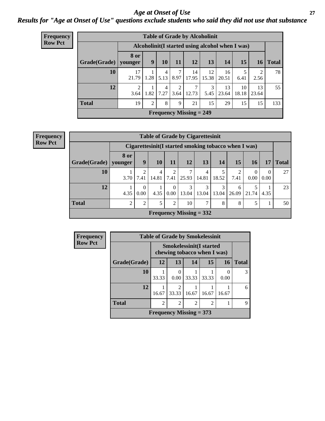#### *Age at Onset of Use* **27** *Results for "Age at Onset of Use" questions exclude students who said they did not use that substance*

| <b>Frequency</b> | <b>Table of Grade by Alcoholinit</b> |                        |                |           |           |                           |                       |             |                                                  |                        |              |
|------------------|--------------------------------------|------------------------|----------------|-----------|-----------|---------------------------|-----------------------|-------------|--------------------------------------------------|------------------------|--------------|
| <b>Row Pct</b>   |                                      |                        |                |           |           |                           |                       |             | Alcoholinit (I started using alcohol when I was) |                        |              |
|                  | Grade(Grade)   younger               | <b>8 or</b>            | 9              | <b>10</b> | 11        | 12                        | 13                    | 14          | 15                                               | 16                     | <b>Total</b> |
|                  | 10                                   | 17<br>21.79            | 1.28           | 4<br>5.13 | 8.97      | 14<br>17.95               | 12<br>15.38           | 16<br>20.51 | 6.41                                             | $\overline{2}$<br>2.56 | 78           |
|                  | 12                                   | $\overline{2}$<br>3.64 | 1.82           | 4<br>7.27 | 2<br>3.64 | 7<br>12.73                | $\mathcal{F}$<br>5.45 | 13<br>23.64 | 10<br>18.18                                      | 13<br>23.64            | 55           |
|                  | <b>Total</b>                         | 19                     | $\overline{2}$ | 8         | 9         | 21                        | 15                    | 29          | 15                                               | 15                     | 133          |
|                  |                                      |                        |                |           |           | Frequency Missing $= 249$ |                       |             |                                                  |                        |              |

| <b>Table of Grade by Cigarettesinit</b> |                 |                                                       |            |                       |                           |                         |            |                        |       |                  |              |
|-----------------------------------------|-----------------|-------------------------------------------------------|------------|-----------------------|---------------------------|-------------------------|------------|------------------------|-------|------------------|--------------|
|                                         |                 | Cigarettesinit (I started smoking tobacco when I was) |            |                       |                           |                         |            |                        |       |                  |              |
| <b>Grade</b> (Grade)                    | 8 or<br>younger | 9                                                     | <b>10</b>  | 11                    | 12                        | 13                      | 14         | 15                     | 16    | 17               | <b>Total</b> |
| 10                                      | 3.70            | 7.41                                                  | 4<br>14.81 | $\mathcal{L}$<br>7.41 | 25.93                     | $\overline{4}$<br>14.81 | 18.52      | $\mathfrak{D}$<br>7.41 | 0.00  | $\Omega$<br>0.00 | 27           |
| 12                                      | 4.35            | 0.00                                                  | 4.35       | $\theta$<br>0.00      | 3<br>13.04                | 3<br>13.04              | 3<br>13.04 | 6<br>26.09             | 21.74 | 4.35             | 23           |
| <b>Total</b>                            | 2               | $\overline{2}$                                        | 5          | 2                     | 10                        | 7                       | 8          | 8                      | 5     |                  | 50           |
|                                         |                 |                                                       |            |                       | Frequency Missing $= 332$ |                         |            |                        |       |                  |              |

| Frequency      | <b>Table of Grade by Smokelessinit</b> |                           |                                                               |                |                |       |       |  |  |  |
|----------------|----------------------------------------|---------------------------|---------------------------------------------------------------|----------------|----------------|-------|-------|--|--|--|
| <b>Row Pct</b> |                                        |                           | <b>Smokelessinit(I started</b><br>chewing tobacco when I was) |                |                |       |       |  |  |  |
|                | Grade(Grade)                           | 12                        | 13                                                            | 14             | 15             | 16    | Total |  |  |  |
|                | 10                                     | 33.33                     | 0<br>0.00                                                     | 33.33          | 33.33          | 0.00  | 3     |  |  |  |
|                | 12                                     | 16.67                     | $\overline{2}$<br>33.33                                       | 16.67          | 16.67          | 16.67 | 6     |  |  |  |
|                | <b>Total</b>                           | $\overline{c}$            | $\overline{2}$                                                | $\overline{c}$ | $\overline{c}$ |       | 9     |  |  |  |
|                |                                        | Frequency Missing $= 373$ |                                                               |                |                |       |       |  |  |  |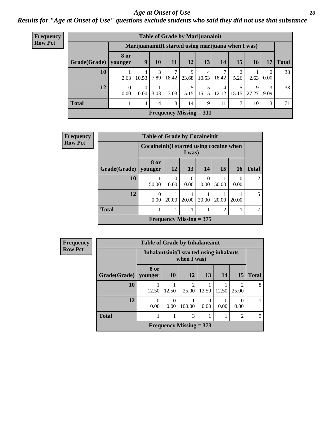#### *Age at Onset of Use* **28**

*Results for "Age at Onset of Use" questions exclude students who said they did not use that substance*

| <b>Frequency</b> | <b>Table of Grade by Marijuanainit</b> |           |                   |           |       |            |                                                      |       |                 |            |                  |              |
|------------------|----------------------------------------|-----------|-------------------|-----------|-------|------------|------------------------------------------------------|-------|-----------------|------------|------------------|--------------|
| <b>Row Pct</b>   |                                        |           |                   |           |       |            | Marijuanainit (I started using marijuana when I was) |       |                 |            |                  |              |
|                  | Grade(Grade)   younger                 | 8 or      | 9                 | <b>10</b> | 11    | 12         | 13                                                   | 14    | 15 <sup>1</sup> | 16         | 17               | <b>Total</b> |
|                  | 10                                     | 2.63      | 4<br>10.53        | 3<br>7.89 | 18.42 | 9<br>23.68 | 4<br>10.53                                           | 18.42 | 5.26            | 2.63       | $\Omega$<br>0.00 | 38           |
|                  | 12                                     | 0<br>0.00 | 0.00 <sub>l</sub> | 3.03      | 3.03  |            | 5<br>$15.15$   $15.15$   $12.12$                     | 4     | 15.15           | 9<br>27.27 | 3<br>9.09        | 33           |
|                  | <b>Total</b>                           |           | 4                 | 4         | 8     | 14         | 9                                                    | 11    | 7               | 10         | 3                | 71           |
|                  |                                        |           |                   |           |       |            | <b>Frequency Missing = 311</b>                       |       |                 |            |                  |              |

| <b>Frequency</b> | <b>Table of Grade by Cocaineinit</b> |                  |                                                       |                           |                  |                |                  |              |  |  |  |
|------------------|--------------------------------------|------------------|-------------------------------------------------------|---------------------------|------------------|----------------|------------------|--------------|--|--|--|
| <b>Row Pct</b>   |                                      |                  | Cocaine in it (I started using cocaine when<br>I was) |                           |                  |                |                  |              |  |  |  |
|                  | Grade(Grade)                         | 8 or<br>younger  | 12                                                    | 13                        | 14               | 15             | <b>16</b>        | <b>Total</b> |  |  |  |
|                  | 10                                   | 50.00            | $\Omega$<br>0.00                                      | $\theta$<br>0.00          | $\Omega$<br>0.00 | 50.00          | $\Omega$<br>0.00 | 2            |  |  |  |
|                  | 12                                   | $\theta$<br>0.00 | 20.00                                                 | 20.00                     | 20.00            | 20.00          | 20.00            | 5            |  |  |  |
|                  | <b>Total</b>                         | 1                |                                                       |                           |                  | $\overline{2}$ |                  | 7            |  |  |  |
|                  |                                      |                  |                                                       | Frequency Missing $= 375$ |                  |                |                  |              |  |  |  |

| <b>Frequency</b> |
|------------------|
| <b>Row Pct</b>   |

| <b>Table of Grade by Inhalantsinit</b> |           |                                                         |                         |       |           |                         |              |  |  |
|----------------------------------------|-----------|---------------------------------------------------------|-------------------------|-------|-----------|-------------------------|--------------|--|--|
|                                        |           | Inhalantsinit (I started using inhalants<br>when I was) |                         |       |           |                         |              |  |  |
| Grade(Grade)   younger                 | 8 or      | 10                                                      | 12                      | 13    | 14        | 15                      | <b>Total</b> |  |  |
| 10                                     | 12.50     | 12.50                                                   | $\overline{2}$<br>25.00 | 12.50 | 12.50     | $\mathfrak{D}$<br>25.00 | 8            |  |  |
| 12                                     | 0<br>0.00 | $\mathbf{\Omega}$<br>0.00                               | 100.00                  | 0.00  | 0<br>0.00 | 0.00                    |              |  |  |
| <b>Total</b>                           |           |                                                         | 3                       |       |           | $\mathfrak{D}$          | 9            |  |  |
| Frequency Missing $= 373$              |           |                                                         |                         |       |           |                         |              |  |  |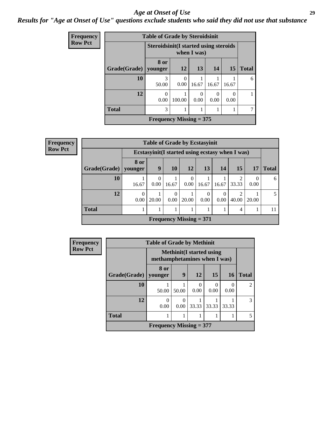#### *Age at Onset of Use* **29**

#### *Results for "Age at Onset of Use" questions exclude students who said they did not use that substance*

| <b>Frequency</b> |              | <b>Table of Grade by Steroidsinit</b>        |                  |           |                  |                      |              |  |  |
|------------------|--------------|----------------------------------------------|------------------|-----------|------------------|----------------------|--------------|--|--|
| <b>Row Pct</b>   |              | <b>Steroidsinit(I started using steroids</b> | when I was)      |           |                  |                      |              |  |  |
|                  | Grade(Grade) | 8 or<br>younger                              | 12               | 13        | 14               | <b>15</b>            | <b>Total</b> |  |  |
|                  | <b>10</b>    | 3<br>50.00                                   | $\theta$<br>0.00 | 16.67     | 16.67            | 16.67                | 6            |  |  |
|                  | 12           | $\Omega$<br>0.00                             | 100.00           | 0<br>0.00 | $\Omega$<br>0.00 | $\mathbf{0}$<br>0.00 |              |  |  |
|                  | <b>Total</b> | 3                                            | 1                |           |                  | 1                    |              |  |  |
|                  |              | Frequency Missing $= 375$                    |                  |           |                  |                      |              |  |  |

| <b>Frequency</b> | <b>Table of Grade by Ecstasyinit</b> |                  |                  |           |                           |                  |           |                                                  |       |              |  |
|------------------|--------------------------------------|------------------|------------------|-----------|---------------------------|------------------|-----------|--------------------------------------------------|-------|--------------|--|
| <b>Row Pct</b>   |                                      |                  |                  |           |                           |                  |           | Ecstasyinit (I started using ecstasy when I was) |       |              |  |
|                  | Grade(Grade)   younger               | <b>8 or</b>      | 9                | <b>10</b> | 12                        | 13               | 14        | 15                                               | 17    | <b>Total</b> |  |
|                  | <b>10</b>                            | 16.67            | $\Omega$<br>0.00 | 16.67     | $\theta$<br>0.00          | 16.67            | 16.67     | $\mathfrak{D}$<br>33.33                          | 0.00  | 6            |  |
|                  | 12                                   | $\theta$<br>0.00 | 20.00            | 0<br>0.00 | 20.00                     | $\Omega$<br>0.00 | 0<br>0.00 | っ<br>40.00                                       | 20.00 |              |  |
|                  | <b>Total</b>                         |                  |                  |           |                           |                  |           | $\overline{4}$                                   |       |              |  |
|                  |                                      |                  |                  |           | Frequency Missing $= 371$ |                  |           |                                                  |       |              |  |

| <b>Frequency</b> | <b>Table of Grade by Methinit</b> |                              |                  |                                 |       |           |                |  |  |
|------------------|-----------------------------------|------------------------------|------------------|---------------------------------|-------|-----------|----------------|--|--|
| <b>Row Pct</b>   |                                   | methamphetamines when I was) |                  | <b>Methinit(I started using</b> |       |           |                |  |  |
|                  | Grade(Grade)                      | 8 or<br>younger              | 9                | <b>12</b>                       | 15    | <b>16</b> | <b>Total</b>   |  |  |
|                  | <b>10</b>                         | 50.00                        | 50.00            | 0<br>0.00                       | 0.00  | 0.00      | $\overline{2}$ |  |  |
|                  | 12                                | O<br>0.00                    | $\Omega$<br>0.00 | 33.33                           | 33.33 | 33.33     | $\mathcal{R}$  |  |  |
|                  | <b>Total</b>                      |                              |                  |                                 |       |           | 5              |  |  |
|                  |                                   | Frequency Missing $= 377$    |                  |                                 |       |           |                |  |  |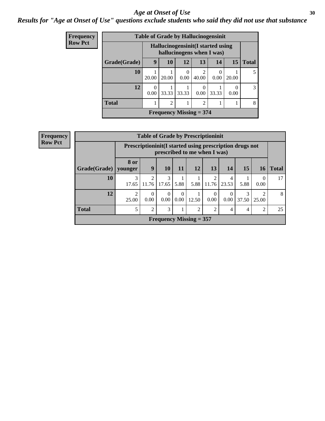#### Age at Onset of Use **30**

*Results for "Age at Onset of Use" questions exclude students who said they did not use that substance*

| <b>Frequency</b> |              |                                                                |                | <b>Table of Grade by Hallucinogensinit</b> |       |       |           |               |
|------------------|--------------|----------------------------------------------------------------|----------------|--------------------------------------------|-------|-------|-----------|---------------|
| <b>Row Pct</b>   |              | Hallucinogensinit(I started using<br>hallucinogens when I was) |                |                                            |       |       |           |               |
|                  | Grade(Grade) | 9                                                              | <b>10</b>      | 12                                         | 13    | 14    | 15        | <b>Total</b>  |
|                  | 10           | 20.00                                                          | 20.00          | 0.00                                       | 40.00 | 0.00  | 20.00     | 5             |
|                  | 12           | $\Omega$<br>0.00                                               | 33.33          | 33.33                                      | 0.00  | 33.33 | 0<br>0.00 | $\mathcal{E}$ |
|                  | <b>Total</b> |                                                                | $\overline{2}$ |                                            | 2     |       |           | 8             |
|                  |              |                                                                |                | Frequency Missing $=$ 374                  |       |       |           |               |

| <b>Frequency</b> |              |                         |                         |                  |      | <b>Table of Grade by Prescriptioninit</b> |                |                  |                                                            |                         |              |
|------------------|--------------|-------------------------|-------------------------|------------------|------|-------------------------------------------|----------------|------------------|------------------------------------------------------------|-------------------------|--------------|
| <b>Row Pct</b>   |              |                         |                         |                  |      | prescribed to me when I was)              |                |                  | Prescription in it (I started using prescription drugs not |                         |              |
|                  | Grade(Grade) | 8 or<br>vounger         | 9                       | 10               | 11   | 12                                        | 13             | 14               | 15                                                         | 16                      | <b>Total</b> |
|                  | 10           | 3<br>17.65              | $\mathfrak{D}$<br>11.76 | 3<br>17.65       | 5.88 | 5.88                                      | っ<br>11.76     | 4<br>23.53       | 5.88                                                       | $\Omega$<br>0.00        | 17           |
|                  | 12           | $\overline{2}$<br>25.00 | $\theta$<br>0.00        | $\theta$<br>0.00 | 0.00 | 12.50                                     | 0.00           | $\Omega$<br>0.00 | 3<br>37.50                                                 | $\overline{c}$<br>25.00 | 8            |
|                  | <b>Total</b> |                         | 2                       | 3                |      | $\overline{2}$                            | $\overline{2}$ | 4                | 4                                                          | $\overline{2}$          | 25           |
|                  |              |                         |                         |                  |      | Frequency Missing $= 357$                 |                |                  |                                                            |                         |              |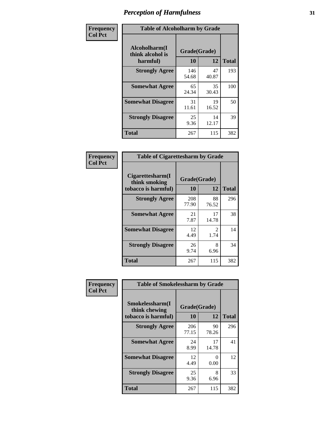| Frequency      | <b>Table of Alcoholharm by Grade</b>          |                    |             |              |  |  |
|----------------|-----------------------------------------------|--------------------|-------------|--------------|--|--|
| <b>Col Pct</b> | Alcoholharm(I<br>think alcohol is<br>harmful) | Grade(Grade)<br>10 | 12          | <b>Total</b> |  |  |
|                | <b>Strongly Agree</b>                         | 146<br>54.68       | 47<br>40.87 | 193          |  |  |
|                | <b>Somewhat Agree</b>                         | 65<br>24.34        | 35<br>30.43 | 100          |  |  |
|                | <b>Somewhat Disagree</b>                      | 31<br>11.61        | 19<br>16.52 | 50           |  |  |
|                | <b>Strongly Disagree</b>                      | 25<br>9.36         | 14<br>12.17 | 39           |  |  |
|                | <b>Total</b>                                  | 267                | 115         | 382          |  |  |

| <b>Table of Cigarettesharm by Grade</b>                  |                    |                        |              |  |  |  |  |
|----------------------------------------------------------|--------------------|------------------------|--------------|--|--|--|--|
| Cigarettesharm(I<br>think smoking<br>tobacco is harmful) | Grade(Grade)<br>10 | 12                     | <b>Total</b> |  |  |  |  |
| <b>Strongly Agree</b>                                    | 208<br>77.90       | 88<br>76.52            | 296          |  |  |  |  |
| <b>Somewhat Agree</b>                                    | 21<br>7.87         | 17<br>14.78            | 38           |  |  |  |  |
| <b>Somewhat Disagree</b>                                 | 12<br>4.49         | $\mathfrak{D}$<br>1.74 | 14           |  |  |  |  |
| <b>Strongly Disagree</b>                                 | 26<br>9.74         | 8<br>6.96              | 34           |  |  |  |  |
| <b>Total</b>                                             | 267                | 115                    | 382          |  |  |  |  |

| Frequency      | <b>Table of Smokelessharm by Grade</b>                  |                    |                   |     |  |  |  |  |  |
|----------------|---------------------------------------------------------|--------------------|-------------------|-----|--|--|--|--|--|
| <b>Col Pct</b> | Smokelessharm(I<br>think chewing<br>tobacco is harmful) | Grade(Grade)<br>10 | <b>Total</b>      |     |  |  |  |  |  |
|                | <b>Strongly Agree</b>                                   | 206<br>77.15       | 12<br>90<br>78.26 | 296 |  |  |  |  |  |
|                | <b>Somewhat Agree</b>                                   | 24<br>8.99         | 17<br>14.78       | 41  |  |  |  |  |  |
|                | <b>Somewhat Disagree</b>                                | 12<br>4.49         | 0<br>0.00         | 12  |  |  |  |  |  |
|                | <b>Strongly Disagree</b>                                | 25<br>9.36         | 8<br>6.96         | 33  |  |  |  |  |  |
|                | <b>Total</b>                                            | 267                | 115               | 382 |  |  |  |  |  |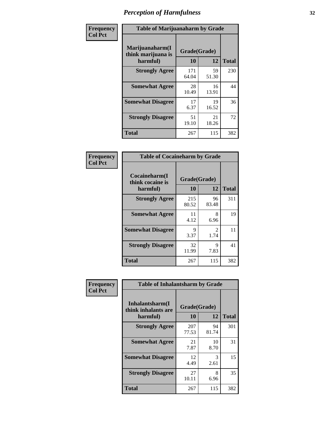| Frequency      | <b>Table of Marijuanaharm by Grade</b>            |                    |             |              |  |  |
|----------------|---------------------------------------------------|--------------------|-------------|--------------|--|--|
| <b>Col Pct</b> | Marijuanaharm(I<br>think marijuana is<br>harmful) | Grade(Grade)<br>10 | 12          | <b>Total</b> |  |  |
|                | <b>Strongly Agree</b>                             | 171<br>64.04       | 59<br>51.30 | 230          |  |  |
|                | <b>Somewhat Agree</b>                             | 28<br>10.49        | 16<br>13.91 | 44           |  |  |
|                | <b>Somewhat Disagree</b>                          | 17<br>6.37         | 19<br>16.52 | 36           |  |  |
|                | <b>Strongly Disagree</b>                          | 51<br>19.10        | 21<br>18.26 | 72           |  |  |
|                | <b>Total</b>                                      | 267                | 115         | 382          |  |  |

| <b>Table of Cocaineharm by Grade</b>          |                    |                        |              |  |  |  |  |  |
|-----------------------------------------------|--------------------|------------------------|--------------|--|--|--|--|--|
| Cocaineharm(I<br>think cocaine is<br>harmful) | Grade(Grade)<br>10 | 12                     | <b>Total</b> |  |  |  |  |  |
| <b>Strongly Agree</b>                         | 215<br>80.52       | 96<br>83.48            | 311          |  |  |  |  |  |
| <b>Somewhat Agree</b>                         | 11<br>4.12         | 8<br>6.96              | 19           |  |  |  |  |  |
| <b>Somewhat Disagree</b>                      | 9<br>3.37          | $\mathfrak{D}$<br>1.74 | 11           |  |  |  |  |  |
| <b>Strongly Disagree</b>                      | 32<br>11.99        | 9<br>7.83              | 41           |  |  |  |  |  |
| Total                                         | 267                | 115                    | 382          |  |  |  |  |  |

| Frequency      | <b>Table of Inhalantsharm by Grade</b>             |                           |             |              |
|----------------|----------------------------------------------------|---------------------------|-------------|--------------|
| <b>Col Pct</b> | Inhalantsharm(I<br>think inhalants are<br>harmful) | Grade(Grade)<br><b>10</b> | 12          | <b>Total</b> |
|                | <b>Strongly Agree</b>                              | 207<br>77.53              | 94<br>81.74 | 301          |
|                | <b>Somewhat Agree</b>                              | 21<br>7.87                | 10<br>8.70  | 31           |
|                | <b>Somewhat Disagree</b>                           | 12<br>4.49                | 3<br>2.61   | 15           |
|                | <b>Strongly Disagree</b>                           | 27<br>10.11               | 8<br>6.96   | 35           |
|                | Total                                              | 267                       | 115         | 382          |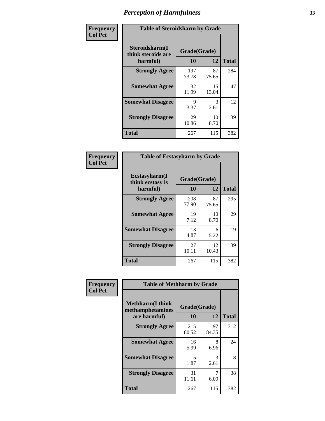| Frequency      | <b>Table of Steroidsharm by Grade</b>            |                    |             |              |
|----------------|--------------------------------------------------|--------------------|-------------|--------------|
| <b>Col Pct</b> | Steroidsharm(I<br>think steroids are<br>harmful) | Grade(Grade)<br>10 | 12          | <b>Total</b> |
|                | <b>Strongly Agree</b>                            | 197<br>73.78       | 87<br>75.65 | 284          |
|                | <b>Somewhat Agree</b>                            | 32<br>11.99        | 15<br>13.04 | 47           |
|                | <b>Somewhat Disagree</b>                         | 9<br>3.37          | 3<br>2.61   | 12           |
|                | <b>Strongly Disagree</b>                         | 29<br>10.86        | 10<br>8.70  | 39           |
|                | <b>Total</b>                                     | 267                | 115         | 382          |

| <b>Table of Ecstasyharm by Grade</b>          |                    |             |              |  |  |
|-----------------------------------------------|--------------------|-------------|--------------|--|--|
| Ecstasyharm(I<br>think ecstasy is<br>harmful) | Grade(Grade)<br>10 | 12          | <b>Total</b> |  |  |
| <b>Strongly Agree</b>                         | 208<br>77.90       | 87<br>75.65 | 295          |  |  |
| <b>Somewhat Agree</b>                         | 19<br>7.12         | 10<br>8.70  | 29           |  |  |
| <b>Somewhat Disagree</b>                      | 13<br>4.87         | 6<br>5.22   | 19           |  |  |
| <b>Strongly Disagree</b>                      | 27<br>10.11        | 12<br>10.43 | 39           |  |  |
| <b>Total</b>                                  | 267                | 115         | 382          |  |  |

| Frequency      | <b>Table of Methharm by Grade</b>                            |                           |             |              |
|----------------|--------------------------------------------------------------|---------------------------|-------------|--------------|
| <b>Col Pct</b> | <b>Methharm</b> (I think<br>methamphetamines<br>are harmful) | Grade(Grade)<br><b>10</b> | 12          | <b>Total</b> |
|                | <b>Strongly Agree</b>                                        | 215<br>80.52              | 97<br>84.35 | 312          |
|                | <b>Somewhat Agree</b>                                        | 16<br>5.99                | 8<br>6.96   | 24           |
|                | <b>Somewhat Disagree</b>                                     | 5<br>1.87                 | 3<br>2.61   | 8            |
|                | <b>Strongly Disagree</b>                                     | 31<br>11.61               | 7<br>6.09   | 38           |
|                | <b>Total</b>                                                 | 267                       | 115         | 382          |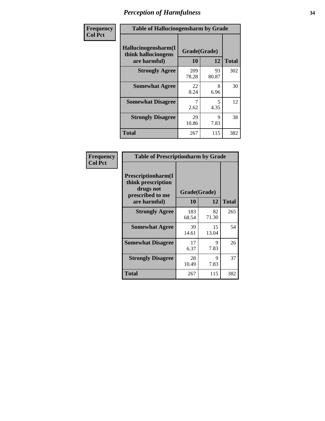| Frequency      | <b>Table of Hallucinogensharm by Grade</b>                 |                    |             |              |
|----------------|------------------------------------------------------------|--------------------|-------------|--------------|
| <b>Col Pct</b> | Hallucinogensharm(I<br>think hallucinogens<br>are harmful) | Grade(Grade)<br>10 | 12          | <b>Total</b> |
|                | <b>Strongly Agree</b>                                      | 209<br>78.28       | 93<br>80.87 | 302          |
|                | <b>Somewhat Agree</b>                                      | 22<br>8.24         | 8<br>6.96   | 30           |
|                | <b>Somewhat Disagree</b>                                   | 2.62               | 5<br>4.35   | 12           |
|                | <b>Strongly Disagree</b>                                   | 29<br>10.86        | 9<br>7.83   | 38           |
|                | <b>Total</b>                                               | 267                | 115         | 382          |

| <b>Table of Prescriptionharm by Grade</b>                                         |              |             |              |  |
|-----------------------------------------------------------------------------------|--------------|-------------|--------------|--|
| <b>Prescriptionharm(I)</b><br>think prescription<br>drugs not<br>prescribed to me | Grade(Grade) |             |              |  |
| are harmful)                                                                      | 10           | 12          | <b>Total</b> |  |
| <b>Strongly Agree</b>                                                             | 183<br>68.54 | 82<br>71.30 | 265          |  |
| <b>Somewhat Agree</b>                                                             | 39<br>14.61  | 15<br>13.04 | 54           |  |
| <b>Somewhat Disagree</b>                                                          | 17<br>6.37   | Q<br>7.83   | 26           |  |
| <b>Strongly Disagree</b>                                                          | 28<br>10.49  | 9<br>7.83   | 37           |  |
| Total                                                                             | 267          | 115         | 382          |  |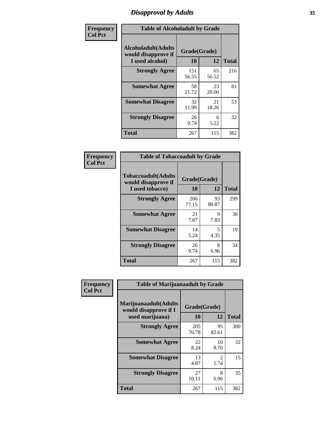### *Disapproval by Adults* **35**

| Frequency      | <b>Table of Alcoholadult by Grade</b>                                 |                    |             |              |
|----------------|-----------------------------------------------------------------------|--------------------|-------------|--------------|
| <b>Col Pct</b> | <b>Alcoholadult</b> (Adults<br>would disapprove if<br>I used alcohol) | Grade(Grade)<br>10 | 12          | <b>Total</b> |
|                | <b>Strongly Agree</b>                                                 | 151<br>56.55       | 65<br>56.52 | 216          |
|                | <b>Somewhat Agree</b>                                                 | 58<br>21.72        | 23<br>20.00 | 81           |
|                | <b>Somewhat Disagree</b>                                              | 32<br>11.99        | 21<br>18.26 | 53           |
|                | <b>Strongly Disagree</b>                                              | 26<br>9.74         | 6<br>5.22   | 32           |
|                | <b>Total</b>                                                          | 267                | 115         | 382          |

| <b>Table of Tobaccoadult by Grade</b>                                |                          |             |     |  |
|----------------------------------------------------------------------|--------------------------|-------------|-----|--|
| <b>Tobaccoadult(Adults</b><br>would disapprove if<br>I used tobacco) | Grade(Grade)<br>10<br>12 |             |     |  |
| <b>Strongly Agree</b>                                                | 206<br>77.15             | 93<br>80.87 | 299 |  |
| <b>Somewhat Agree</b>                                                | 21<br>7.87               | 9<br>7.83   | 30  |  |
| <b>Somewhat Disagree</b>                                             | 14<br>5.24               | 5<br>4.35   | 19  |  |
| <b>Strongly Disagree</b>                                             | 26<br>9.74               | 8<br>6.96   | 34  |  |
| <b>Total</b>                                                         | 267                      | 115         | 382 |  |

| Frequency      | <b>Table of Marijuanaadult by Grade</b>                           |                    |             |              |  |
|----------------|-------------------------------------------------------------------|--------------------|-------------|--------------|--|
| <b>Col Pct</b> | Marijuanaadult(Adults<br>would disapprove if I<br>used marijuana) | Grade(Grade)<br>10 | 12          | <b>Total</b> |  |
|                | <b>Strongly Agree</b>                                             | 205<br>76.78       | 95<br>82.61 | 300          |  |
|                | <b>Somewhat Agree</b>                                             | 22<br>8.24         | 10<br>8.70  | 32           |  |
|                | <b>Somewhat Disagree</b>                                          | 13<br>4.87         | 2<br>1.74   | 15           |  |
|                | <b>Strongly Disagree</b>                                          | 27<br>10.11        | 8<br>6.96   | 35           |  |
|                | <b>Total</b>                                                      | 267                | 115         | 382          |  |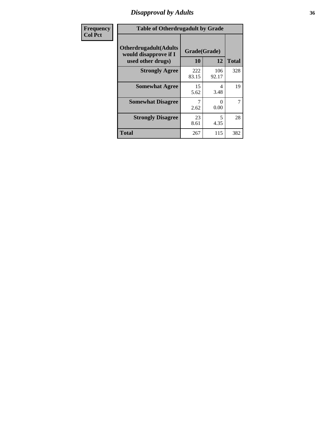### *Disapproval by Adults* **36**

| Frequency      | <b>Table of Otherdrugadult by Grade</b>                                     |                    |              |              |
|----------------|-----------------------------------------------------------------------------|--------------------|--------------|--------------|
| <b>Col Pct</b> | <b>Otherdrugadult</b> (Adults<br>would disapprove if I<br>used other drugs) | Grade(Grade)<br>10 | 12           | <b>Total</b> |
|                | <b>Strongly Agree</b>                                                       | 222<br>83.15       | 106<br>92.17 | 328          |
|                | <b>Somewhat Agree</b>                                                       | 15<br>5.62         | 4<br>3.48    | 19           |
|                | <b>Somewhat Disagree</b>                                                    | 2.62               | 0<br>0.00    | 7            |
|                | <b>Strongly Disagree</b>                                                    | 23<br>8.61         | 5<br>4.35    | 28           |
|                | <b>Total</b>                                                                | 267                | 115          | 382          |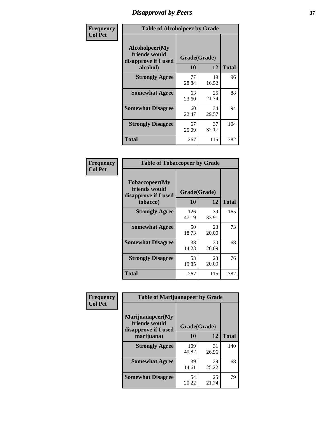# *Disapproval by Peers* **37**

| Frequency      | <b>Table of Alcoholpeer by Grade</b>                    |              |             |              |  |
|----------------|---------------------------------------------------------|--------------|-------------|--------------|--|
| <b>Col Pct</b> | Alcoholpeer(My<br>friends would<br>disapprove if I used | Grade(Grade) |             |              |  |
|                | alcohol)                                                | 10           | 12          | <b>Total</b> |  |
|                | <b>Strongly Agree</b>                                   | 77<br>28.84  | 19<br>16.52 | 96           |  |
|                | <b>Somewhat Agree</b>                                   | 63<br>23.60  | 25<br>21.74 | 88           |  |
|                | <b>Somewhat Disagree</b>                                | 60<br>22.47  | 34<br>29.57 | 94           |  |
|                | <b>Strongly Disagree</b>                                | 67<br>25.09  | 37<br>32.17 | 104          |  |
|                | Total                                                   | 267          | 115         | 382          |  |

| Frequency      | <b>Table of Tobaccopeer by Grade</b>                                |                    |             |              |  |
|----------------|---------------------------------------------------------------------|--------------------|-------------|--------------|--|
| <b>Col Pct</b> | Tobaccopeer(My<br>friends would<br>disapprove if I used<br>tobacco) | Grade(Grade)<br>10 | 12          | <b>Total</b> |  |
|                | <b>Strongly Agree</b>                                               | 126<br>47.19       | 39<br>33.91 | 165          |  |
|                | <b>Somewhat Agree</b>                                               | 50<br>18.73        | 23<br>20.00 | 73           |  |
|                | <b>Somewhat Disagree</b>                                            | 38<br>14.23        | 30<br>26.09 | 68           |  |
|                | <b>Strongly Disagree</b>                                            | 53<br>19.85        | 23<br>20.00 | 76           |  |
|                | Total                                                               | 267                | 115         | 382          |  |

| Frequency      | <b>Table of Marijuanapeer by Grade</b>                    |              |             |              |
|----------------|-----------------------------------------------------------|--------------|-------------|--------------|
| <b>Col Pct</b> | Marijuanapeer(My<br>friends would<br>disapprove if I used | Grade(Grade) |             |              |
|                | marijuana)                                                | 10           | 12          | <b>Total</b> |
|                | <b>Strongly Agree</b>                                     | 109<br>40.82 | 31<br>26.96 | 140          |
|                | <b>Somewhat Agree</b>                                     | 39<br>14.61  | 29<br>25.22 | 68           |
|                | <b>Somewhat Disagree</b>                                  | 54<br>20.22  | 25<br>21.74 | 79           |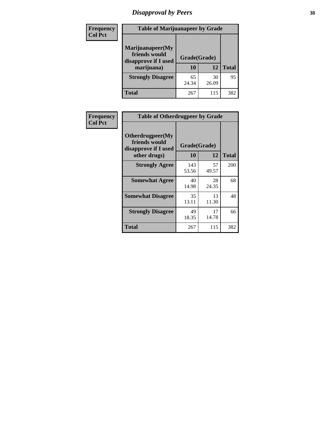# *Disapproval by Peers* **38**

| <b>Frequency</b> | <b>Table of Marijuanapeer by Grade</b>                                  |                           |             |              |  |
|------------------|-------------------------------------------------------------------------|---------------------------|-------------|--------------|--|
| <b>Col Pct</b>   | Marijuanapeer(My<br>friends would<br>disapprove if I used<br>marijuana) | Grade(Grade)<br><b>10</b> | 12          | <b>Total</b> |  |
|                  | <b>Strongly Disagree</b>                                                | 65<br>24.34               | 30<br>26.09 | 95           |  |
|                  | <b>Total</b>                                                            | 267                       | 115         | 382          |  |

| <b>Frequency</b> | <b>Table of Otherdrugpeer by Grade</b>                                    |                    |             |              |
|------------------|---------------------------------------------------------------------------|--------------------|-------------|--------------|
| <b>Col Pct</b>   | Otherdrugpeer(My<br>friends would<br>disapprove if I used<br>other drugs) | Grade(Grade)<br>10 | 12          | <b>Total</b> |
|                  | <b>Strongly Agree</b>                                                     | 143<br>53.56       | 57<br>49.57 | 200          |
|                  | <b>Somewhat Agree</b>                                                     | 40<br>14.98        | 28<br>24.35 | 68           |
|                  | <b>Somewhat Disagree</b>                                                  | 35<br>13.11        | 13<br>11.30 | 48           |
|                  | <b>Strongly Disagree</b>                                                  | 49<br>18.35        | 17<br>14.78 | 66           |
|                  | Total                                                                     | 267                | 115         | 382          |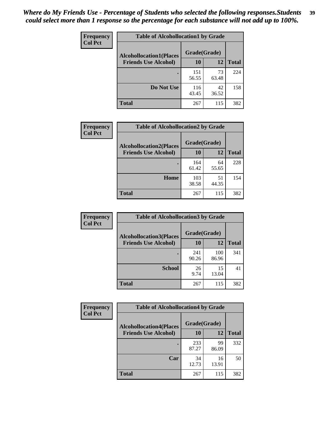| Frequency      | <b>Table of Alcohollocation1 by Grade</b> |              |             |              |
|----------------|-------------------------------------------|--------------|-------------|--------------|
| <b>Col Pct</b> | <b>Alcohollocation1(Places</b>            | Grade(Grade) |             |              |
|                | <b>Friends Use Alcohol)</b>               | 10           | 12          | <b>Total</b> |
|                |                                           | 151<br>56.55 | 73<br>63.48 | 224          |
|                | Do Not Use                                | 116<br>43.45 | 42<br>36.52 | 158          |
|                | <b>Total</b>                              | 267          | 115         | 382          |

| Frequency      | <b>Table of Alcohollocation2 by Grade</b>                     |                    |             |              |
|----------------|---------------------------------------------------------------|--------------------|-------------|--------------|
| <b>Col Pct</b> | <b>Alcohollocation2(Places</b><br><b>Friends Use Alcohol)</b> | Grade(Grade)<br>10 | 12          | <b>Total</b> |
|                |                                                               | 164<br>61.42       | 64<br>55.65 | 228          |
|                | Home                                                          | 103<br>38.58       | 51<br>44.35 | 154          |
|                | Total                                                         | 267                | 115         | 382          |

| Frequency<br><b>Col Pct</b> | <b>Table of Alcohollocation 3 by Grade</b>                    |                    |              |              |
|-----------------------------|---------------------------------------------------------------|--------------------|--------------|--------------|
|                             | <b>Alcohollocation3(Places</b><br><b>Friends Use Alcohol)</b> | Grade(Grade)<br>10 | 12           | <b>Total</b> |
|                             |                                                               |                    |              |              |
|                             |                                                               | 241<br>90.26       | 100<br>86.96 | 341          |
|                             | <b>School</b>                                                 | 26<br>9.74         | 15<br>13.04  | 41           |
|                             | Total                                                         | 267                | 115          | 382          |

| <b>Frequency</b> | <b>Table of Alcohollocation4 by Grade</b> |              |             |              |
|------------------|-------------------------------------------|--------------|-------------|--------------|
| <b>Col Pct</b>   | <b>Alcohollocation4(Places</b>            | Grade(Grade) |             |              |
|                  | <b>Friends Use Alcohol)</b>               | 10           | 12          | <b>Total</b> |
|                  |                                           | 233<br>87.27 | 99<br>86.09 | 332          |
|                  | Car                                       | 34<br>12.73  | 16<br>13.91 | 50           |
|                  | <b>Total</b>                              | 267          | 115         | 382          |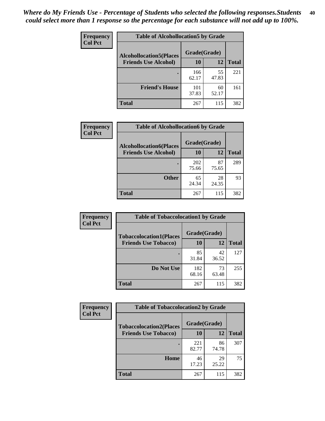| Frequency<br><b>Col Pct</b> | <b>Table of Alcohollocation5 by Grade</b> |              |             |              |
|-----------------------------|-------------------------------------------|--------------|-------------|--------------|
|                             | <b>Alcohollocation5(Places</b>            | Grade(Grade) |             |              |
|                             | <b>Friends Use Alcohol)</b>               | 10           | 12          | <b>Total</b> |
|                             |                                           | 166<br>62.17 | 55<br>47.83 | 221          |
|                             | <b>Friend's House</b>                     | 101<br>37.83 | 60<br>52.17 | 161          |
|                             | <b>Total</b>                              | 267          | 115         | 382          |

| Frequency      | <b>Table of Alcohollocation6 by Grade</b>                     |                    |             |              |
|----------------|---------------------------------------------------------------|--------------------|-------------|--------------|
| <b>Col Pct</b> | <b>Alcohollocation6(Places</b><br><b>Friends Use Alcohol)</b> | Grade(Grade)<br>10 | 12          | <b>Total</b> |
|                |                                                               |                    |             |              |
|                |                                                               | 202<br>75.66       | 87<br>75.65 | 289          |
|                | <b>Other</b>                                                  | 65<br>24.34        | 28<br>24.35 | 93           |
|                | Total                                                         | 267                | 115         | 382          |

| Frequency      | <b>Table of Tobaccolocation1 by Grade</b> |              |             |              |
|----------------|-------------------------------------------|--------------|-------------|--------------|
| <b>Col Pct</b> | <b>Tobaccolocation1(Places</b>            | Grade(Grade) |             |              |
|                | <b>Friends Use Tobacco)</b>               | 10           | 12          | <b>Total</b> |
|                |                                           | 85<br>31.84  | 42<br>36.52 | 127          |
|                | Do Not Use                                | 182<br>68.16 | 73<br>63.48 | 255          |
|                | <b>Total</b>                              | 267          | 115         | 382          |

| <b>Frequency</b> | <b>Table of Tobaccolocation2 by Grade</b> |              |             |              |  |
|------------------|-------------------------------------------|--------------|-------------|--------------|--|
| <b>Col Pct</b>   | <b>Tobaccolocation2(Places</b>            | Grade(Grade) |             |              |  |
|                  | <b>Friends Use Tobacco)</b>               | 10           | 12          | <b>Total</b> |  |
|                  |                                           | 221<br>82.77 | 86<br>74.78 | 307          |  |
|                  | Home                                      | 46<br>17.23  | 29<br>25.22 | 75           |  |
|                  | <b>Total</b>                              | 267          | 115         | 382          |  |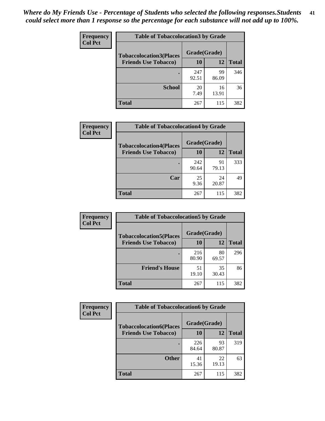| Frequency      | <b>Table of Tobaccolocation 3 by Grade</b> |              |             |              |  |  |
|----------------|--------------------------------------------|--------------|-------------|--------------|--|--|
| <b>Col Pct</b> | <b>Tobaccolocation3(Places</b>             | Grade(Grade) |             |              |  |  |
|                | <b>Friends Use Tobacco)</b>                | 10           | <b>12</b>   | <b>Total</b> |  |  |
|                |                                            | 247<br>92.51 | 99<br>86.09 | 346          |  |  |
|                | <b>School</b>                              | 20<br>7.49   | 16<br>13.91 | 36           |  |  |
|                | <b>Total</b>                               | 267          | 115         | 382          |  |  |

| Frequency      | <b>Table of Tobaccolocation4 by Grade</b> |              |             |              |
|----------------|-------------------------------------------|--------------|-------------|--------------|
| <b>Col Pct</b> | <b>Tobaccolocation4(Places</b>            | Grade(Grade) |             |              |
|                | <b>Friends Use Tobacco)</b>               | 10           | <b>12</b>   | <b>Total</b> |
|                |                                           | 242<br>90.64 | 91<br>79.13 | 333          |
|                | Car                                       | 25<br>9.36   | 24<br>20.87 | 49           |
|                | <b>Total</b>                              | 267          | 115         | 382          |

| Frequency      | <b>Table of Tobaccolocation5 by Grade</b>                     |                    |             |              |
|----------------|---------------------------------------------------------------|--------------------|-------------|--------------|
| <b>Col Pct</b> | <b>Tobaccolocation5(Places</b><br><b>Friends Use Tobacco)</b> | Grade(Grade)<br>10 | 12          | <b>Total</b> |
|                |                                                               | 216<br>80.90       | 80<br>69.57 | 296          |
|                | <b>Friend's House</b>                                         | 51<br>19.10        | 35<br>30.43 | 86           |
|                | <b>Total</b>                                                  | 267                | 115         | 382          |

| <b>Frequency</b> | <b>Table of Tobaccolocation6 by Grade</b> |              |             |              |  |
|------------------|-------------------------------------------|--------------|-------------|--------------|--|
| <b>Col Pct</b>   | <b>Tobaccolocation6(Places</b>            | Grade(Grade) |             |              |  |
|                  | <b>Friends Use Tobacco)</b>               | 10           | 12          | <b>Total</b> |  |
|                  |                                           | 226<br>84.64 | 93<br>80.87 | 319          |  |
|                  | <b>Other</b>                              | 41<br>15.36  | 22<br>19.13 | 63           |  |
|                  | <b>Total</b>                              | 267          | 115         | 382          |  |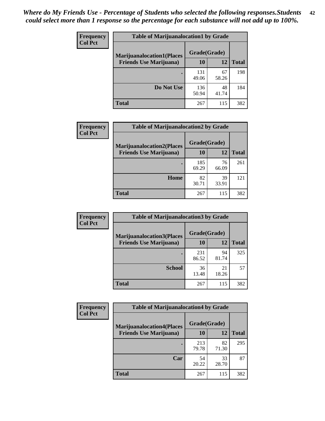| <b>Frequency</b> | <b>Table of Marijuanalocation1 by Grade</b> |              |             |              |
|------------------|---------------------------------------------|--------------|-------------|--------------|
| <b>Col Pct</b>   | <b>Marijuanalocation1(Places</b>            | Grade(Grade) |             |              |
|                  | <b>Friends Use Marijuana</b> )              | 10           | 12          | <b>Total</b> |
|                  |                                             | 131<br>49.06 | 67<br>58.26 | 198          |
|                  | Do Not Use                                  | 136<br>50.94 | 48<br>41.74 | 184          |
|                  | <b>Total</b>                                | 267          | 115         | 382          |

| <b>Frequency</b> | <b>Table of Marijuanalocation2 by Grade</b>                        |                    |             |              |
|------------------|--------------------------------------------------------------------|--------------------|-------------|--------------|
| <b>Col Pct</b>   | <b>Marijuanalocation2(Places</b><br><b>Friends Use Marijuana</b> ) | Grade(Grade)<br>10 | 12          | <b>Total</b> |
|                  |                                                                    | 185<br>69.29       | 76<br>66.09 | 261          |
|                  | Home                                                               | 82<br>30.71        | 39<br>33.91 | 121          |
|                  | <b>Total</b>                                                       | 267                | 115         | 382          |

| Frequency<br><b>Col Pct</b> | <b>Table of Marijuanalocation3 by Grade</b> |              |             |       |
|-----------------------------|---------------------------------------------|--------------|-------------|-------|
|                             | <b>Marijuanalocation3</b> (Places           | Grade(Grade) |             |       |
|                             | <b>Friends Use Marijuana</b> )              | 10           | 12          | Total |
|                             |                                             | 231<br>86.52 | 94<br>81.74 | 325   |
|                             | <b>School</b>                               | 36<br>13.48  | 21<br>18.26 | 57    |
|                             | <b>Total</b>                                | 267          | 115         | 382   |

| Frequency      | <b>Table of Marijuanalocation4 by Grade</b> |              |             |              |  |
|----------------|---------------------------------------------|--------------|-------------|--------------|--|
| <b>Col Pct</b> | <b>Marijuanalocation4(Places</b>            | Grade(Grade) |             |              |  |
|                | <b>Friends Use Marijuana</b> )              | <b>10</b>    | 12          | <b>Total</b> |  |
|                |                                             | 213<br>79.78 | 82<br>71.30 | 295          |  |
|                | Car                                         | 54<br>20.22  | 33<br>28.70 | 87           |  |
|                | <b>Total</b>                                | 267          | 115         | 382          |  |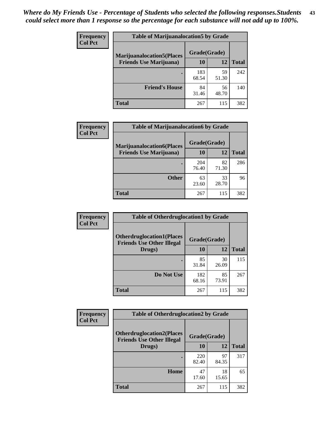| <b>Frequency</b> | <b>Table of Marijuanalocation5 by Grade</b> |              |             |              |
|------------------|---------------------------------------------|--------------|-------------|--------------|
| <b>Col Pct</b>   | <b>Marijuanalocation5</b> (Places           | Grade(Grade) |             |              |
|                  | <b>Friends Use Marijuana</b> )              | 10           | 12          | <b>Total</b> |
|                  |                                             | 183<br>68.54 | 59<br>51.30 | 242          |
|                  | <b>Friend's House</b>                       | 84<br>31.46  | 56<br>48.70 | 140          |
|                  | <b>Total</b>                                | 267          | 115         | 382          |

| <b>Frequency</b> | <b>Table of Marijuanalocation6 by Grade</b>                        |                    |             |              |
|------------------|--------------------------------------------------------------------|--------------------|-------------|--------------|
| <b>Col Pct</b>   | <b>Marijuanalocation6(Places</b><br><b>Friends Use Marijuana</b> ) | Grade(Grade)<br>10 | 12          | <b>Total</b> |
|                  |                                                                    | 204<br>76.40       | 82<br>71.30 | 286          |
|                  | <b>Other</b>                                                       | 63<br>23.60        | 33<br>28.70 | 96           |
|                  | <b>Total</b>                                                       | 267                | 115         | 382          |

| <b>Frequency</b> | <b>Table of Otherdruglocation1 by Grade</b>                          |              |             |              |
|------------------|----------------------------------------------------------------------|--------------|-------------|--------------|
| <b>Col Pct</b>   | <b>Otherdruglocation1(Places</b><br><b>Friends Use Other Illegal</b> | Grade(Grade) |             |              |
|                  | Drugs)                                                               | 10           | 12          | <b>Total</b> |
|                  |                                                                      | 85<br>31.84  | 30<br>26.09 | 115          |
|                  | Do Not Use                                                           | 182<br>68.16 | 85<br>73.91 | 267          |
|                  | <b>Total</b>                                                         | 267          | 115         | 382          |

| <b>Frequency</b> | <b>Table of Otherdruglocation2 by Grade</b>                          |              |             |              |
|------------------|----------------------------------------------------------------------|--------------|-------------|--------------|
| <b>Col Pct</b>   | <b>Otherdruglocation2(Places</b><br><b>Friends Use Other Illegal</b> | Grade(Grade) |             |              |
|                  | Drugs)                                                               | 10           | 12          | <b>Total</b> |
|                  |                                                                      | 220<br>82.40 | 97<br>84.35 | 317          |
|                  | <b>Home</b>                                                          | 47<br>17.60  | 18<br>15.65 | 65           |
|                  | <b>Total</b>                                                         | 267          | 115         | 382          |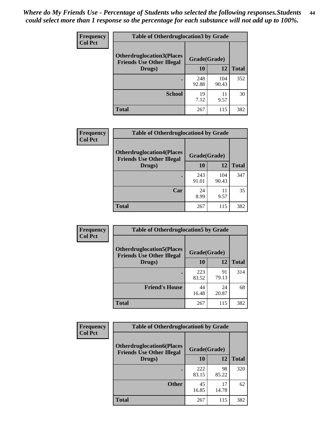| <b>Frequency</b> | <b>Table of Otherdruglocation 3 by Grade</b>                         |              |              |              |
|------------------|----------------------------------------------------------------------|--------------|--------------|--------------|
| <b>Col Pct</b>   | <b>Otherdruglocation3(Places</b><br><b>Friends Use Other Illegal</b> | Grade(Grade) |              |              |
|                  | Drugs)                                                               | 10           | 12           | <b>Total</b> |
|                  |                                                                      | 248<br>92.88 | 104<br>90.43 | 352          |
|                  | <b>School</b>                                                        | 19<br>7.12   | 11<br>9.57   | 30           |
|                  | <b>Total</b>                                                         | 267          | 115          | 382          |

| <b>Frequency</b> | <b>Table of Otherdruglocation4 by Grade</b>                          |              |              |              |
|------------------|----------------------------------------------------------------------|--------------|--------------|--------------|
| <b>Col Pct</b>   | <b>Otherdruglocation4(Places</b><br><b>Friends Use Other Illegal</b> | Grade(Grade) |              |              |
|                  | Drugs)                                                               | 10           | 12           | <b>Total</b> |
|                  |                                                                      | 243<br>91.01 | 104<br>90.43 | 347          |
|                  | Car                                                                  | 24<br>8.99   | 11<br>9.57   | 35           |
|                  | <b>Total</b>                                                         | 267          | 115          | 382          |

| Frequency      | <b>Table of Otherdruglocation5 by Grade</b>                          |              |             |              |
|----------------|----------------------------------------------------------------------|--------------|-------------|--------------|
| <b>Col Pct</b> | <b>Otherdruglocation5(Places</b><br><b>Friends Use Other Illegal</b> | Grade(Grade) |             |              |
|                | Drugs)                                                               | 10           | 12          | <b>Total</b> |
|                |                                                                      | 223<br>83.52 | 91<br>79.13 | 314          |
|                | <b>Friend's House</b>                                                | 44<br>16.48  | 24<br>20.87 | 68           |
|                | Total                                                                | 267          | 115         | 382          |

| Frequency      | <b>Table of Otherdruglocation6 by Grade</b>                          |              |             |              |
|----------------|----------------------------------------------------------------------|--------------|-------------|--------------|
| <b>Col Pct</b> | <b>Otherdruglocation6(Places</b><br><b>Friends Use Other Illegal</b> | Grade(Grade) |             |              |
|                | Drugs)                                                               | 10           | 12          | <b>Total</b> |
|                |                                                                      | 222<br>83.15 | 98<br>85.22 | 320          |
|                | <b>Other</b>                                                         | 45<br>16.85  | 17<br>14.78 | 62           |
|                | <b>Total</b>                                                         | 267          | 115         | 382          |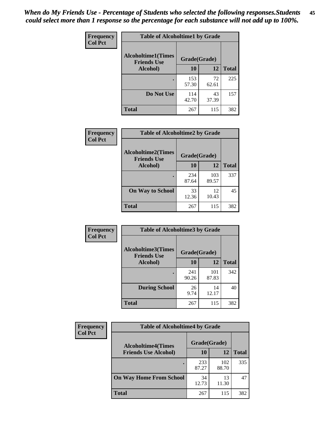| Frequency      | <b>Table of Alcoholtime1 by Grade</b>           |              |             |              |
|----------------|-------------------------------------------------|--------------|-------------|--------------|
| <b>Col Pct</b> | <b>Alcoholtime1(Times</b><br><b>Friends Use</b> | Grade(Grade) |             |              |
|                | Alcohol)                                        | 10           | <b>12</b>   | <b>Total</b> |
|                |                                                 | 153<br>57.30 | 72<br>62.61 | 225          |
|                | Do Not Use                                      | 114<br>42.70 | 43<br>37.39 | 157          |
|                | <b>Total</b>                                    | 267          | 115         | 382          |

| Frequency      | <b>Table of Alcoholtime2 by Grade</b>           |              |              |              |
|----------------|-------------------------------------------------|--------------|--------------|--------------|
| <b>Col Pct</b> | <b>Alcoholtime2(Times</b><br><b>Friends Use</b> | Grade(Grade) |              |              |
|                | <b>Alcohol</b> )                                | 10           | 12           | <b>Total</b> |
|                |                                                 | 234<br>87.64 | 103<br>89.57 | 337          |
|                | <b>On Way to School</b>                         | 33<br>12.36  | 12<br>10.43  | 45           |
|                | <b>Total</b>                                    | 267          | 115          | 382          |

| Frequency<br><b>Col Pct</b> | <b>Table of Alcoholtime3 by Grade</b>                           |              |              |              |
|-----------------------------|-----------------------------------------------------------------|--------------|--------------|--------------|
|                             | <b>Alcoholtime3(Times</b><br>Grade(Grade)<br><b>Friends Use</b> |              |              |              |
|                             | Alcohol)                                                        | 10           | 12           | <b>Total</b> |
|                             |                                                                 | 241<br>90.26 | 101<br>87.83 | 342          |
|                             | <b>During School</b>                                            | 26<br>9.74   | 14<br>12.17  | 40           |
|                             | <b>Total</b>                                                    | 267          | 115          | 382          |

| <b>Frequency</b> | <b>Table of Alcoholtime4 by Grade</b> |              |              |              |  |
|------------------|---------------------------------------|--------------|--------------|--------------|--|
| <b>Col Pct</b>   | <b>Alcoholtime4(Times</b>             | Grade(Grade) |              |              |  |
|                  | <b>Friends Use Alcohol)</b>           | 10           | 12           | <b>Total</b> |  |
|                  |                                       | 233<br>87.27 | 102<br>88.70 | 335          |  |
|                  | <b>On Way Home From School</b>        | 34<br>12.73  | 13<br>11.30  | 47           |  |
|                  | <b>Total</b>                          | 267          | 115          | 382          |  |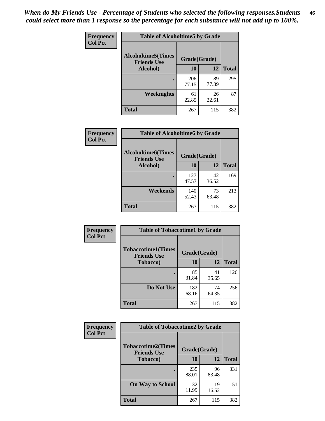*When do My Friends Use - Percentage of Students who selected the following responses.Students could select more than 1 response so the percentage for each substance will not add up to 100%.* **46**

| Frequency      | <b>Table of Alcoholtime5 by Grade</b>           |              |             |              |
|----------------|-------------------------------------------------|--------------|-------------|--------------|
| <b>Col Pct</b> | <b>Alcoholtime5(Times</b><br><b>Friends Use</b> | Grade(Grade) |             |              |
|                | Alcohol)                                        | 10           | <b>12</b>   | <b>Total</b> |
|                |                                                 | 206<br>77.15 | 89<br>77.39 | 295          |
|                | Weeknights                                      | 61<br>22.85  | 26<br>22.61 | 87           |
|                | <b>Total</b>                                    | 267          | 115         | 382          |

| <b>Frequency</b> | <b>Table of Alcoholtime6 by Grade</b>           |              |             |              |
|------------------|-------------------------------------------------|--------------|-------------|--------------|
| <b>Col Pct</b>   | <b>Alcoholtime6(Times</b><br><b>Friends Use</b> | Grade(Grade) |             |              |
|                  | Alcohol)                                        | 10           | 12          | <b>Total</b> |
|                  |                                                 | 127<br>47.57 | 42<br>36.52 | 169          |
|                  | Weekends                                        | 140<br>52.43 | 73<br>63.48 | 213          |
|                  | <b>Total</b>                                    | 267          | 115         | 382          |

| Frequency      | <b>Table of Tobaccotime1 by Grade</b>           |              |             |              |
|----------------|-------------------------------------------------|--------------|-------------|--------------|
| <b>Col Pct</b> | <b>Tobaccotime1(Times</b><br><b>Friends Use</b> | Grade(Grade) |             |              |
|                | <b>Tobacco</b> )                                | 10           | 12          | <b>Total</b> |
|                | ٠                                               | 85<br>31.84  | 41<br>35.65 | 126          |
|                | Do Not Use                                      | 182<br>68.16 | 74<br>64.35 | 256          |
|                | <b>Total</b>                                    | 267          | 115         | 382          |

| <b>Frequency</b> | <b>Table of Tobaccotime2 by Grade</b>           |              |             |              |
|------------------|-------------------------------------------------|--------------|-------------|--------------|
| <b>Col Pct</b>   | <b>Tobaccotime2(Times</b><br><b>Friends Use</b> | Grade(Grade) |             |              |
|                  | <b>Tobacco</b> )                                | <b>10</b>    | 12          | <b>Total</b> |
|                  |                                                 | 235<br>88.01 | 96<br>83.48 | 331          |
|                  | <b>On Way to School</b>                         | 32<br>11.99  | 19<br>16.52 | 51           |
|                  | <b>Total</b>                                    | 267          | 115         | 382          |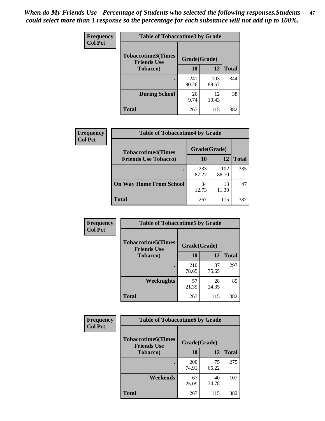*When do My Friends Use - Percentage of Students who selected the following responses.Students could select more than 1 response so the percentage for each substance will not add up to 100%.* **47**

| <b>Frequency</b> | <b>Table of Tobaccotime3 by Grade</b>           |              |              |              |  |
|------------------|-------------------------------------------------|--------------|--------------|--------------|--|
| <b>Col Pct</b>   | <b>Tobaccotime3(Times</b><br><b>Friends Use</b> |              | Grade(Grade) |              |  |
|                  | <b>Tobacco</b> )                                | 10           | 12           | <b>Total</b> |  |
|                  |                                                 | 241<br>90.26 | 103<br>89.57 | 344          |  |
|                  | <b>During School</b>                            | 26<br>9.74   | 12<br>10.43  | 38           |  |
|                  | <b>Total</b>                                    | 267          | 115          | 382          |  |

| Frequency<br><b>Col Pct</b> | <b>Table of Tobaccotime4 by Grade</b> |              |              |              |
|-----------------------------|---------------------------------------|--------------|--------------|--------------|
|                             | <b>Tobaccotime4(Times</b>             | Grade(Grade) |              |              |
|                             | <b>Friends Use Tobacco)</b>           | 10           | 12           | <b>Total</b> |
|                             |                                       | 233<br>87.27 | 102<br>88.70 | 335          |
|                             | <b>On Way Home From School</b>        | 34<br>12.73  | 13<br>11.30  | 47           |
|                             | Total                                 | 267          | 115          | 382          |

| Frequency      | <b>Table of Tobaccotime5 by Grade</b>            |              |             |              |
|----------------|--------------------------------------------------|--------------|-------------|--------------|
| <b>Col Pct</b> | <b>Tobaccotime5</b> (Times<br><b>Friends Use</b> | Grade(Grade) |             |              |
|                | <b>Tobacco</b> )                                 | 10           | 12          | <b>Total</b> |
|                |                                                  | 210<br>78.65 | 87<br>75.65 | 297          |
|                | Weeknights                                       | 57<br>21.35  | 28<br>24.35 | 85           |
|                | <b>Total</b>                                     | 267          | 115         | 382          |

| Frequency<br><b>Col Pct</b> | <b>Table of Tobaccotime6 by Grade</b>                           |              |             |              |
|-----------------------------|-----------------------------------------------------------------|--------------|-------------|--------------|
|                             | <b>Tobaccotime6(Times</b><br>Grade(Grade)<br><b>Friends Use</b> |              |             |              |
|                             | <b>Tobacco</b> )                                                | 10           | 12          | <b>Total</b> |
|                             |                                                                 | 200<br>74.91 | 75<br>65.22 | 275          |
|                             | Weekends                                                        | 67<br>25.09  | 40<br>34.78 | 107          |
|                             | Total                                                           | 267          | 115         | 382          |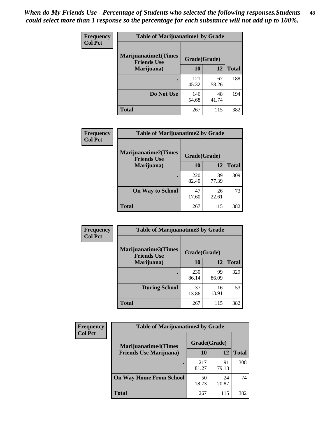| Frequency      | <b>Table of Marijuanatime1 by Grade</b>           |              |             |              |
|----------------|---------------------------------------------------|--------------|-------------|--------------|
| <b>Col Pct</b> | <b>Marijuanatime1(Times</b><br><b>Friends Use</b> | Grade(Grade) |             |              |
|                | Marijuana)                                        | 10           | 12          | <b>Total</b> |
|                |                                                   | 121<br>45.32 | 67<br>58.26 | 188          |
|                | Do Not Use                                        | 146<br>54.68 | 48<br>41.74 | 194          |
|                | <b>Total</b>                                      | 267          | 115         | 382          |

| Frequency      | <b>Table of Marijuanatime2 by Grade</b>    |              |             |              |
|----------------|--------------------------------------------|--------------|-------------|--------------|
| <b>Col Pct</b> | Marijuanatime2(Times<br><b>Friends Use</b> | Grade(Grade) |             |              |
|                | Marijuana)                                 | 10           | 12          | <b>Total</b> |
|                | ٠                                          | 220<br>82.40 | 89<br>77.39 | 309          |
|                | <b>On Way to School</b>                    | 47<br>17.60  | 26<br>22.61 | 73           |
|                | <b>Total</b>                               | 267          | 115         | 382          |

| Frequency<br><b>Col Pct</b> | <b>Table of Marijuanatime3 by Grade</b>    |              |             |              |
|-----------------------------|--------------------------------------------|--------------|-------------|--------------|
|                             | Marijuanatime3(Times<br><b>Friends Use</b> | Grade(Grade) |             |              |
|                             | Marijuana)                                 | 10           | 12          | <b>Total</b> |
|                             |                                            | 230<br>86.14 | 99<br>86.09 | 329          |
|                             | <b>During School</b>                       | 37<br>13.86  | 16<br>13.91 | 53           |
|                             | <b>Total</b>                               | 267          | 115         | 382          |

| Frequency      | <b>Table of Marijuanatime4 by Grade</b> |              |             |              |
|----------------|-----------------------------------------|--------------|-------------|--------------|
| <b>Col Pct</b> | <b>Marijuanatime4</b> (Times            | Grade(Grade) |             |              |
|                | <b>Friends Use Marijuana</b> )          | 10           | 12          | <b>Total</b> |
|                |                                         | 217<br>81.27 | 91<br>79.13 | 308          |
|                | <b>On Way Home From School</b>          | 50<br>18.73  | 24<br>20.87 | 74           |
|                | <b>Total</b>                            | 267          | 115         | 382          |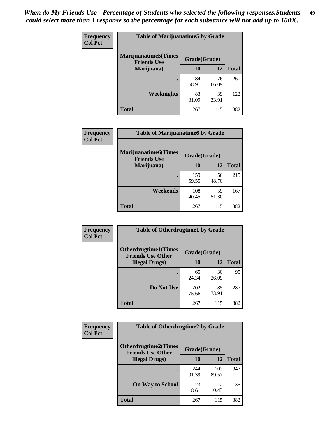| Frequency      | <b>Table of Marijuanatime5 by Grade</b>            |              |             |              |
|----------------|----------------------------------------------------|--------------|-------------|--------------|
| <b>Col Pct</b> | <b>Marijuanatime5</b> (Times<br><b>Friends Use</b> | Grade(Grade) |             |              |
|                | Marijuana)                                         | 10           | 12          | <b>Total</b> |
|                |                                                    | 184<br>68.91 | 76<br>66.09 | 260          |
|                | <b>Weeknights</b>                                  | 83<br>31.09  | 39<br>33.91 | 122          |
|                | <b>Total</b>                                       | 267          | 115         | 382          |

| Frequency      | <b>Table of Marijuanatime6 by Grade</b>    |              |             |              |
|----------------|--------------------------------------------|--------------|-------------|--------------|
| <b>Col Pct</b> | Marijuanatime6(Times<br><b>Friends Use</b> | Grade(Grade) |             |              |
|                | Marijuana)                                 | 10           | 12          | <b>Total</b> |
|                |                                            | 159<br>59.55 | 56<br>48.70 | 215          |
|                | Weekends                                   | 108<br>40.45 | 59<br>51.30 | 167          |
|                | <b>Total</b>                               | 267          | 115         | 382          |

| Frequency      | <b>Table of Otherdrugtime1 by Grade</b>                 |              |             |              |
|----------------|---------------------------------------------------------|--------------|-------------|--------------|
| <b>Col Pct</b> | <b>Otherdrugtime1(Times</b><br><b>Friends Use Other</b> | Grade(Grade) |             |              |
|                | <b>Illegal Drugs</b> )                                  | 10           | 12          | <b>Total</b> |
|                |                                                         | 65<br>24.34  | 30<br>26.09 | 95           |
|                | Do Not Use                                              | 202<br>75.66 | 85<br>73.91 | 287          |
|                | Total                                                   | 267          | 115         | 382          |

| <b>Frequency</b> | <b>Table of Otherdrugtime2 by Grade</b>                                 |              |              |              |  |  |
|------------------|-------------------------------------------------------------------------|--------------|--------------|--------------|--|--|
| <b>Col Pct</b>   | <b>Otherdrugtime2(Times</b><br>Grade(Grade)<br><b>Friends Use Other</b> |              |              |              |  |  |
|                  | <b>Illegal Drugs</b> )                                                  |              | 12           | <b>Total</b> |  |  |
|                  |                                                                         | 244<br>91.39 | 103<br>89.57 | 347          |  |  |
|                  | <b>On Way to School</b>                                                 | 23<br>8.61   | 12<br>10.43  | 35           |  |  |
|                  | <b>Total</b>                                                            | 267          | 115          | 382          |  |  |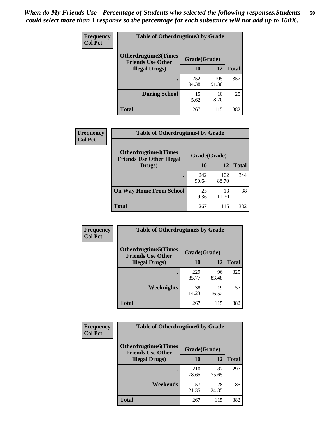| <b>Frequency</b> | <b>Table of Otherdrugtime3 by Grade</b>          |              |              |              |  |  |
|------------------|--------------------------------------------------|--------------|--------------|--------------|--|--|
| <b>Col Pct</b>   | Otherdrugtime3(Times<br><b>Friends Use Other</b> | Grade(Grade) |              |              |  |  |
|                  | <b>Illegal Drugs</b> )                           | 10           | 12           | <b>Total</b> |  |  |
|                  |                                                  | 252<br>94.38 | 105<br>91.30 | 357          |  |  |
|                  | <b>During School</b>                             | 15<br>5.62   | 10<br>8.70   | 25           |  |  |
|                  | Total                                            | 267          | 115          | 382          |  |  |

| Frequency      | <b>Table of Otherdrugtime4 by Grade</b>                         |              |              |              |  |  |
|----------------|-----------------------------------------------------------------|--------------|--------------|--------------|--|--|
| <b>Col Pct</b> | <b>Otherdrugtime4(Times</b><br><b>Friends Use Other Illegal</b> | Grade(Grade) |              |              |  |  |
|                | Drugs)                                                          | 10           | 12           | <b>Total</b> |  |  |
|                | ٠                                                               | 242<br>90.64 | 102<br>88.70 | 344          |  |  |
|                | <b>On Way Home From School</b>                                  | 25<br>9.36   | 13<br>11.30  | 38           |  |  |
|                | Total                                                           | 267          | 115          | 382          |  |  |

| <b>Frequency</b> | <b>Table of Otherdrugtime5 by Grade</b>                  |              |             |              |  |  |
|------------------|----------------------------------------------------------|--------------|-------------|--------------|--|--|
| <b>Col Pct</b>   | <b>Otherdrugtime5</b> (Times<br><b>Friends Use Other</b> | Grade(Grade) |             |              |  |  |
|                  | <b>Illegal Drugs</b> )                                   | 10           | 12          | <b>Total</b> |  |  |
|                  |                                                          | 229<br>85.77 | 96<br>83.48 | 325          |  |  |
|                  | Weeknights                                               | 38<br>14.23  | 19<br>16.52 | 57           |  |  |
|                  | <b>Total</b>                                             | 267          | 115         | 382          |  |  |

| Frequency      | <b>Table of Otherdrugtime6 by Grade</b>                                 |              |             |              |  |  |
|----------------|-------------------------------------------------------------------------|--------------|-------------|--------------|--|--|
| <b>Col Pct</b> | <b>Otherdrugtime6(Times</b><br>Grade(Grade)<br><b>Friends Use Other</b> |              |             |              |  |  |
|                | <b>Illegal Drugs</b> )                                                  | 10           | 12          | <b>Total</b> |  |  |
|                |                                                                         | 210<br>78.65 | 87<br>75.65 | 297          |  |  |
|                | Weekends                                                                | 57<br>21.35  | 28<br>24.35 | 85           |  |  |
|                | <b>Total</b>                                                            | 267          | 115         | 382          |  |  |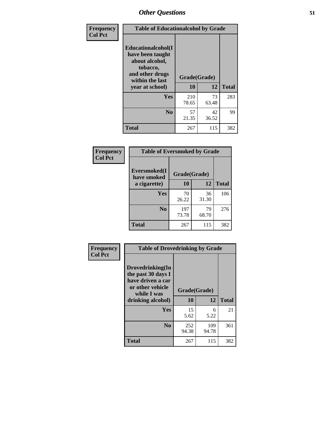| Frequency      | <b>Table of Educationalcohol by Grade</b>                                                                  |              |             |              |  |
|----------------|------------------------------------------------------------------------------------------------------------|--------------|-------------|--------------|--|
| <b>Col Pct</b> | Educationalcohol(I<br>have been taught<br>about alcohol,<br>tobacco,<br>and other drugs<br>within the last | Grade(Grade) |             |              |  |
|                | year at school)                                                                                            | 10           | 12          | <b>Total</b> |  |
|                | <b>Yes</b>                                                                                                 | 210<br>78.65 | 73<br>63.48 | 283          |  |
|                | N <sub>0</sub>                                                                                             | 57<br>21.35  | 42<br>36.52 | 99           |  |
|                | <b>Total</b>                                                                                               | 267          | 115         | 382          |  |

| Frequency      | <b>Table of Eversmoked by Grade</b> |              |             |              |  |  |
|----------------|-------------------------------------|--------------|-------------|--------------|--|--|
| <b>Col Pct</b> | Eversmoked(I<br>have smoked         | Grade(Grade) |             |              |  |  |
|                | a cigarette)                        | 10           | 12          | <b>Total</b> |  |  |
|                | <b>Yes</b>                          | 70<br>26.22  | 36<br>31.30 | 106          |  |  |
|                | N <sub>0</sub>                      | 197<br>73.78 | 79<br>68.70 | 276          |  |  |
|                | <b>Total</b>                        | 267          | 115         | 382          |  |  |

| Frequency      | <b>Table of Drovedrinking by Grade</b>                                                                              |                    |              |     |  |  |
|----------------|---------------------------------------------------------------------------------------------------------------------|--------------------|--------------|-----|--|--|
| <b>Col Pct</b> | Drovedrinking(In<br>the past 30 days I<br>have driven a car<br>or other vehicle<br>while I was<br>drinking alcohol) | Grade(Grade)<br>10 | <b>Total</b> |     |  |  |
|                | Yes                                                                                                                 | 15                 | 12<br>6      | 21  |  |  |
|                |                                                                                                                     | 5.62               | 5.22         |     |  |  |
|                | N <sub>0</sub>                                                                                                      | 252<br>94.38       | 109<br>94.78 | 361 |  |  |
|                | <b>Total</b>                                                                                                        | 267                | 115          | 382 |  |  |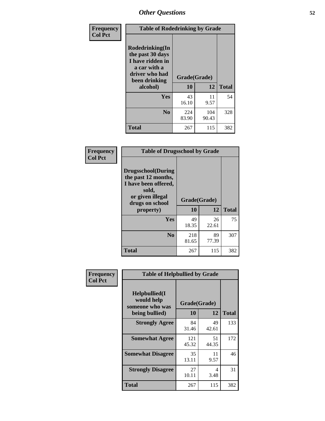| Frequency<br><b>Col Pct</b> | <b>Table of Rodedrinking by Grade</b>                                                                      |              |              |              |  |  |
|-----------------------------|------------------------------------------------------------------------------------------------------------|--------------|--------------|--------------|--|--|
|                             | Rodedrinking(In<br>the past 30 days<br>I have ridden in<br>a car with a<br>driver who had<br>been drinking | Grade(Grade) |              |              |  |  |
|                             | alcohol)                                                                                                   | 10           | 12           | <b>Total</b> |  |  |
|                             | <b>Yes</b>                                                                                                 | 43<br>16.10  | 11<br>9.57   | 54           |  |  |
|                             | N <sub>0</sub>                                                                                             | 224<br>83.90 | 104<br>90.43 | 328          |  |  |
|                             | <b>Total</b>                                                                                               | 267          | 115          | 382          |  |  |

#### **Frequency Col Pct**

| <b>Table of Drugsschool by Grade</b>                                                                                      |              |       |              |  |  |  |
|---------------------------------------------------------------------------------------------------------------------------|--------------|-------|--------------|--|--|--|
| <b>Drugsschool</b> (During<br>the past 12 months,<br>I have been offered,<br>sold,<br>or given illegal<br>drugs on school | Grade(Grade) |       |              |  |  |  |
| property)                                                                                                                 | 10           | 12    | <b>Total</b> |  |  |  |
| Yes                                                                                                                       | 49           | 26    | 75           |  |  |  |
|                                                                                                                           | 18.35        | 22.61 |              |  |  |  |
|                                                                                                                           |              |       |              |  |  |  |
| N <sub>0</sub>                                                                                                            | 218          | 89    | 307          |  |  |  |
|                                                                                                                           | 81.65        | 77.39 |              |  |  |  |

| Frequency      | <b>Table of Helpbullied by Grade</b>           |              |             |              |  |  |  |
|----------------|------------------------------------------------|--------------|-------------|--------------|--|--|--|
| <b>Col Pct</b> | Helpbullied(I<br>would help<br>someone who was | Grade(Grade) |             |              |  |  |  |
|                | being bullied)                                 | 10           | 12          | <b>Total</b> |  |  |  |
|                | <b>Strongly Agree</b>                          | 84<br>31.46  | 49<br>42.61 | 133          |  |  |  |
|                | <b>Somewhat Agree</b>                          | 121<br>45.32 | 51<br>44.35 | 172          |  |  |  |
|                | <b>Somewhat Disagree</b>                       | 35<br>13.11  | 11<br>9.57  | 46           |  |  |  |
|                | <b>Strongly Disagree</b>                       | 27<br>10.11  | 4<br>3.48   | 31           |  |  |  |
|                | <b>Total</b>                                   | 267          | 115         | 382          |  |  |  |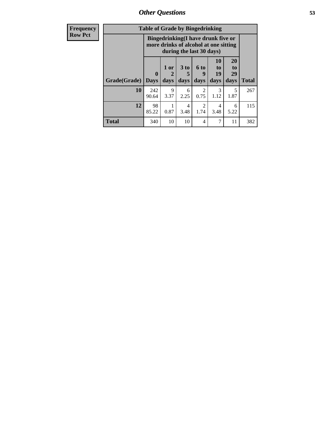*Other Questions* **53**

| <b>Frequency</b> | <b>Table of Grade by Bingedrinking</b> |                             |                |                     |                                                                                                         |                        |                        |              |
|------------------|----------------------------------------|-----------------------------|----------------|---------------------|---------------------------------------------------------------------------------------------------------|------------------------|------------------------|--------------|
| <b>Row Pct</b>   |                                        |                             |                |                     | Bingedrinking(I have drunk five or<br>more drinks of alcohol at one sitting<br>during the last 30 days) |                        |                        |              |
|                  | Grade(Grade)                           | $\mathbf{0}$<br><b>Days</b> | $1$ or<br>days | $3$ to<br>5<br>days | 6 <sub>to</sub><br>9<br>days                                                                            | 10<br>to<br>19<br>days | 20<br>to<br>29<br>days | <b>Total</b> |
|                  | 10                                     | 242<br>90.64                | 9<br>3.37      | 6<br>2.25           | 2<br>0.75                                                                                               | 3<br>1.12              | 5<br>1.87              | 267          |
|                  | 12                                     | 98<br>85.22                 | 0.87           | 4<br>3.48           | 2<br>1.74                                                                                               | 4<br>3.48              | 6<br>5.22              | 115          |
|                  | <b>Total</b>                           | 340                         | 10             | 10                  | 4                                                                                                       | 7                      | 11                     | 382          |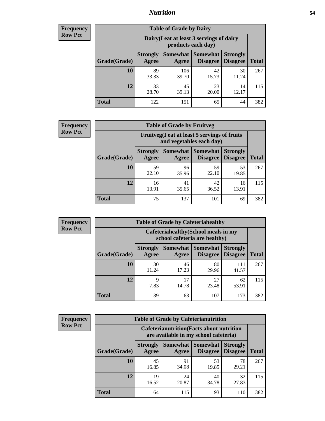### *Nutrition* **54**

| <b>Frequency</b><br>Row Pct |
|-----------------------------|
|                             |

| <b>Table of Grade by Dairy</b> |                          |                                                                 |                             |                                    |              |  |
|--------------------------------|--------------------------|-----------------------------------------------------------------|-----------------------------|------------------------------------|--------------|--|
|                                |                          | Dairy (I eat at least 3 servings of dairy<br>products each day) |                             |                                    |              |  |
| Grade(Grade)                   | <b>Strongly</b><br>Agree | Somewhat<br>Agree                                               | <b>Somewhat</b><br>Disagree | <b>Strongly</b><br><b>Disagree</b> | <b>Total</b> |  |
| 10                             | 89<br>33.33              | 106<br>39.70                                                    | 42<br>15.73                 | 30<br>11.24                        | 267          |  |
| 12                             | 33<br>28.70              | 45<br>39.13                                                     | 23<br>20.00                 | 14<br>12.17                        | 115          |  |
| <b>Total</b>                   | 122                      | 151                                                             | 65                          | 44                                 | 382          |  |

| <b>Frequency</b> |  |
|------------------|--|
| <b>Row Pct</b>   |  |

| <b>Table of Grade by Fruitveg</b>                                        |                          |                     |                 |                                             |              |
|--------------------------------------------------------------------------|--------------------------|---------------------|-----------------|---------------------------------------------|--------------|
| Fruitveg(I eat at least 5 servings of fruits<br>and vegetables each day) |                          |                     |                 |                                             |              |
| Grade(Grade)                                                             | <b>Strongly</b><br>Agree | Somewhat  <br>Agree | <b>Somewhat</b> | <b>Strongly</b><br><b>Disagree</b> Disagree | <b>Total</b> |
| 10                                                                       | 59<br>22.10              | 96<br>35.96         | 59<br>22.10     | 53<br>19.85                                 | 267          |
| 12                                                                       | 16<br>13.91              | 41<br>35.65         | 42<br>36.52     | 16<br>13.91                                 | 115          |
| <b>Total</b>                                                             | 75                       | 137                 | 101             | 69                                          | 382          |

| <b>Frequency</b><br>Row Pct |
|-----------------------------|

Е

| <b>Table of Grade by Cafeteriahealthy</b> |                                                                       |                     |                             |                                    |              |  |
|-------------------------------------------|-----------------------------------------------------------------------|---------------------|-----------------------------|------------------------------------|--------------|--|
|                                           | Cafeteriahealthy (School meals in my<br>school cafeteria are healthy) |                     |                             |                                    |              |  |
| Grade(Grade)                              | <b>Strongly</b><br>Agree                                              | Somewhat  <br>Agree | <b>Somewhat</b><br>Disagree | <b>Strongly</b><br><b>Disagree</b> | <b>Total</b> |  |
| 10                                        | 30<br>11.24                                                           | 46<br>17.23         | 80<br>29.96                 | 111<br>41.57                       | 267          |  |
| 12                                        | 9<br>7.83                                                             | 17<br>14.78         | 27<br>23.48                 | 62<br>53.91                        | 115          |  |
| <b>Total</b>                              | 39                                                                    | 63                  | 107                         | 173                                | 382          |  |

**Frequency Row Pct**

| <b>Table of Grade by Cafeterianutrition</b>                                               |                          |                     |                      |                                    |              |  |
|-------------------------------------------------------------------------------------------|--------------------------|---------------------|----------------------|------------------------------------|--------------|--|
| <b>Cafeterianutrition</b> (Facts about nutrition<br>are available in my school cafeteria) |                          |                     |                      |                                    |              |  |
| Grade(Grade)                                                                              | <b>Strongly</b><br>Agree | Somewhat  <br>Agree | Somewhat<br>Disagree | <b>Strongly</b><br><b>Disagree</b> | <b>Total</b> |  |
| 10                                                                                        | 45<br>16.85              | 91<br>34.08         | 53<br>19.85          | 78<br>29.21                        | 267          |  |
| 12                                                                                        | 19<br>16.52              | 24<br>20.87         | 40<br>34.78          | 32<br>27.83                        | 115          |  |
| <b>Total</b>                                                                              | 64                       | 115                 | 93                   | 110                                | 382          |  |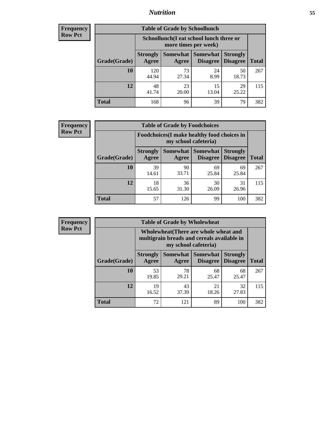### *Nutrition* **55**

| <b>Frequency</b> |
|------------------|
| <b>Row Pct</b>   |

| <b>Table of Grade by Schoollunch</b> |                          |                                                                 |                             |                                    |              |  |
|--------------------------------------|--------------------------|-----------------------------------------------------------------|-----------------------------|------------------------------------|--------------|--|
|                                      |                          | Schoollunch(I eat school lunch three or<br>more times per week) |                             |                                    |              |  |
| Grade(Grade)                         | <b>Strongly</b><br>Agree | <b>Somewhat</b><br>Agree                                        | <b>Somewhat</b><br>Disagree | <b>Strongly</b><br><b>Disagree</b> | <b>Total</b> |  |
| 10                                   | 120<br>44.94             | 73<br>27.34                                                     | 24<br>8.99                  | 50<br>18.73                        | 267          |  |
| 12                                   | 48<br>41.74              | 23<br>20.00                                                     | 15<br>13.04                 | 29<br>25.22                        | 115          |  |
| <b>Total</b>                         | 168                      | 96                                                              | 39                          | 79                                 | 382          |  |

| <b>Frequency</b> |  |
|------------------|--|
| <b>Row Pct</b>   |  |

| <b>Table of Grade by Foodchoices</b>                                |                          |             |                               |                                    |              |
|---------------------------------------------------------------------|--------------------------|-------------|-------------------------------|------------------------------------|--------------|
| Foodchoices (I make healthy food choices in<br>my school cafeteria) |                          |             |                               |                                    |              |
| Grade(Grade)                                                        | <b>Strongly</b><br>Agree | Agree       | Somewhat Somewhat<br>Disagree | <b>Strongly</b><br><b>Disagree</b> | <b>Total</b> |
| 10                                                                  | 39<br>14.61              | 90<br>33.71 | 69<br>25.84                   | 69<br>25.84                        | 267          |
| 12                                                                  | 18<br>15.65              | 36<br>31.30 | 30<br>26.09                   | 31<br>26.96                        | 115          |
| <b>Total</b>                                                        | 57                       | 126         | 99                            | 100                                | 382          |

| Frequency |  |
|-----------|--|
|           |  |

Е

| <b>Table of Grade by Wholewheat</b> |                          |                                                                                                             |                                               |                                    |              |  |
|-------------------------------------|--------------------------|-------------------------------------------------------------------------------------------------------------|-----------------------------------------------|------------------------------------|--------------|--|
|                                     |                          | Wholewheat (There are whole wheat and<br>multigrain breads and cereals available in<br>my school cafeteria) |                                               |                                    |              |  |
| Grade(Grade)                        | <b>Strongly</b><br>Agree | Agree                                                                                                       | <b>Somewhat   Somewhat</b><br><b>Disagree</b> | <b>Strongly</b><br><b>Disagree</b> | <b>Total</b> |  |
| 10                                  | 53<br>19.85              | 78<br>29.21                                                                                                 | 68<br>25.47                                   | 68<br>25.47                        | 267          |  |
| 12                                  | 19<br>16.52              | 43<br>37.39                                                                                                 | 21<br>18.26                                   | 32<br>27.83                        | 115          |  |
| <b>Total</b>                        | 72                       | 121                                                                                                         | 89                                            | 100                                | 382          |  |

٦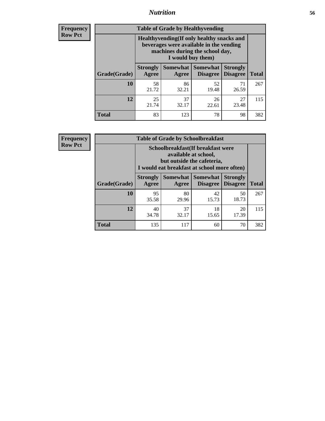### *Nutrition* **56**

**Frequency Row Pct**

| <b>Table of Grade by Healthyvending</b> |                                                                                                                                               |                          |                                    |                                    |              |  |  |
|-----------------------------------------|-----------------------------------------------------------------------------------------------------------------------------------------------|--------------------------|------------------------------------|------------------------------------|--------------|--|--|
|                                         | Healthyvending (If only healthy snacks and<br>beverages were available in the vending<br>machines during the school day,<br>I would buy them) |                          |                                    |                                    |              |  |  |
| Grade(Grade)                            | <b>Strongly</b><br>Agree                                                                                                                      | <b>Somewhat</b><br>Agree | <b>Somewhat</b><br><b>Disagree</b> | <b>Strongly</b><br><b>Disagree</b> | <b>Total</b> |  |  |
| 10                                      | 58<br>21.72                                                                                                                                   | 86<br>32.21              | 52<br>19.48                        | 71<br>26.59                        | 267          |  |  |
| 12                                      | 25<br>21.74                                                                                                                                   | 37<br>32.17              | 26<br>22.61                        | 27<br>23.48                        | 115          |  |  |
| <b>Total</b>                            | 83                                                                                                                                            | 123                      | 78                                 | 98                                 | 382          |  |  |

**Frequency Row Pct**

| <b>Table of Grade by Schoolbreakfast</b> |                                                                                                                                        |                     |                                    |                                    |              |  |
|------------------------------------------|----------------------------------------------------------------------------------------------------------------------------------------|---------------------|------------------------------------|------------------------------------|--------------|--|
|                                          | Schoolbreakfast(If breakfast were<br>available at school,<br>but outside the cafeteria,<br>I would eat breakfast at school more often) |                     |                                    |                                    |              |  |
| Grade(Grade)                             | <b>Strongly</b><br>Agree                                                                                                               | Somewhat  <br>Agree | <b>Somewhat</b><br><b>Disagree</b> | <b>Strongly</b><br><b>Disagree</b> | <b>Total</b> |  |
| 10                                       | 95<br>35.58                                                                                                                            | 80<br>29.96         | 42<br>15.73                        | 50<br>18.73                        | 267          |  |
| 12                                       | 40<br>34.78                                                                                                                            | 37<br>32.17         | 18<br>15.65                        | 20<br>17.39                        | 115          |  |
| <b>Total</b>                             | 135                                                                                                                                    | 117                 | 60                                 | 70                                 | 382          |  |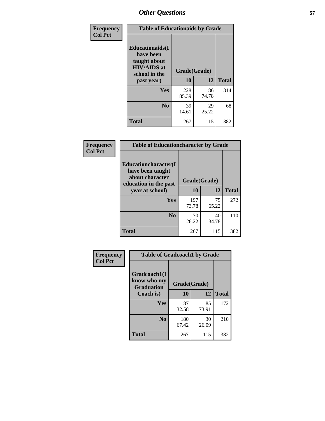| Frequency<br><b>Col Pct</b> | <b>Table of Educationaids by Grade</b>                                                                    |                    |             |              |
|-----------------------------|-----------------------------------------------------------------------------------------------------------|--------------------|-------------|--------------|
|                             | <b>Educationaids</b> (I<br>have been<br>taught about<br><b>HIV/AIDS</b> at<br>school in the<br>past year) | Grade(Grade)<br>10 | 12          | <b>Total</b> |
|                             | Yes                                                                                                       | 228<br>85.39       | 86<br>74.78 | 314          |
|                             | N <sub>0</sub>                                                                                            | 39<br>14.61        | 29<br>25.22 | 68           |
|                             | <b>Total</b>                                                                                              | 267                | 115         | 382          |

| <b>Frequency</b> | <b>Table of Educationcharacter by Grade</b>                                          |              |             |              |
|------------------|--------------------------------------------------------------------------------------|--------------|-------------|--------------|
| <b>Col Pct</b>   | Educationcharacter(I<br>have been taught<br>about character<br>education in the past | Grade(Grade) |             |              |
|                  | year at school)                                                                      | 10           | 12          | <b>Total</b> |
|                  | Yes                                                                                  | 197<br>73.78 | 75<br>65.22 | 272          |
|                  | N <sub>0</sub>                                                                       | 70<br>26.22  | 40<br>34.78 | 110          |
|                  | <b>Total</b>                                                                         | 267          | 115         | 382          |

| Frequency      | <b>Table of Gradcoach1 by Grade</b>              |              |             |              |
|----------------|--------------------------------------------------|--------------|-------------|--------------|
| <b>Col Pct</b> | Gradcoach1(I<br>know who my<br><b>Graduation</b> | Grade(Grade) |             |              |
|                | Coach is)                                        | 10           | 12          | <b>Total</b> |
|                | Yes                                              | 87<br>32.58  | 85<br>73.91 | 172          |
|                | N <sub>0</sub>                                   | 180<br>67.42 | 30<br>26.09 | 210          |
|                | <b>Total</b>                                     | 267          | 115         | 382          |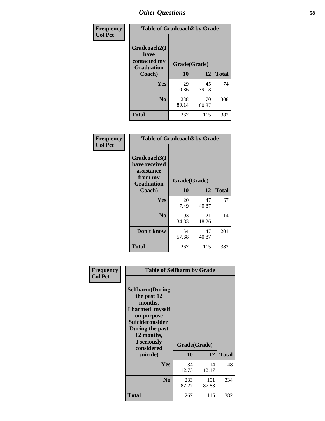| Frequency      | <b>Table of Gradcoach2 by Grade</b> |              |             |              |
|----------------|-------------------------------------|--------------|-------------|--------------|
| <b>Col Pct</b> | Gradcoach2(I<br>have                |              |             |              |
|                | contacted my<br><b>Graduation</b>   | Grade(Grade) |             |              |
|                | Coach)                              | 10           | 12          | <b>Total</b> |
|                | Yes                                 | 29<br>10.86  | 45<br>39.13 | 74           |
|                | N <sub>0</sub>                      | 238<br>89.14 | 70<br>60.87 | 308          |
|                | <b>Total</b>                        | 267          | 115         | 382          |

| Frequency<br><b>Col Pct</b> | <b>Table of Gradcoach3 by Grade</b>                                         |              |             |              |
|-----------------------------|-----------------------------------------------------------------------------|--------------|-------------|--------------|
|                             | Gradcoach3(I<br>have received<br>assistance<br>from my<br><b>Graduation</b> | Grade(Grade) |             |              |
|                             | Coach)                                                                      | 10           | 12          | <b>Total</b> |
|                             | Yes                                                                         | 20<br>7.49   | 47<br>40.87 | 67           |
|                             | N <sub>0</sub>                                                              | 93<br>34.83  | 21<br>18.26 | 114          |
|                             | Don't know                                                                  | 154<br>57.68 | 47<br>40.87 | 201          |
|                             | <b>Total</b>                                                                | 267          | 115         | 382          |

| Frequency<br><b>Col Pct</b> | <b>Table of Selfharm by Grade</b>                                                                                                                                                      |              |                    |              |
|-----------------------------|----------------------------------------------------------------------------------------------------------------------------------------------------------------------------------------|--------------|--------------------|--------------|
|                             | <b>Selfharm</b> (During<br>the past 12<br>months,<br>I harmed myself<br>on purpose<br><b>Suicideconsider</b><br>During the past<br>12 months,<br>I seriously<br>considered<br>suicide) | 10           | Grade(Grade)<br>12 | <b>Total</b> |
|                             | Yes                                                                                                                                                                                    | 34<br>12.73  | 14<br>12.17        | 48           |
|                             | N <sub>0</sub>                                                                                                                                                                         | 233<br>87.27 | 101<br>87.83       | 334          |
|                             | Total                                                                                                                                                                                  | 267          | 115                | 382          |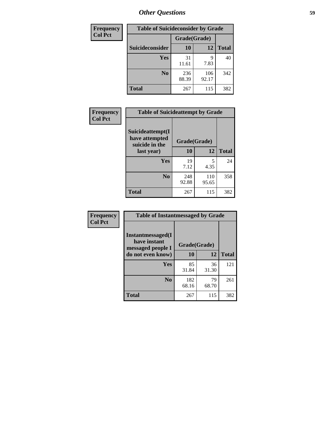| <b>Frequency</b> |                 |              | <b>Table of Suicideconsider by Grade</b> |              |
|------------------|-----------------|--------------|------------------------------------------|--------------|
| <b>Col Pct</b>   |                 | Grade(Grade) |                                          |              |
|                  | Suicideconsider | <b>10</b>    | 12                                       | <b>Total</b> |
|                  | Yes             | 31<br>11.61  | 9<br>7.83                                | 40           |
|                  | N <sub>0</sub>  | 236<br>88.39 | 106<br>92.17                             | 342          |
|                  | <b>Total</b>    | 267          | 115                                      | 382          |

| Frequency      | <b>Table of Suicideattempt by Grade</b>              |              |              |              |
|----------------|------------------------------------------------------|--------------|--------------|--------------|
| <b>Col Pct</b> | Suicideattempt(I<br>have attempted<br>suicide in the | Grade(Grade) |              |              |
|                | last year)                                           | 10           | 12           | <b>Total</b> |
|                | Yes                                                  | 19<br>7.12   | 5<br>4.35    | 24           |
|                | N <sub>0</sub>                                       | 248<br>92.88 | 110<br>95.65 | 358          |
|                | <b>Total</b>                                         | 267          | 115          | 382          |

| Frequency      | <b>Table of Instantmessaged by Grade</b>               |              |             |              |
|----------------|--------------------------------------------------------|--------------|-------------|--------------|
| <b>Col Pct</b> | Instantmessaged(I<br>have instant<br>messaged people I | Grade(Grade) |             |              |
|                | do not even know)                                      | 10           | 12          | <b>Total</b> |
|                | Yes                                                    | 85<br>31.84  | 36<br>31.30 | 121          |
|                | N <sub>0</sub>                                         | 182<br>68.16 | 79<br>68.70 | 261          |
|                | <b>Total</b>                                           | 267          | 115         | 382          |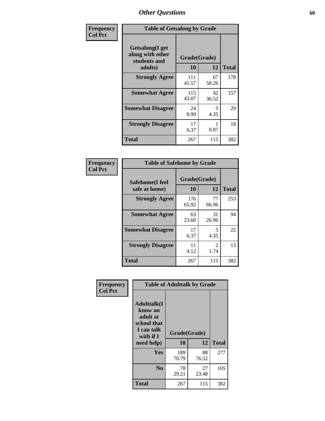| Frequency      | <b>Table of Getsalong by Grade</b>                          |              |             |              |  |  |  |
|----------------|-------------------------------------------------------------|--------------|-------------|--------------|--|--|--|
| <b>Col Pct</b> | <b>Getsalong</b> (I get<br>along with other<br>students and | Grade(Grade) |             |              |  |  |  |
|                | adults)                                                     | 10           | 12          | <b>Total</b> |  |  |  |
|                | <b>Strongly Agree</b>                                       | 111<br>41.57 | 67<br>58.26 | 178          |  |  |  |
|                | <b>Somewhat Agree</b>                                       | 115<br>43.07 | 42<br>36.52 | 157          |  |  |  |
|                | <b>Somewhat Disagree</b>                                    | 24<br>8.99   | 5<br>4.35   | 29           |  |  |  |
|                | <b>Strongly Disagree</b>                                    | 17<br>6.37   | 0.87        | 18           |  |  |  |
|                | <b>Total</b>                                                | 267          | 115         | 382          |  |  |  |

| Frequency      | <b>Table of Safehome by Grade</b> |                           |                       |              |  |  |
|----------------|-----------------------------------|---------------------------|-----------------------|--------------|--|--|
| <b>Col Pct</b> | Safehome(I feel<br>safe at home)  | Grade(Grade)<br><b>10</b> | 12                    | <b>Total</b> |  |  |
|                | <b>Strongly Agree</b>             | 176<br>65.92              | 77<br>66.96           | 253          |  |  |
|                | <b>Somewhat Agree</b>             | 63<br>23.60               | 31<br>26.96           | 94           |  |  |
|                | <b>Somewhat Disagree</b>          | 17<br>6.37                | 5<br>4.35             | 22           |  |  |
|                | <b>Strongly Disagree</b>          | 11<br>4.12                | $\mathcal{L}$<br>1.74 | 13           |  |  |
|                | <b>Total</b>                      | 267                       | 115                   | 382          |  |  |

| Frequency      | <b>Table of Adulttalk by Grade</b>                                                  |              |             |              |  |  |  |
|----------------|-------------------------------------------------------------------------------------|--------------|-------------|--------------|--|--|--|
| <b>Col Pct</b> | <b>Adulttalk(I</b><br>know an<br>adult at<br>school that<br>I can talk<br>with if I | Grade(Grade) |             |              |  |  |  |
|                | need help)                                                                          | 10           | 12          | <b>Total</b> |  |  |  |
|                | Yes                                                                                 | 189<br>70.79 | 88<br>76.52 | 277          |  |  |  |
|                | N <sub>0</sub>                                                                      | 78<br>29.21  | 27<br>23.48 | 105          |  |  |  |
|                | <b>Total</b>                                                                        | 267          | 115         | 382          |  |  |  |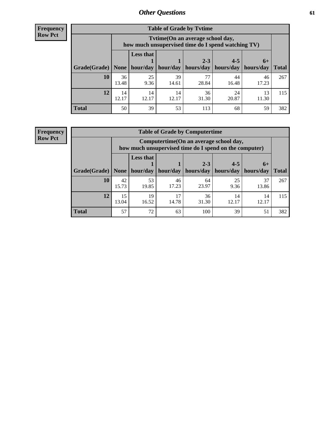**Frequency Row Pct**

| <b>Table of Grade by Tytime</b> |             |                                                                                         |             |                                   |             |             |              |  |  |
|---------------------------------|-------------|-----------------------------------------------------------------------------------------|-------------|-----------------------------------|-------------|-------------|--------------|--|--|
|                                 |             | Tytime (On an average school day,<br>how much unsupervised time do I spend watching TV) |             |                                   |             |             |              |  |  |
|                                 |             | <b>Less that</b>                                                                        |             | $2 - 3$                           | $4 - 5$     | $6+$        |              |  |  |
| Grade(Grade)   None             |             | hour/day                                                                                | hour/day    | hours/day   hours/day   hours/day |             |             | <b>Total</b> |  |  |
| 10                              | 36<br>13.48 | 25<br>9.36                                                                              | 39<br>14.61 | 77<br>28.84                       | 44<br>16.48 | 46<br>17.23 | 267          |  |  |
| 12                              | 14<br>12.17 | 14<br>12.17                                                                             | 14<br>12.17 | 36<br>31.30                       | 24<br>20.87 | 13<br>11.30 | 115          |  |  |
| <b>Total</b>                    | 50          | 39                                                                                      | 53          | 113                               | 68          | 59          | 382          |  |  |

**Frequency Row Pct**

| <b>Table of Grade by Computertime</b> |             |                                                                                                   |             |                      |                      |                   |              |  |  |  |
|---------------------------------------|-------------|---------------------------------------------------------------------------------------------------|-------------|----------------------|----------------------|-------------------|--------------|--|--|--|
|                                       |             | Computertime (On an average school day,<br>how much unsupervised time do I spend on the computer) |             |                      |                      |                   |              |  |  |  |
| Grade(Grade)                          | None        | <b>Less that</b><br>hour/day                                                                      | hour/day    | $2 - 3$<br>hours/day | $4 - 5$<br>hours/day | $6+$<br>hours/day | <b>Total</b> |  |  |  |
| 10                                    | 42<br>15.73 | 53<br>19.85                                                                                       | 46<br>17.23 | 64<br>23.97          | 25<br>9.36           | 37<br>13.86       | 267          |  |  |  |
| 12                                    | 15<br>13.04 | 19<br>36<br>17<br>14<br>14<br>14.78<br>31.30<br>12.17<br>12.17<br>16.52                           |             |                      |                      |                   |              |  |  |  |
| <b>Total</b>                          | 57          | 72                                                                                                | 63          | 100                  | 39                   | 51                | 382          |  |  |  |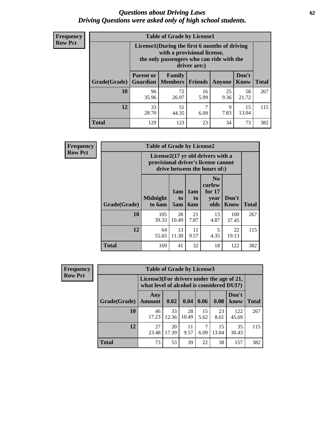#### *Questions about Driving Laws* **62** *Driving Questions were asked only of high school students.*

| <b>Frequency</b> |
|------------------|
| <b>Row Pct</b>   |

| <b>Table of Grade by License1</b> |                                                                     |                                                                                                                                           |                |               |               |              |  |  |  |
|-----------------------------------|---------------------------------------------------------------------|-------------------------------------------------------------------------------------------------------------------------------------------|----------------|---------------|---------------|--------------|--|--|--|
|                                   |                                                                     | License1(During the first 6 months of driving<br>with a provisional license,<br>the only passengers who can ride with the<br>driver are:) |                |               |               |              |  |  |  |
| Grade(Grade)                      | <b>Parent or</b><br>Guardian                                        | Family<br>  Members                                                                                                                       | <b>Friends</b> | <b>Anyone</b> | Don't<br>Know | <b>Total</b> |  |  |  |
| 10                                | 96<br>35.96                                                         | 72<br>26.97                                                                                                                               | 16<br>5.99     | 25<br>9.36    | 58<br>21.72   | 267          |  |  |  |
| 12                                | 33<br>51<br>15<br>7<br>9<br>7.83<br>28.70<br>13.04<br>44.35<br>6.09 |                                                                                                                                           |                |               |               |              |  |  |  |
| Total                             | 129                                                                 | 123                                                                                                                                       | 23             | 34            | 73            | 382          |  |  |  |

| Frequency      |              | <b>Table of Grade by License2</b> |                  |                  |                                                                                                          |                      |              |  |  |
|----------------|--------------|-----------------------------------|------------------|------------------|----------------------------------------------------------------------------------------------------------|----------------------|--------------|--|--|
| <b>Row Pct</b> |              |                                   |                  |                  | License2(17 yr old drivers with a<br>provisional driver's license cannot<br>drive between the hours of:) |                      |              |  |  |
|                | Grade(Grade) | <b>Midnight</b><br>to 6am         | 1am<br>to<br>5am | 1am<br>to<br>6am | N <sub>0</sub><br>curfew<br>for $17$<br>year<br>olds                                                     | Don't<br><b>Know</b> | <b>Total</b> |  |  |
|                | 10           | 105<br>39.33                      | 28<br>10.49      | 21<br>7.87       | 13<br>4.87                                                                                               | 100<br>37.45         | 267          |  |  |
|                | 12           | 64<br>55.65                       | 13<br>11.30      | 11<br>9.57       | 5<br>4.35                                                                                                | 22<br>19.13          | 115          |  |  |
|                | <b>Total</b> | 169                               | 41               | 32               | 18                                                                                                       | 122                  | 382          |  |  |

| Frequency      |                                                                                        | <b>Table of Grade by License3</b> |             |             |            |             |               |              |  |
|----------------|----------------------------------------------------------------------------------------|-----------------------------------|-------------|-------------|------------|-------------|---------------|--------------|--|
| <b>Row Pct</b> | License3(For drivers under the age of 21,<br>what level of alcohol is considered DUI?) |                                   |             |             |            |             |               |              |  |
|                | Grade(Grade)                                                                           | Any<br><b>Amount</b>              | 0.02        | 0.04        | 0.06       | 0.08        | Don't<br>know | <b>Total</b> |  |
|                | <b>10</b>                                                                              | 46<br>17.23                       | 33<br>12.36 | 28<br>10.49 | 15<br>5.62 | 23<br>8.61  | 122<br>45.69  | 267          |  |
|                | 12                                                                                     | 27<br>23.48                       | 20<br>17.39 | 11<br>9.57  | 7<br>6.09  | 15<br>13.04 | 35<br>30.43   | 115          |  |
|                | <b>Total</b>                                                                           | 73                                | 53          | 39          | 22         | 38          | 157           | 382          |  |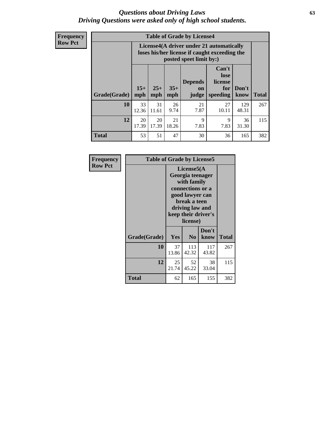#### *Questions about Driving Laws* **63** *Driving Questions were asked only of high school students.*

**Frequency Row Pct**

|              |             |                                                                                                                                                                                                                                                                                |            | <b>Table of Grade by License4</b> |             |              |     |  |  |
|--------------|-------------|--------------------------------------------------------------------------------------------------------------------------------------------------------------------------------------------------------------------------------------------------------------------------------|------------|-----------------------------------|-------------|--------------|-----|--|--|
|              |             | License4(A driver under 21 automatically<br>loses his/her license if caught exceeding the<br>posted speet limit by:)<br>Can't<br>lose<br><b>Depends</b><br>license<br>$15+$<br>$25+$<br>$35+$<br>Don't<br>for<br>on<br><b>Total</b><br>mph<br>speeding<br>know<br>mph<br>judge |            |                                   |             |              |     |  |  |
| Grade(Grade) | mph         |                                                                                                                                                                                                                                                                                |            |                                   |             |              |     |  |  |
| 10           | 33<br>12.36 | 31<br>11.61                                                                                                                                                                                                                                                                    | 26<br>9.74 | 21<br>7.87                        | 27<br>10.11 | 129<br>48.31 | 267 |  |  |
| 12           | 20<br>17.39 | 21<br>9<br>20<br>9<br>36<br>17.39<br>18.26<br>7.83<br>7.83<br>31.30                                                                                                                                                                                                            |            |                                   |             |              |     |  |  |
| <b>Total</b> | 53          | 51                                                                                                                                                                                                                                                                             | 47         | 30                                | 36          | 165          | 382 |  |  |

| Frequency      | <b>Table of Grade by License5</b> |             |                                                                                                                                      |                     |       |
|----------------|-----------------------------------|-------------|--------------------------------------------------------------------------------------------------------------------------------------|---------------------|-------|
| <b>Row Pct</b> |                                   |             | License5(A)<br>Georgia teenager<br>with family<br>connections or a<br>good lawyer can<br>break a teen<br>driving law and<br>license) | keep their driver's |       |
|                | Grade(Grade)                      | Yes         | N <sub>0</sub>                                                                                                                       | Don't<br>know       | Total |
|                | 10                                | 37<br>13.86 | 113<br>42.32                                                                                                                         | 117<br>43.82        | 267   |
|                | 12                                | 25<br>21.74 | 52<br>45.22                                                                                                                          | 38<br>33.04         | 115   |
|                | <b>Total</b>                      | 62          | 165                                                                                                                                  | 155                 | 382   |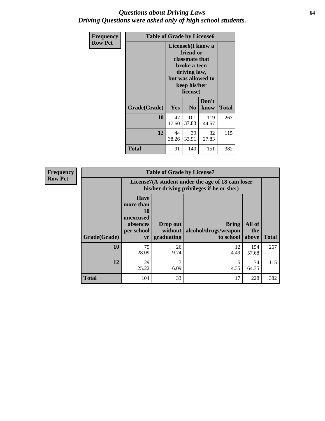#### *Questions about Driving Laws* **64** *Driving Questions were asked only of high school students.*

| <b>Frequency</b> | <b>Table of Grade by License6</b> |                                                                                                                                                 |                              |               |              |
|------------------|-----------------------------------|-------------------------------------------------------------------------------------------------------------------------------------------------|------------------------------|---------------|--------------|
| <b>Row Pct</b>   |                                   | License <sub>6</sub> (I know a<br>friend or<br>classmate that<br>broke a teen<br>driving law,<br>but was allowed to<br>keep his/her<br>license) |                              |               |              |
|                  | Grade(Grade)                      | <b>Yes</b>                                                                                                                                      | N <sub>0</sub>               | Don't<br>know | <b>Total</b> |
|                  | 10                                | 47<br>17.60                                                                                                                                     | 101<br>119<br>37.83<br>44.57 |               |              |
|                  | 12                                | 44<br>39<br>32<br>33.91<br>27.83<br>38.26                                                                                                       |                              |               | 115          |
|                  | Total                             | 91                                                                                                                                              | 140                          | 151           | 382          |

| <b>Frequency</b> |              |                                                                             | <b>Table of Grade by License7</b>                                                             |                                                   |                        |              |  |
|------------------|--------------|-----------------------------------------------------------------------------|-----------------------------------------------------------------------------------------------|---------------------------------------------------|------------------------|--------------|--|
| <b>Row Pct</b>   |              |                                                                             | License7(A student under the age of 18 cam loser<br>his/her driving privileges if he or she:) |                                                   |                        |              |  |
|                  | Grade(Grade) | <b>Have</b><br>more than<br>10<br>unexcused<br>absences<br>per school<br>yr | Drop out<br>without  <br>graduating                                                           | <b>Bring</b><br>alcohol/drugs/weapon<br>to school | All of<br>the<br>above | <b>Total</b> |  |
|                  | 10           | 75<br>28.09                                                                 | 26<br>9.74                                                                                    | 12<br>4.49                                        | 154<br>57.68           | 267          |  |
|                  | 12           | 29<br>25.22                                                                 | 7<br>6.09                                                                                     | 5<br>4.35                                         | 74<br>64.35            | 115          |  |
|                  | <b>Total</b> | 104                                                                         | 33                                                                                            | 17                                                | 228                    | 382          |  |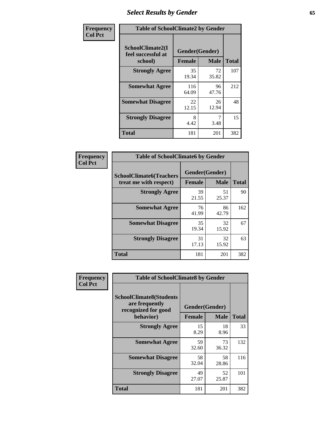# *Select Results by Gender* **65**

| Frequency      | <b>Table of SchoolClimate2 by Gender</b>          |                                 |             |              |
|----------------|---------------------------------------------------|---------------------------------|-------------|--------------|
| <b>Col Pct</b> | SchoolClimate2(I<br>feel successful at<br>school) | Gender(Gender)<br><b>Female</b> | <b>Male</b> | <b>Total</b> |
|                | <b>Strongly Agree</b>                             | 35<br>19.34                     | 72<br>35.82 | 107          |
|                | <b>Somewhat Agree</b>                             | 116<br>64.09                    | 96<br>47.76 | 212          |
|                | <b>Somewhat Disagree</b>                          | 22<br>12.15                     | 26<br>12.94 | 48           |
|                | <b>Strongly Disagree</b>                          | 8<br>4.42                       | 7<br>3.48   | 15           |
|                | <b>Total</b>                                      | 181                             | 201         | 382          |

| Frequency      | <b>Table of SchoolClimate6 by Gender</b>                 |                                 |             |              |  |
|----------------|----------------------------------------------------------|---------------------------------|-------------|--------------|--|
| <b>Col Pct</b> | <b>SchoolClimate6(Teachers</b><br>treat me with respect) | Gender(Gender)<br><b>Female</b> | <b>Male</b> | <b>Total</b> |  |
|                | <b>Strongly Agree</b>                                    | 39<br>21.55                     | 51<br>25.37 | 90           |  |
|                | <b>Somewhat Agree</b>                                    | 76<br>41.99                     | 86<br>42.79 | 162          |  |
|                | <b>Somewhat Disagree</b>                                 | 35<br>19.34                     | 32<br>15.92 | 67           |  |
|                | <b>Strongly Disagree</b>                                 | 31<br>17.13                     | 32<br>15.92 | 63           |  |
|                | <b>Total</b>                                             | 181                             | 201         | 382          |  |

| <b>Frequency</b> | <b>Table of SchoolClimate8 by Gender</b>                                             |                                 |             |              |
|------------------|--------------------------------------------------------------------------------------|---------------------------------|-------------|--------------|
| <b>Col Pct</b>   | <b>SchoolClimate8(Students</b><br>are frequently<br>recognized for good<br>behavior) | Gender(Gender)<br><b>Female</b> | <b>Male</b> | <b>Total</b> |
|                  |                                                                                      |                                 |             |              |
|                  | <b>Strongly Agree</b>                                                                | 15<br>8.29                      | 18<br>8.96  | 33           |
|                  | <b>Somewhat Agree</b>                                                                | 59<br>32.60                     | 73<br>36.32 | 132          |
|                  | <b>Somewhat Disagree</b>                                                             | 58<br>32.04                     | 58<br>28.86 | 116          |
|                  | <b>Strongly Disagree</b>                                                             | 49<br>27.07                     | 52<br>25.87 | 101          |
|                  | <b>Total</b>                                                                         | 181                             | 201         | 382          |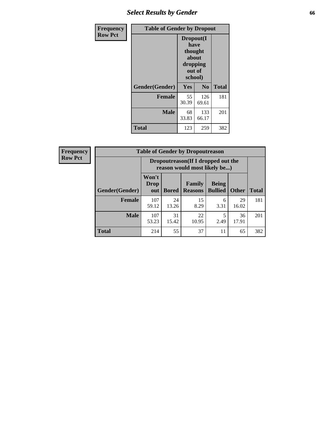# *Select Results by Gender* **66**

| <b>Frequency</b> | <b>Table of Gender by Dropout</b> |                                                                        |                |              |
|------------------|-----------------------------------|------------------------------------------------------------------------|----------------|--------------|
| <b>Row Pct</b>   |                                   | Dropout(I<br>have<br>thought<br>about<br>dropping<br>out of<br>school) |                |              |
|                  | Gender(Gender)                    | Yes                                                                    | N <sub>0</sub> | <b>Total</b> |
|                  | <b>Female</b>                     | 55<br>30.39                                                            | 126<br>69.61   | 181          |
|                  | <b>Male</b>                       | 68<br>33.83                                                            | 133<br>66.17   | 201          |
|                  | <b>Total</b>                      | 123                                                                    | 259            | 382          |

| <b>Frequency</b> | <b>Table of Gender by Dropoutreason</b> |                                                                    |              |                          |                                |              |              |
|------------------|-----------------------------------------|--------------------------------------------------------------------|--------------|--------------------------|--------------------------------|--------------|--------------|
| <b>Row Pct</b>   |                                         | Dropoutreason(If I dropped out the<br>reason would most likely be) |              |                          |                                |              |              |
|                  | Gender(Gender)                          | Won't<br><b>Drop</b><br>out                                        | <b>Bored</b> | Family<br><b>Reasons</b> | <b>Being</b><br><b>Bullied</b> | <b>Other</b> | <b>Total</b> |
|                  | <b>Female</b>                           | 107<br>59.12                                                       | 24<br>13.26  | 15<br>8.29               | 6<br>3.31                      | 29<br>16.02  | 181          |
|                  | <b>Male</b>                             | 107<br>53.23                                                       | 31<br>15.42  | 22<br>10.95              | 2.49                           | 36<br>17.91  | 201          |
|                  | <b>Total</b>                            | 214                                                                | 55           | 37                       | 11                             | 65           | 382          |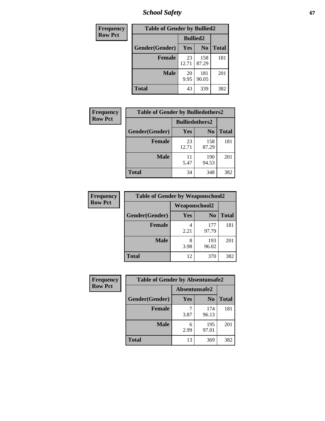*School Safety* **67**

| Frequency      | <b>Table of Gender by Bullied2</b> |                 |                |              |  |
|----------------|------------------------------------|-----------------|----------------|--------------|--|
| <b>Row Pct</b> |                                    | <b>Bullied2</b> |                |              |  |
|                | Gender(Gender)                     | Yes             | N <sub>0</sub> | <b>Total</b> |  |
|                | <b>Female</b>                      | 23<br>12.71     | 158<br>87.29   | 181          |  |
|                | <b>Male</b>                        | 20<br>9.95      | 181<br>90.05   | 201          |  |
|                | Total                              | 43              | 339            | 382          |  |

| Frequency      | <b>Table of Gender by Bulliedothers2</b> |                       |                |              |
|----------------|------------------------------------------|-----------------------|----------------|--------------|
| <b>Row Pct</b> |                                          | <b>Bulliedothers2</b> |                |              |
|                | Gender(Gender)                           | Yes                   | N <sub>0</sub> | <b>Total</b> |
|                | <b>Female</b>                            | 23<br>12.71           | 158<br>87.29   | 181          |
|                | <b>Male</b>                              | 11<br>5.47            | 190<br>94.53   | 201          |
|                | <b>Total</b>                             | 34                    | 348            | 382          |

| <b>Frequency</b> | <b>Table of Gender by Weaponschool2</b> |               |                |              |
|------------------|-----------------------------------------|---------------|----------------|--------------|
| <b>Row Pct</b>   |                                         | Weaponschool2 |                |              |
|                  | Gender(Gender)                          | Yes           | N <sub>0</sub> | <b>Total</b> |
|                  | <b>Female</b>                           | 2.21          | 177<br>97.79   | 181          |
|                  | <b>Male</b>                             | 3.98          | 193<br>96.02   | 201          |
|                  | <b>Total</b>                            | 12            | 370            | 382          |

| Frequency      | <b>Table of Gender by Absentunsafe2</b> |               |                |              |
|----------------|-----------------------------------------|---------------|----------------|--------------|
| <b>Row Pct</b> |                                         | Absentunsafe2 |                |              |
|                | Gender(Gender)                          | Yes           | N <sub>0</sub> | <b>Total</b> |
|                | <b>Female</b>                           | 3.87          | 174<br>96.13   | 181          |
|                | <b>Male</b>                             | 6<br>2.99     | 195<br>97.01   | 201          |
|                | <b>Total</b>                            | 13            | 369            | 382          |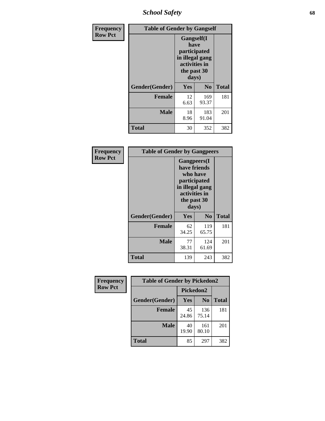*School Safety* **68**

| Frequency      | <b>Table of Gender by Gangself</b> |                                                                                                |              |              |
|----------------|------------------------------------|------------------------------------------------------------------------------------------------|--------------|--------------|
| <b>Row Pct</b> |                                    | Gangself(I<br>have<br>participated<br>in illegal gang<br>activities in<br>the past 30<br>days) |              |              |
|                | Gender(Gender)                     | Yes                                                                                            | No           | <b>Total</b> |
|                | <b>Female</b>                      | 12<br>6.63                                                                                     | 169<br>93.37 | 181          |
|                | <b>Male</b>                        | 18<br>8.96                                                                                     | 183<br>91.04 | 201          |
|                | <b>Total</b>                       | 30                                                                                             | 352          | 382          |

| Frequency      | <b>Table of Gender by Gangpeers</b> |                                                                                                                             |                |              |
|----------------|-------------------------------------|-----------------------------------------------------------------------------------------------------------------------------|----------------|--------------|
| <b>Row Pct</b> |                                     | <b>Gangpeers</b> (I<br>have friends<br>who have<br>participated<br>in illegal gang<br>activities in<br>the past 30<br>days) |                |              |
|                | Gender(Gender)                      | Yes                                                                                                                         | N <sub>0</sub> | <b>Total</b> |
|                | <b>Female</b>                       | 62<br>34.25                                                                                                                 | 119<br>65.75   | 181          |
|                | <b>Male</b>                         | 77<br>38.31                                                                                                                 | 124<br>61.69   | 201          |
|                | Total                               | 139                                                                                                                         | 243            | 382          |

| Frequency      | <b>Table of Gender by Pickedon2</b> |             |                |              |  |
|----------------|-------------------------------------|-------------|----------------|--------------|--|
| <b>Row Pct</b> |                                     | Pickedon2   |                |              |  |
|                | Gender(Gender)                      | <b>Yes</b>  | N <sub>0</sub> | <b>Total</b> |  |
|                | <b>Female</b>                       | 45<br>24.86 | 136<br>75.14   | 181          |  |
|                | <b>Male</b>                         | 40<br>19.90 | 161<br>80.10   | 201          |  |
|                | <b>Total</b>                        | 85          | 297            | 382          |  |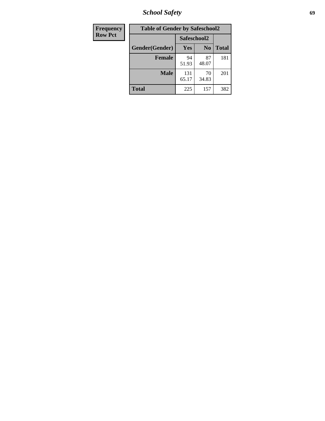*School Safety* **69**

| <b>Frequency</b> | <b>Table of Gender by Safeschool2</b> |              |                |              |
|------------------|---------------------------------------|--------------|----------------|--------------|
| <b>Row Pct</b>   |                                       | Safeschool2  |                |              |
|                  | Gender(Gender)                        | <b>Yes</b>   | N <sub>0</sub> | <b>Total</b> |
|                  | <b>Female</b>                         | 94<br>51.93  | 87<br>48.07    | 181          |
|                  | <b>Male</b>                           | 131<br>65.17 | 70<br>34.83    | 201          |
|                  | <b>Total</b>                          | 225          | 157            | 382          |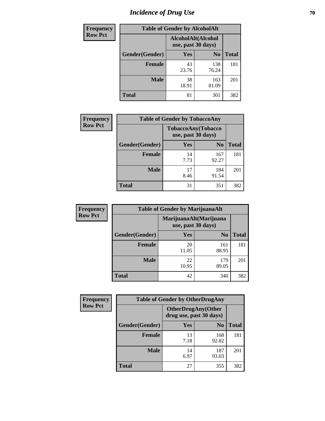# *Incidence of Drug Use* **70**

| Frequency      |                | <b>Table of Gender by AlcoholAlt</b>     |                |              |
|----------------|----------------|------------------------------------------|----------------|--------------|
| <b>Row Pct</b> |                | AlcoholAlt(Alcohol<br>use, past 30 days) |                |              |
|                | Gender(Gender) | Yes                                      | N <sub>0</sub> | <b>Total</b> |
|                | <b>Female</b>  | 43<br>23.76                              | 138<br>76.24   | 181          |
|                | <b>Male</b>    | 38<br>18.91                              | 163<br>81.09   | 201          |
|                | <b>Total</b>   | 81                                       | 301            | 382          |

| <b>Frequency</b> | <b>Table of Gender by TobaccoAny</b> |                                          |                |              |  |
|------------------|--------------------------------------|------------------------------------------|----------------|--------------|--|
| <b>Row Pct</b>   |                                      | TobaccoAny(Tobacco<br>use, past 30 days) |                |              |  |
|                  | Gender(Gender)                       | Yes                                      | N <sub>0</sub> | <b>Total</b> |  |
|                  | <b>Female</b>                        | 14<br>7.73                               | 167<br>92.27   | 181          |  |
|                  | <b>Male</b>                          | 17<br>8.46                               | 184<br>91.54   | 201          |  |
|                  | <b>Total</b>                         | 31                                       | 351            | 382          |  |

| <b>Frequency</b> | <b>Table of Gender by MarijuanaAlt</b> |             |                                              |              |
|------------------|----------------------------------------|-------------|----------------------------------------------|--------------|
| <b>Row Pct</b>   |                                        |             | MarijuanaAlt(Marijuana<br>use, past 30 days) |              |
|                  | Gender(Gender)                         | <b>Yes</b>  | N <sub>0</sub>                               | <b>Total</b> |
|                  | <b>Female</b>                          | 20<br>11.05 | 161<br>88.95                                 | 181          |
|                  | <b>Male</b>                            | 22<br>10.95 | 179<br>89.05                                 | 201          |
|                  | <b>Total</b>                           | 42          | 340                                          | 382          |

| <b>Frequency</b> | <b>Table of Gender by OtherDrugAny</b> |                                                      |                |              |
|------------------|----------------------------------------|------------------------------------------------------|----------------|--------------|
| <b>Row Pct</b>   |                                        | <b>OtherDrugAny(Other</b><br>drug use, past 30 days) |                |              |
|                  | Gender(Gender)                         | <b>Yes</b>                                           | N <sub>0</sub> | <b>Total</b> |
|                  | <b>Female</b>                          | 13<br>7.18                                           | 168<br>92.82   | 181          |
|                  | <b>Male</b>                            | 14<br>6.97                                           | 187<br>93.03   | 201          |
|                  | <b>Total</b>                           | 27                                                   | 355            | 382          |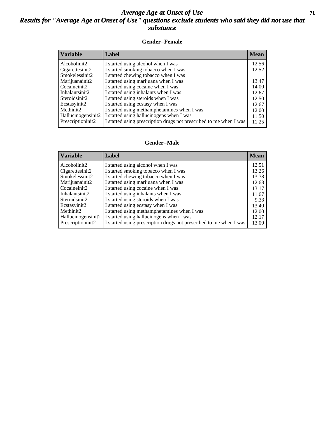#### *Average Age at Onset of Use* **71** *Results for "Average Age at Onset of Use" questions exclude students who said they did not use that substance*

#### **Gender=Female**

| <b>Variable</b>    | <b>Label</b>                                                       | <b>Mean</b> |
|--------------------|--------------------------------------------------------------------|-------------|
| Alcoholinit2       | I started using alcohol when I was                                 | 12.56       |
| Cigarettesinit2    | I started smoking tobacco when I was                               | 12.52       |
| Smokelessinit2     | I started chewing tobacco when I was                               |             |
| Marijuanainit2     | I started using marijuana when I was                               | 13.47       |
| Cocaineinit2       | I started using cocaine when I was                                 | 14.00       |
| Inhalantsinit2     | I started using inhalants when I was                               | 12.67       |
| Steroidsinit2      | I started using steroids when I was                                | 12.50       |
| Ecstasyinit2       | I started using ecstasy when I was                                 | 12.67       |
| Methinit2          | I started using methamphetamines when I was                        | 12.00       |
| Hallucinogensinit2 | I started using hallucinogens when I was                           | 11.50       |
| Prescription in t2 | I started using prescription drugs not prescribed to me when I was | 11.25       |

#### **Gender=Male**

| <b>Variable</b>                 | Label                                                              | <b>Mean</b> |
|---------------------------------|--------------------------------------------------------------------|-------------|
| Alcoholinit2                    | I started using alcohol when I was                                 | 12.51       |
| Cigarettesinit2                 | I started smoking tobacco when I was                               | 13.26       |
| Smokelessinit2                  | I started chewing tobacco when I was                               | 13.78       |
| Marijuanainit2                  | I started using marijuana when I was                               | 12.68       |
| Cocaineinit2                    | I started using cocaine when I was                                 | 13.17       |
| Inhalantsinit2                  | I started using inhalants when I was                               | 11.67       |
| Steroidsinit2                   | I started using steroids when I was                                | 9.33        |
| Ecstasyinit2                    | I started using ecstasy when I was                                 | 13.40       |
| Methinit <sub>2</sub>           | I started using methamphetamines when I was                        | 12.00       |
| Hallucinogensinit2              | I started using hallucinogens when I was                           | 12.17       |
| Prescription in it <sub>2</sub> | I started using prescription drugs not prescribed to me when I was | 13.00       |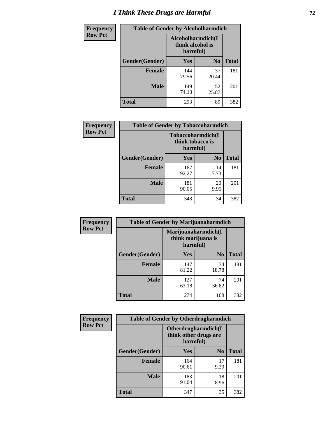# *I Think These Drugs are Harmful* **72**

| <b>Frequency</b> | <b>Table of Gender by Alcoholharmdich</b> |                                                   |                |              |
|------------------|-------------------------------------------|---------------------------------------------------|----------------|--------------|
| <b>Row Pct</b>   |                                           | Alcoholharmdich(I<br>think alcohol is<br>harmful) |                |              |
|                  | Gender(Gender)                            | <b>Yes</b>                                        | N <sub>0</sub> | <b>Total</b> |
|                  | <b>Female</b>                             | 144<br>79.56                                      | 37<br>20.44    | 181          |
|                  | <b>Male</b>                               | 149<br>74.13                                      | 52<br>25.87    | 201          |
|                  | <b>Total</b>                              | 293                                               | 89             | 382          |

| Frequency      | <b>Table of Gender by Tobaccoharmdich</b> |                              |                   |              |
|----------------|-------------------------------------------|------------------------------|-------------------|--------------|
| <b>Row Pct</b> |                                           | think tobacco is<br>harmful) | Tobaccoharmdich(I |              |
|                | Gender(Gender)                            | Yes                          | $\bf N_0$         | <b>Total</b> |
|                | <b>Female</b>                             | 167<br>92.27                 | 14<br>7.73        | 181          |
|                | <b>Male</b>                               | 181<br>90.05                 | 20<br>9.95        | 201          |
|                | <b>Total</b>                              | 348                          | 34                | 382          |

| Frequency      | <b>Table of Gender by Marijuanaharmdich</b> |                                |                     |              |  |
|----------------|---------------------------------------------|--------------------------------|---------------------|--------------|--|
| <b>Row Pct</b> |                                             | think marijuana is<br>harmful) | Marijuanaharmdich(I |              |  |
|                | Gender(Gender)                              | <b>Yes</b>                     | N <sub>0</sub>      | <b>Total</b> |  |
|                | <b>Female</b>                               | 147<br>81.22                   | 34<br>18.78         | 181          |  |
|                | <b>Male</b>                                 | 127<br>63.18                   | 74<br>36.82         | 201          |  |
|                | <b>Total</b>                                | 274                            | 108                 | 382          |  |

| Frequency      | <b>Table of Gender by Otherdrugharmdich</b> |                                                          |                |              |  |
|----------------|---------------------------------------------|----------------------------------------------------------|----------------|--------------|--|
| <b>Row Pct</b> |                                             | Otherdrugharmdich(I<br>think other drugs are<br>harmful) |                |              |  |
|                | Gender(Gender)                              | <b>Yes</b>                                               | N <sub>0</sub> | <b>Total</b> |  |
|                | <b>Female</b>                               | 164<br>90.61                                             | 17<br>9.39     | 181          |  |
|                | <b>Male</b>                                 | 183<br>91.04                                             | 18<br>8.96     | 201          |  |
|                | <b>Total</b>                                | 347                                                      | 35             | 382          |  |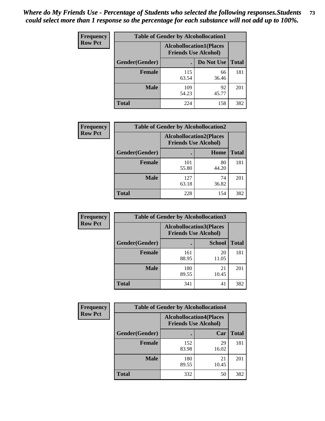| <b>Frequency</b> | <b>Table of Gender by Alcohollocation1</b> |                                                               |             |              |
|------------------|--------------------------------------------|---------------------------------------------------------------|-------------|--------------|
| <b>Row Pct</b>   |                                            | <b>Alcohollocation1(Places</b><br><b>Friends Use Alcohol)</b> |             |              |
|                  | Gender(Gender)                             |                                                               | Do Not Use  | <b>Total</b> |
|                  | <b>Female</b>                              | 115<br>63.54                                                  | 66<br>36.46 | 181          |
|                  | <b>Male</b>                                | 109<br>54.23                                                  | 92<br>45.77 | 201          |
|                  | <b>Total</b>                               | 224                                                           | 158         | 382          |

| <b>Frequency</b> | <b>Table of Gender by Alcohollocation2</b> |              |                                                               |              |
|------------------|--------------------------------------------|--------------|---------------------------------------------------------------|--------------|
| <b>Row Pct</b>   |                                            |              | <b>Alcohollocation2(Places</b><br><b>Friends Use Alcohol)</b> |              |
|                  | Gender(Gender)                             |              | Home                                                          | <b>Total</b> |
|                  | <b>Female</b>                              | 101<br>55.80 | 80<br>44.20                                                   | 181          |
|                  | <b>Male</b>                                | 127<br>63.18 | 74<br>36.82                                                   | 201          |
|                  | <b>Total</b>                               | 228          | 154                                                           | 382          |

| Frequency      | <b>Table of Gender by Alcohollocation3</b> |                                                               |               |              |
|----------------|--------------------------------------------|---------------------------------------------------------------|---------------|--------------|
| <b>Row Pct</b> |                                            | <b>Alcohollocation3(Places</b><br><b>Friends Use Alcohol)</b> |               |              |
|                | Gender(Gender)                             |                                                               | <b>School</b> | <b>Total</b> |
|                | <b>Female</b>                              | 161<br>88.95                                                  | 20<br>11.05   | 181          |
|                | <b>Male</b>                                | 180<br>89.55                                                  | 21<br>10.45   | 201          |
|                | <b>Total</b>                               | 341                                                           | 41            | 382          |

| <b>Frequency</b> | <b>Table of Gender by Alcohollocation4</b> |                                                               |             |              |  |
|------------------|--------------------------------------------|---------------------------------------------------------------|-------------|--------------|--|
| <b>Row Pct</b>   |                                            | <b>Alcohollocation4(Places</b><br><b>Friends Use Alcohol)</b> |             |              |  |
|                  | Gender(Gender)                             |                                                               | Car         | <b>Total</b> |  |
|                  | <b>Female</b>                              | 152<br>83.98                                                  | 29<br>16.02 | 181          |  |
|                  | <b>Male</b>                                | 180<br>89.55                                                  | 21<br>10.45 | 201          |  |
|                  | <b>Total</b>                               | 332                                                           | 50          | 382          |  |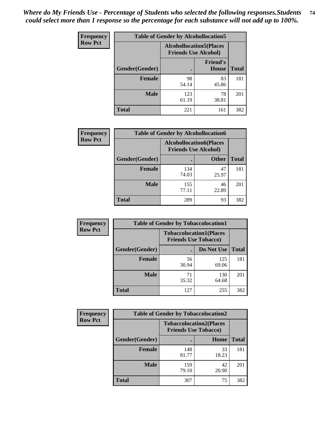| <b>Frequency</b> | <b>Table of Gender by Alcohollocation5</b> |                                                                |                                 |              |
|------------------|--------------------------------------------|----------------------------------------------------------------|---------------------------------|--------------|
| <b>Row Pct</b>   |                                            | <b>Alcohollocation5</b> (Places<br><b>Friends Use Alcohol)</b> |                                 |              |
|                  | <b>Gender</b> (Gender)                     |                                                                | <b>Friend's</b><br><b>House</b> | <b>Total</b> |
|                  | <b>Female</b>                              | 98<br>54.14                                                    | 83<br>45.86                     | 181          |
|                  | <b>Male</b>                                | 123<br>61.19                                                   | 78<br>38.81                     | 201          |
|                  | <b>Total</b>                               | 221                                                            | 161                             | 382          |

| Frequency      | <b>Table of Gender by Alcohollocation6</b> |                                                               |              |              |  |
|----------------|--------------------------------------------|---------------------------------------------------------------|--------------|--------------|--|
| <b>Row Pct</b> |                                            | <b>Alcohollocation6(Places</b><br><b>Friends Use Alcohol)</b> |              |              |  |
|                | <b>Gender</b> (Gender)                     |                                                               | <b>Other</b> | <b>Total</b> |  |
|                | <b>Female</b>                              | 134<br>74.03                                                  | 47<br>25.97  | 181          |  |
|                | <b>Male</b>                                | 155<br>77.11                                                  | 46<br>22.89  | 201          |  |
|                | <b>Total</b>                               | 289                                                           | 93           | 382          |  |

| Frequency      | <b>Table of Gender by Tobaccolocation1</b> |                                                               |              |              |  |
|----------------|--------------------------------------------|---------------------------------------------------------------|--------------|--------------|--|
| <b>Row Pct</b> |                                            | <b>Tobaccolocation1(Places</b><br><b>Friends Use Tobacco)</b> |              |              |  |
|                | <b>Gender</b> (Gender)                     |                                                               | Do Not Use   | <b>Total</b> |  |
|                | <b>Female</b>                              | 56<br>30.94                                                   | 125<br>69.06 | 181          |  |
|                | <b>Male</b>                                | 71<br>35.32                                                   | 130<br>64.68 | 201          |  |
|                | <b>Total</b>                               | 127                                                           | 255          | 382          |  |

| <b>Frequency</b> | <b>Table of Gender by Tobaccolocation2</b> |                                                               |             |              |
|------------------|--------------------------------------------|---------------------------------------------------------------|-------------|--------------|
| <b>Row Pct</b>   |                                            | <b>Tobaccolocation2(Places</b><br><b>Friends Use Tobacco)</b> |             |              |
|                  | Gender(Gender)                             |                                                               | Home        | <b>Total</b> |
|                  | Female                                     | 148<br>81.77                                                  | 33<br>18.23 | 181          |
|                  | <b>Male</b>                                | 159<br>79.10                                                  | 42<br>20.90 | 201          |
|                  | <b>Total</b>                               | 307                                                           | 75          | 382          |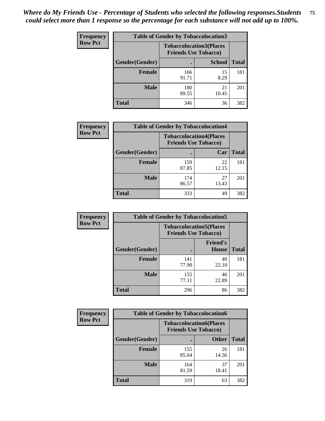| <b>Frequency</b> | <b>Table of Gender by Tobaccolocation3</b> |              |                                                               |              |
|------------------|--------------------------------------------|--------------|---------------------------------------------------------------|--------------|
| <b>Row Pct</b>   |                                            |              | <b>Tobaccolocation3(Places</b><br><b>Friends Use Tobacco)</b> |              |
|                  | Gender(Gender)                             |              | <b>School</b>                                                 | <b>Total</b> |
|                  | <b>Female</b>                              | 166<br>91.71 | 15<br>8.29                                                    | 181          |
|                  | <b>Male</b>                                | 180<br>89.55 | 21<br>10.45                                                   | 201          |
|                  | Total                                      | 346          | 36                                                            | 382          |

| <b>Frequency</b> | <b>Table of Gender by Tobaccolocation4</b> |                                                               |             |              |
|------------------|--------------------------------------------|---------------------------------------------------------------|-------------|--------------|
| <b>Row Pct</b>   |                                            | <b>Tobaccolocation4(Places</b><br><b>Friends Use Tobacco)</b> |             |              |
|                  | Gender(Gender)                             |                                                               | Car         | <b>Total</b> |
|                  | Female                                     | 159<br>87.85                                                  | 22<br>12.15 | 181          |
|                  | <b>Male</b>                                | 174<br>86.57                                                  | 27<br>13.43 | 201          |
|                  | <b>Total</b>                               | 333                                                           | 49          | 382          |

| <b>Frequency</b> | <b>Table of Gender by Tobaccolocation5</b> |                                                               |                                 |              |
|------------------|--------------------------------------------|---------------------------------------------------------------|---------------------------------|--------------|
| <b>Row Pct</b>   |                                            | <b>Tobaccolocation5(Places</b><br><b>Friends Use Tobacco)</b> |                                 |              |
|                  | Gender(Gender)                             |                                                               | <b>Friend's</b><br><b>House</b> | <b>Total</b> |
|                  | <b>Female</b>                              | 141<br>77.90                                                  | 40<br>22.10                     | 181          |
|                  | <b>Male</b>                                | 155<br>77.11                                                  | 46<br>22.89                     | 201          |
|                  | <b>Total</b>                               | 296                                                           | 86                              | 382          |

| <b>Frequency</b> | <b>Table of Gender by Tobaccolocation6</b> |                                                               |              |              |
|------------------|--------------------------------------------|---------------------------------------------------------------|--------------|--------------|
| <b>Row Pct</b>   |                                            | <b>Tobaccolocation6(Places</b><br><b>Friends Use Tobacco)</b> |              |              |
|                  | Gender(Gender)                             |                                                               | <b>Other</b> | <b>Total</b> |
|                  | Female                                     | 155<br>85.64                                                  | 26<br>14.36  | 181          |
|                  | <b>Male</b>                                | 164<br>81.59                                                  | 37<br>18.41  | 201          |
|                  | <b>Total</b>                               | 319                                                           | 63           | 382          |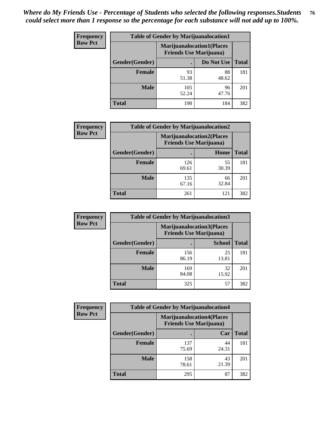| <b>Frequency</b> | <b>Table of Gender by Marijuanalocation1</b> |                                                                    |             |              |
|------------------|----------------------------------------------|--------------------------------------------------------------------|-------------|--------------|
| <b>Row Pct</b>   |                                              | <b>Marijuanalocation1(Places</b><br><b>Friends Use Marijuana</b> ) |             |              |
|                  | Gender(Gender)                               |                                                                    | Do Not Use  | <b>Total</b> |
|                  | <b>Female</b>                                | 93<br>51.38                                                        | 88<br>48.62 | 181          |
|                  | <b>Male</b>                                  | 105<br>52.24                                                       | 96<br>47.76 | 201          |
|                  | <b>Total</b>                                 | 198                                                                | 184         | 382          |

| <b>Frequency</b> | <b>Table of Gender by Marijuanalocation2</b> |                                                                    |             |              |  |
|------------------|----------------------------------------------|--------------------------------------------------------------------|-------------|--------------|--|
| <b>Row Pct</b>   |                                              | <b>Marijuanalocation2(Places</b><br><b>Friends Use Marijuana</b> ) |             |              |  |
|                  | Gender(Gender)                               |                                                                    | Home        | <b>Total</b> |  |
|                  | Female                                       | 126<br>69.61                                                       | 55<br>30.39 | 181          |  |
|                  | <b>Male</b>                                  | 135<br>67.16                                                       | 66<br>32.84 | 201          |  |
|                  | <b>Total</b>                                 | 261                                                                | 121         | 382          |  |

| Frequency      | <b>Table of Gender by Marijuanalocation3</b> |                                                                    |               |              |
|----------------|----------------------------------------------|--------------------------------------------------------------------|---------------|--------------|
| <b>Row Pct</b> |                                              | <b>Marijuanalocation3(Places</b><br><b>Friends Use Marijuana</b> ) |               |              |
|                | Gender(Gender)                               |                                                                    | <b>School</b> | <b>Total</b> |
|                | Female                                       | 156<br>86.19                                                       | 25<br>13.81   | 181          |
|                | <b>Male</b>                                  | 169<br>84.08                                                       | 32<br>15.92   | 201          |
|                | <b>Total</b>                                 | 325                                                                | 57            | 382          |

| Frequency      | <b>Table of Gender by Marijuanalocation4</b> |                                |                                  |              |
|----------------|----------------------------------------------|--------------------------------|----------------------------------|--------------|
| <b>Row Pct</b> |                                              | <b>Friends Use Marijuana</b> ) | <b>Marijuanalocation4(Places</b> |              |
|                | <b>Gender</b> (Gender)                       |                                | Car                              | <b>Total</b> |
|                | <b>Female</b>                                | 137<br>75.69                   | 44<br>24.31                      | 181          |
|                | <b>Male</b>                                  | 158<br>78.61                   | 43<br>21.39                      | 201          |
|                | <b>Total</b>                                 | 295                            | 87                               | 382          |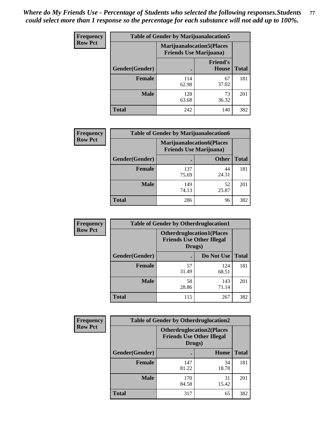| Frequency      | <b>Table of Gender by Marijuanalocation5</b> |                                                                    |                          |              |
|----------------|----------------------------------------------|--------------------------------------------------------------------|--------------------------|--------------|
| <b>Row Pct</b> |                                              | <b>Marijuanalocation5(Places</b><br><b>Friends Use Marijuana</b> ) |                          |              |
|                | Gender(Gender)                               |                                                                    | <b>Friend's</b><br>House | <b>Total</b> |
|                | <b>Female</b>                                | 114<br>62.98                                                       | 67<br>37.02              | 181          |
|                | <b>Male</b>                                  | 128<br>63.68                                                       | 73<br>36.32              | 201          |
|                | <b>Total</b>                                 | 242                                                                | 140                      | 382          |

| <b>Frequency</b> | <b>Table of Gender by Marijuanalocation6</b> |                                |                                  |              |
|------------------|----------------------------------------------|--------------------------------|----------------------------------|--------------|
| <b>Row Pct</b>   |                                              | <b>Friends Use Marijuana</b> ) | <b>Marijuanalocation6(Places</b> |              |
|                  | <b>Gender</b> (Gender)                       |                                | <b>Other</b>                     | <b>Total</b> |
|                  | <b>Female</b>                                | 137<br>75.69                   | 44<br>24.31                      | 181          |
|                  | <b>Male</b>                                  | 149<br>74.13                   | 52<br>25.87                      | 201          |
|                  | <b>Total</b>                                 | 286                            | 96                               | 382          |

| <b>Frequency</b> | <b>Table of Gender by Otherdruglocation1</b> |                                                                                |              |              |
|------------------|----------------------------------------------|--------------------------------------------------------------------------------|--------------|--------------|
| <b>Row Pct</b>   |                                              | <b>Otherdruglocation1(Places</b><br><b>Friends Use Other Illegal</b><br>Drugs) |              |              |
|                  | Gender(Gender)                               |                                                                                | Do Not Use   | <b>Total</b> |
|                  | Female                                       | 57<br>31.49                                                                    | 124<br>68.51 | 181          |
|                  | <b>Male</b>                                  | 58<br>28.86                                                                    | 143<br>71.14 | 201          |
|                  | <b>Total</b>                                 | 115                                                                            | 267          | 382          |

| <b>Frequency</b> | <b>Table of Gender by Otherdruglocation2</b> |                                            |                                  |              |
|------------------|----------------------------------------------|--------------------------------------------|----------------------------------|--------------|
| <b>Row Pct</b>   |                                              | <b>Friends Use Other Illegal</b><br>Drugs) | <b>Otherdruglocation2(Places</b> |              |
|                  | Gender(Gender)                               |                                            | Home                             | <b>Total</b> |
|                  | Female                                       | 147<br>81.22                               | 34<br>18.78                      | 181          |
|                  | <b>Male</b>                                  | 170<br>84.58                               | 31<br>15.42                      | 201          |
|                  | <b>Total</b>                                 | 317                                        | 65                               | 382          |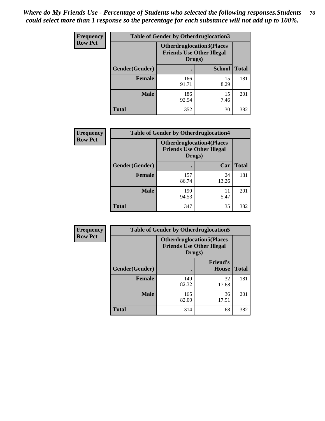| <b>Frequency</b> | <b>Table of Gender by Otherdruglocation3</b> |                                                                                |               |              |
|------------------|----------------------------------------------|--------------------------------------------------------------------------------|---------------|--------------|
| <b>Row Pct</b>   |                                              | <b>Otherdruglocation3(Places</b><br><b>Friends Use Other Illegal</b><br>Drugs) |               |              |
|                  | <b>Gender</b> (Gender)                       |                                                                                | <b>School</b> | <b>Total</b> |
|                  | <b>Female</b>                                | 166<br>91.71                                                                   | 15<br>8.29    | 181          |
|                  | <b>Male</b>                                  | 186<br>92.54                                                                   | 15<br>7.46    | 201          |
|                  | <b>Total</b>                                 | 352                                                                            | 30            | 382          |

| <b>Frequency</b> | <b>Table of Gender by Otherdruglocation4</b> |                                                                                |             |              |
|------------------|----------------------------------------------|--------------------------------------------------------------------------------|-------------|--------------|
| <b>Row Pct</b>   |                                              | <b>Otherdruglocation4(Places</b><br><b>Friends Use Other Illegal</b><br>Drugs) |             |              |
|                  | Gender(Gender)                               |                                                                                | Car         | <b>Total</b> |
|                  | Female                                       | 157<br>86.74                                                                   | 24<br>13.26 | 181          |
|                  | <b>Male</b>                                  | 190<br>94.53                                                                   | 11<br>5.47  | 201          |
|                  | <b>Total</b>                                 | 347                                                                            | 35          | 382          |

| Frequency      | <b>Table of Gender by Otherdruglocation5</b> |                                                                                |                                 |              |
|----------------|----------------------------------------------|--------------------------------------------------------------------------------|---------------------------------|--------------|
| <b>Row Pct</b> |                                              | <b>Otherdruglocation5(Places</b><br><b>Friends Use Other Illegal</b><br>Drugs) |                                 |              |
|                | Gender(Gender)                               |                                                                                | <b>Friend's</b><br><b>House</b> | <b>Total</b> |
|                | <b>Female</b>                                | 149<br>82.32                                                                   | 32<br>17.68                     | 181          |
|                | <b>Male</b>                                  | 165<br>82.09                                                                   | 36<br>17.91                     | 201          |
|                | <b>Total</b>                                 | 314                                                                            | 68                              | 382          |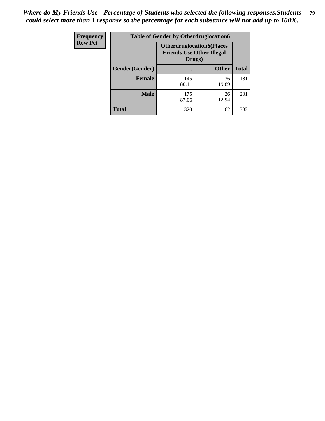| Frequency      | <b>Table of Gender by Otherdruglocation6</b> |                                            |                                  |              |
|----------------|----------------------------------------------|--------------------------------------------|----------------------------------|--------------|
| <b>Row Pct</b> |                                              | <b>Friends Use Other Illegal</b><br>Drugs) | <b>Otherdruglocation6(Places</b> |              |
|                | Gender(Gender)                               |                                            | <b>Other</b>                     | <b>Total</b> |
|                | <b>Female</b>                                | 145<br>80.11                               | 36<br>19.89                      | 181          |
|                | <b>Male</b>                                  | 175<br>87.06                               | 26<br>12.94                      | 201          |
|                | <b>Total</b>                                 | 320                                        | 62                               | 382          |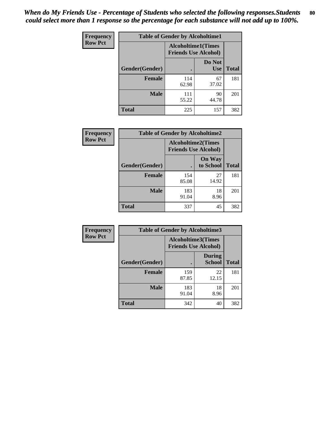| <b>Frequency</b> | <b>Table of Gender by Alcoholtime1</b> |                                                          |                      |              |
|------------------|----------------------------------------|----------------------------------------------------------|----------------------|--------------|
| <b>Row Pct</b>   |                                        | <b>Alcoholtime1(Times</b><br><b>Friends Use Alcohol)</b> |                      |              |
|                  | Gender(Gender)                         | $\bullet$                                                | Do Not<br><b>Use</b> | <b>Total</b> |
|                  | <b>Female</b>                          | 114<br>62.98                                             | 67<br>37.02          | 181          |
|                  | <b>Male</b>                            | 111<br>55.22                                             | 90<br>44.78          | 201          |
|                  | <b>Total</b>                           | 225                                                      | 157                  | 382          |

| <b>Frequency</b> | <b>Table of Gender by Alcoholtime2</b> |                                                          |                            |              |
|------------------|----------------------------------------|----------------------------------------------------------|----------------------------|--------------|
| <b>Row Pct</b>   |                                        | <b>Alcoholtime2(Times</b><br><b>Friends Use Alcohol)</b> |                            |              |
|                  | Gender(Gender)                         |                                                          | <b>On Way</b><br>to School | <b>Total</b> |
|                  | <b>Female</b>                          | 154<br>85.08                                             | 27<br>14.92                | 181          |
|                  | <b>Male</b>                            | 183<br>91.04                                             | 18<br>8.96                 | 201          |
|                  | <b>Total</b>                           | 337                                                      | 45                         | 382          |

| Frequency      | <b>Table of Gender by Alcoholtime3</b> |                                                   |                                |              |
|----------------|----------------------------------------|---------------------------------------------------|--------------------------------|--------------|
| <b>Row Pct</b> |                                        | Alcoholtime3(Times<br><b>Friends Use Alcohol)</b> |                                |              |
|                | Gender(Gender)                         |                                                   | <b>During</b><br><b>School</b> | <b>Total</b> |
|                | Female                                 | 159<br>87.85                                      | 22<br>12.15                    | 181          |
|                | <b>Male</b>                            | 183<br>91.04                                      | 18<br>8.96                     | 201          |
|                | <b>Total</b>                           | 342                                               | 40                             | 382          |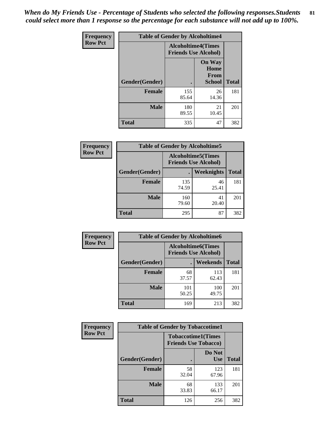*When do My Friends Use - Percentage of Students who selected the following responses.Students could select more than 1 response so the percentage for each substance will not add up to 100%.* **81**

| <b>Frequency</b> | <b>Table of Gender by Alcoholtime4</b> |                                                          |                                                       |              |
|------------------|----------------------------------------|----------------------------------------------------------|-------------------------------------------------------|--------------|
| <b>Row Pct</b>   |                                        | <b>Alcoholtime4(Times</b><br><b>Friends Use Alcohol)</b> |                                                       |              |
|                  | Gender(Gender)                         |                                                          | <b>On Way</b><br>Home<br><b>From</b><br><b>School</b> | <b>Total</b> |
|                  | <b>Female</b>                          | 155<br>85.64                                             | 26<br>14.36                                           | 181          |
|                  | <b>Male</b>                            | 180<br>89.55                                             | 21<br>10.45                                           | 201          |
|                  | <b>Total</b>                           | 335                                                      | 47                                                    | 382          |

| <b>Frequency</b> | <b>Table of Gender by Alcoholtime5</b> |                                                           |             |              |
|------------------|----------------------------------------|-----------------------------------------------------------|-------------|--------------|
| <b>Row Pct</b>   |                                        | <b>Alcoholtime5</b> (Times<br><b>Friends Use Alcohol)</b> |             |              |
|                  | Gender(Gender)                         |                                                           | Weeknights  | <b>Total</b> |
|                  | <b>Female</b>                          | 135<br>74.59                                              | 46<br>25.41 | 181          |
|                  | <b>Male</b>                            | 160<br>79.60                                              | 41<br>20.40 | 201          |
|                  | <b>Total</b>                           | 295                                                       | 87          | 382          |

| <b>Frequency</b> | <b>Table of Gender by Alcoholtime6</b> |                                                          |                 |              |
|------------------|----------------------------------------|----------------------------------------------------------|-----------------|--------------|
| <b>Row Pct</b>   |                                        | <b>Alcoholtime6(Times</b><br><b>Friends Use Alcohol)</b> |                 |              |
|                  | Gender(Gender)                         |                                                          | <b>Weekends</b> | <b>Total</b> |
|                  | <b>Female</b>                          | 68<br>37.57                                              | 113<br>62.43    | 181          |
|                  | <b>Male</b>                            | 101<br>50.25                                             | 100<br>49.75    | 201          |
|                  | <b>Total</b>                           | 169                                                      | 213             | 382          |

| Frequency      | <b>Table of Gender by Tobaccotime1</b> |                                                          |                      |              |
|----------------|----------------------------------------|----------------------------------------------------------|----------------------|--------------|
| <b>Row Pct</b> |                                        | <b>Tobaccotime1(Times</b><br><b>Friends Use Tobacco)</b> |                      |              |
|                | Gender(Gender)                         |                                                          | Do Not<br><b>Use</b> | <b>Total</b> |
|                | <b>Female</b>                          | 58<br>32.04                                              | 123<br>67.96         | 181          |
|                | <b>Male</b>                            | 68<br>33.83                                              | 133<br>66.17         | 201          |
|                | <b>Total</b>                           | 126                                                      | 256                  | 382          |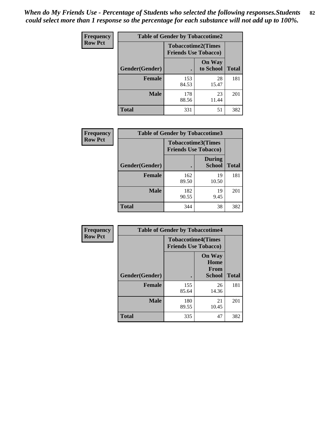*When do My Friends Use - Percentage of Students who selected the following responses.Students could select more than 1 response so the percentage for each substance will not add up to 100%.* **82**

| <b>Frequency</b> | <b>Table of Gender by Tobaccotime2</b> |                                                          |                            |              |
|------------------|----------------------------------------|----------------------------------------------------------|----------------------------|--------------|
| <b>Row Pct</b>   |                                        | <b>Tobaccotime2(Times</b><br><b>Friends Use Tobacco)</b> |                            |              |
|                  | Gender(Gender)                         | $\bullet$                                                | <b>On Way</b><br>to School | <b>Total</b> |
|                  | <b>Female</b>                          | 153<br>84.53                                             | 28<br>15.47                | 181          |
|                  | <b>Male</b>                            | 178<br>88.56                                             | 23<br>11.44                | 201          |
|                  | <b>Total</b>                           | 331                                                      | 51                         | 382          |

| Frequency      | <b>Table of Gender by Tobaccotime3</b> |                                                          |                                |              |
|----------------|----------------------------------------|----------------------------------------------------------|--------------------------------|--------------|
| <b>Row Pct</b> |                                        | <b>Tobaccotime3(Times</b><br><b>Friends Use Tobacco)</b> |                                |              |
|                | Gender(Gender)                         |                                                          | <b>During</b><br><b>School</b> | <b>Total</b> |
|                | Female                                 | 162<br>89.50                                             | 19<br>10.50                    | 181          |
|                | <b>Male</b>                            | 182<br>90.55                                             | 19<br>9.45                     | 201          |
|                | <b>Total</b>                           | 344                                                      | 38                             | 382          |

| Frequency      | <b>Table of Gender by Tobaccotime4</b> |                                                          |                                                |              |
|----------------|----------------------------------------|----------------------------------------------------------|------------------------------------------------|--------------|
| <b>Row Pct</b> |                                        | <b>Tobaccotime4(Times</b><br><b>Friends Use Tobacco)</b> |                                                |              |
|                | Gender(Gender)                         |                                                          | <b>On Way</b><br>Home<br><b>From</b><br>School | <b>Total</b> |
|                | <b>Female</b>                          | 155<br>85.64                                             | 26<br>14.36                                    | 181          |
|                | <b>Male</b>                            | 180<br>89.55                                             | 21<br>10.45                                    | 201          |
|                | <b>Total</b>                           | 335                                                      | 47                                             | 382          |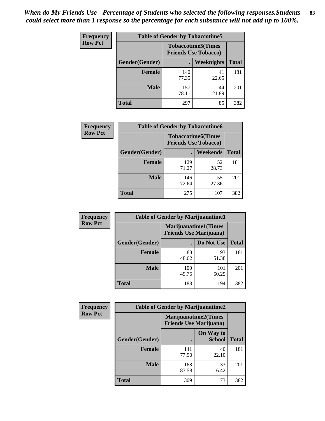| <b>Frequency</b> | <b>Table of Gender by Tobaccotime5</b> |              |                                                           |              |  |
|------------------|----------------------------------------|--------------|-----------------------------------------------------------|--------------|--|
| <b>Row Pct</b>   |                                        |              | <b>Tobaccotime5</b> (Times<br><b>Friends Use Tobacco)</b> |              |  |
|                  | Gender(Gender)                         |              | Weeknights                                                | <b>Total</b> |  |
|                  | <b>Female</b>                          | 140<br>77.35 | 41<br>22.65                                               | 181          |  |
|                  | <b>Male</b>                            | 157<br>78.11 | 44<br>21.89                                               | 201          |  |
|                  | <b>Total</b>                           | 297          | 85                                                        | 382          |  |

| <b>Frequency</b> | <b>Table of Gender by Tobaccotime6</b> |                                                          |             |              |
|------------------|----------------------------------------|----------------------------------------------------------|-------------|--------------|
| <b>Row Pct</b>   |                                        | <b>Tobaccotime6(Times</b><br><b>Friends Use Tobacco)</b> |             |              |
|                  | <b>Gender</b> (Gender)                 |                                                          | Weekends    | <b>Total</b> |
|                  | Female                                 | 129<br>71.27                                             | 52<br>28.73 | 181          |
|                  | <b>Male</b>                            | 146<br>72.64                                             | 55<br>27.36 | 201          |
|                  | <b>Total</b>                           | 275                                                      | 107         | 382          |

| Frequency      | <b>Table of Gender by Marijuanatime1</b> |                                                               |              |              |
|----------------|------------------------------------------|---------------------------------------------------------------|--------------|--------------|
| <b>Row Pct</b> |                                          | <b>Marijuanatime1(Times</b><br><b>Friends Use Marijuana</b> ) |              |              |
|                | Gender(Gender)                           |                                                               | Do Not Use   | <b>Total</b> |
|                | <b>Female</b>                            | 88<br>48.62                                                   | 93<br>51.38  | 181          |
|                | <b>Male</b>                              | 100<br>49.75                                                  | 101<br>50.25 | 201          |
|                | <b>Total</b>                             | 188                                                           | 194          | 382          |

| Frequency      | <b>Table of Gender by Marijuanatime2</b> |                                                        |                            |              |  |
|----------------|------------------------------------------|--------------------------------------------------------|----------------------------|--------------|--|
| <b>Row Pct</b> |                                          | Marijuanatime2(Times<br><b>Friends Use Marijuana</b> ) |                            |              |  |
|                | Gender(Gender)                           |                                                        | On Way to<br><b>School</b> | <b>Total</b> |  |
|                | <b>Female</b>                            | 141<br>77.90                                           | 40<br>22.10                | 181          |  |
|                | <b>Male</b>                              | 168<br>83.58                                           | 33<br>16.42                | 201          |  |
|                | <b>Total</b>                             | 309                                                    | 73                         | 382          |  |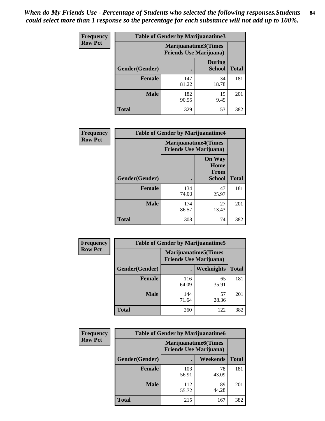*When do My Friends Use - Percentage of Students who selected the following responses.Students could select more than 1 response so the percentage for each substance will not add up to 100%.* **84**

| <b>Frequency</b> | Table of Gender by Marijuanatime3 |                                                        |                                |              |
|------------------|-----------------------------------|--------------------------------------------------------|--------------------------------|--------------|
| <b>Row Pct</b>   |                                   | Marijuanatime3(Times<br><b>Friends Use Marijuana</b> ) |                                |              |
|                  | Gender(Gender)                    |                                                        | <b>During</b><br><b>School</b> | <b>Total</b> |
|                  | <b>Female</b>                     | 147<br>81.22                                           | 34<br>18.78                    | 181          |
|                  | <b>Male</b>                       | 182<br>90.55                                           | 19<br>9.45                     | 201          |
|                  | <b>Total</b>                      | 329                                                    | 53                             | 382          |

| Frequency      | <b>Table of Gender by Marijuanatime4</b> |                                |                                                       |              |
|----------------|------------------------------------------|--------------------------------|-------------------------------------------------------|--------------|
| <b>Row Pct</b> |                                          | <b>Friends Use Marijuana</b> ) | <b>Marijuanatime4(Times</b>                           |              |
|                | Gender(Gender)                           |                                | <b>On Way</b><br>Home<br><b>From</b><br><b>School</b> | <b>Total</b> |
|                | <b>Female</b>                            | 134<br>74.03                   | 47<br>25.97                                           | 181          |
|                | <b>Male</b>                              | 174<br>86.57                   | 27<br>13.43                                           | 201          |
|                | <b>Total</b>                             | 308                            | 74                                                    | 382          |

| Frequency      |                | <b>Table of Gender by Marijuanatime5</b>                       |             |              |
|----------------|----------------|----------------------------------------------------------------|-------------|--------------|
| <b>Row Pct</b> |                | <b>Marijuanatime5</b> (Times<br><b>Friends Use Marijuana</b> ) |             |              |
|                | Gender(Gender) | ٠                                                              | Weeknights  | <b>Total</b> |
|                | <b>Female</b>  | 116<br>64.09                                                   | 65<br>35.91 | 181          |
|                | <b>Male</b>    | 144<br>71.64                                                   | 57<br>28.36 | 201          |
|                | <b>Total</b>   | 260                                                            | 122         | 382          |

| Frequency      |                | <b>Table of Gender by Marijuanatime6</b>                      |                 |              |  |
|----------------|----------------|---------------------------------------------------------------|-----------------|--------------|--|
| <b>Row Pct</b> |                | <b>Marijuanatime6(Times</b><br><b>Friends Use Marijuana</b> ) |                 |              |  |
|                | Gender(Gender) |                                                               | <b>Weekends</b> | <b>Total</b> |  |
|                | <b>Female</b>  | 103<br>56.91                                                  | 78<br>43.09     | 181          |  |
|                | <b>Male</b>    | 112<br>55.72                                                  | 89<br>44.28     | 201          |  |
|                | <b>Total</b>   | 215                                                           | 167             | 382          |  |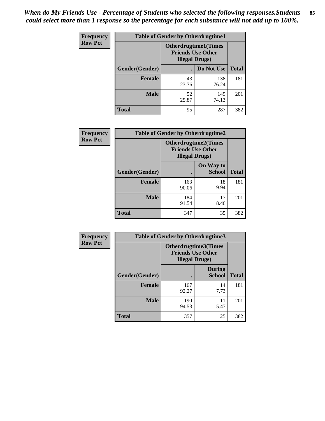*When do My Friends Use - Percentage of Students who selected the following responses.Students could select more than 1 response so the percentage for each substance will not add up to 100%.* **85**

| <b>Frequency</b> | <b>Table of Gender by Otherdrugtime1</b> |                                                                                   |                    |     |  |
|------------------|------------------------------------------|-----------------------------------------------------------------------------------|--------------------|-----|--|
| <b>Row Pct</b>   |                                          | <b>Otherdrugtime1(Times</b><br><b>Friends Use Other</b><br><b>Illegal Drugs</b> ) |                    |     |  |
|                  | Gender(Gender)                           |                                                                                   | Do Not Use   Total |     |  |
|                  | <b>Female</b>                            | 43<br>23.76                                                                       | 138<br>76.24       | 181 |  |
|                  | <b>Male</b>                              | 52<br>25.87                                                                       | 149<br>74.13       | 201 |  |
|                  | <b>Total</b>                             | 95                                                                                | 287                | 382 |  |

| Frequency      | <b>Table of Gender by Otherdrugtime2</b> |                                                                                   |                            |              |
|----------------|------------------------------------------|-----------------------------------------------------------------------------------|----------------------------|--------------|
| <b>Row Pct</b> |                                          | <b>Otherdrugtime2(Times</b><br><b>Friends Use Other</b><br><b>Illegal Drugs</b> ) |                            |              |
|                | Gender(Gender)                           |                                                                                   | On Way to<br><b>School</b> | <b>Total</b> |
|                | <b>Female</b>                            | 163<br>90.06                                                                      | 18<br>9.94                 | 181          |
|                | <b>Male</b>                              | 184<br>91.54                                                                      | 17<br>8.46                 | 201          |
|                | <b>Total</b>                             | 347                                                                               | 35                         | 382          |

| Frequency      | <b>Table of Gender by Otherdrugtime3</b> |                        |                                                         |              |
|----------------|------------------------------------------|------------------------|---------------------------------------------------------|--------------|
| <b>Row Pct</b> |                                          | <b>Illegal Drugs</b> ) | <b>Otherdrugtime3(Times</b><br><b>Friends Use Other</b> |              |
|                | Gender(Gender)                           |                        | <b>During</b><br><b>School</b>                          | <b>Total</b> |
|                | <b>Female</b>                            | 167<br>92.27           | 14<br>7.73                                              | 181          |
|                | <b>Male</b>                              | 190<br>94.53           | 11<br>5.47                                              | 201          |
|                | <b>Total</b>                             | 357                    | 25                                                      | 382          |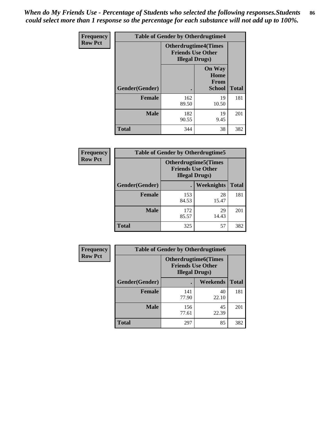*When do My Friends Use - Percentage of Students who selected the following responses.Students could select more than 1 response so the percentage for each substance will not add up to 100%.* **86**

| <b>Frequency</b> | <b>Table of Gender by Otherdrugtime4</b> |                                                       |                                                       |              |  |
|------------------|------------------------------------------|-------------------------------------------------------|-------------------------------------------------------|--------------|--|
| <b>Row Pct</b>   |                                          | <b>Otherdrugtime4(Times</b><br><b>Illegal Drugs</b> ) | <b>Friends Use Other</b>                              |              |  |
|                  | Gender(Gender)                           | ٠                                                     | <b>On Way</b><br>Home<br><b>From</b><br><b>School</b> | <b>Total</b> |  |
|                  | <b>Female</b>                            | 162<br>89.50                                          | 19<br>10.50                                           | 181          |  |
|                  | <b>Male</b>                              | 182<br>90.55                                          | 19<br>9.45                                            | 201          |  |
|                  | <b>Total</b>                             | 344                                                   | 38                                                    | 382          |  |

| Frequency      | <b>Table of Gender by Otherdrugtime5</b> |                                                                                    |             |              |
|----------------|------------------------------------------|------------------------------------------------------------------------------------|-------------|--------------|
| <b>Row Pct</b> |                                          | <b>Otherdrugtime5</b> (Times<br><b>Friends Use Other</b><br><b>Illegal Drugs</b> ) |             |              |
|                | Gender(Gender)                           |                                                                                    | Weeknights  | <b>Total</b> |
|                | <b>Female</b>                            | 153<br>84.53                                                                       | 28<br>15.47 | 181          |
|                | <b>Male</b>                              | 172<br>85.57                                                                       | 29<br>14.43 | 201          |
|                | <b>Total</b>                             | 325                                                                                | 57          | 382          |

| <b>Frequency</b> | <b>Table of Gender by Otherdrugtime6</b> |                                                                                   |             |              |  |
|------------------|------------------------------------------|-----------------------------------------------------------------------------------|-------------|--------------|--|
| <b>Row Pct</b>   |                                          | <b>Otherdrugtime6(Times</b><br><b>Friends Use Other</b><br><b>Illegal Drugs</b> ) |             |              |  |
|                  | Gender(Gender)                           |                                                                                   | Weekends    | <b>Total</b> |  |
|                  | <b>Female</b>                            | 141<br>77.90                                                                      | 40<br>22.10 | 181          |  |
|                  | <b>Male</b>                              | 156<br>77.61                                                                      | 45<br>22.39 | 201          |  |
|                  | <b>Total</b>                             | 297                                                                               | 85          | 382          |  |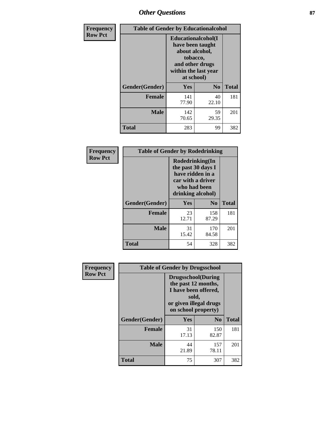## *Other Questions* **87**

| <b>Frequency</b> | <b>Table of Gender by Educationalcohol</b> |                                                                                                                                       |                |              |
|------------------|--------------------------------------------|---------------------------------------------------------------------------------------------------------------------------------------|----------------|--------------|
| <b>Row Pct</b>   |                                            | <b>Educationalcohol</b> (I<br>have been taught<br>about alcohol,<br>tobacco,<br>and other drugs<br>within the last year<br>at school) |                |              |
|                  | Gender(Gender)                             | <b>Yes</b>                                                                                                                            | N <sub>0</sub> | <b>Total</b> |
|                  | <b>Female</b>                              | 141<br>77.90                                                                                                                          | 40<br>22.10    | 181          |
|                  | <b>Male</b>                                | 142<br>70.65                                                                                                                          | 59<br>29.35    | 201          |
|                  | <b>Total</b>                               | 283                                                                                                                                   | 99             | 382          |

| Frequency      | <b>Table of Gender by Rodedrinking</b> |                                                                                                                     |                |              |  |
|----------------|----------------------------------------|---------------------------------------------------------------------------------------------------------------------|----------------|--------------|--|
| <b>Row Pct</b> |                                        | Rodedrinking(In<br>the past 30 days I<br>have ridden in a<br>car with a driver<br>who had been<br>drinking alcohol) |                |              |  |
|                | Gender(Gender)                         | Yes                                                                                                                 | N <sub>0</sub> | <b>Total</b> |  |
|                | <b>Female</b>                          | 23<br>12.71                                                                                                         | 158<br>87.29   | 181          |  |
|                | <b>Male</b>                            | 31<br>15.42                                                                                                         | 170<br>84.58   | 201          |  |
|                | <b>Total</b>                           | 54                                                                                                                  | 328            | 382          |  |

| Frequency      | <b>Table of Gender by Drugsschool</b> |                                                                                                                                     |                |              |  |
|----------------|---------------------------------------|-------------------------------------------------------------------------------------------------------------------------------------|----------------|--------------|--|
| <b>Row Pct</b> |                                       | <b>Drugsschool</b> (During<br>the past 12 months,<br>I have been offered,<br>sold,<br>or given illegal drugs<br>on school property) |                |              |  |
|                | Gender(Gender)                        | <b>Yes</b>                                                                                                                          | N <sub>0</sub> | <b>Total</b> |  |
|                | <b>Female</b>                         | 31<br>17.13                                                                                                                         | 150<br>82.87   | 181          |  |
|                | <b>Male</b>                           | 44<br>21.89                                                                                                                         | 157<br>78.11   | 201          |  |
|                | <b>Total</b>                          | 75                                                                                                                                  | 307            | 382          |  |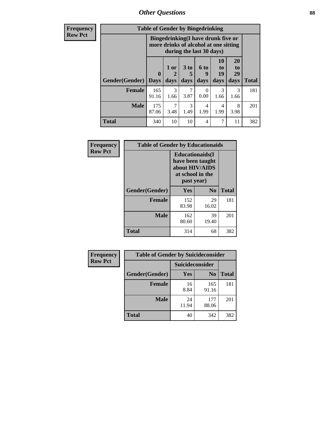*Other Questions* **88**

**Frequency Row Pct**

| <b>Table of Gender by Bingedrinking</b> |                  |                                                                                                         |                              |                           |                        |                        |              |
|-----------------------------------------|------------------|---------------------------------------------------------------------------------------------------------|------------------------------|---------------------------|------------------------|------------------------|--------------|
|                                         |                  | Bingedrinking(I have drunk five or<br>more drinks of alcohol at one sitting<br>during the last 30 days) |                              |                           |                        |                        |              |
| <b>Gender</b> (Gender)                  | 0<br><b>Days</b> | 1 or<br>2<br>days                                                                                       | 3 <sub>to</sub><br>5<br>days | <b>6 to</b><br>9<br>days  | 10<br>to<br>19<br>days | 20<br>to<br>29<br>days | <b>Total</b> |
| <b>Female</b>                           | 165<br>91.16     | 3<br>1.66                                                                                               | 7<br>3.87                    | $\mathbf{\Omega}$<br>0.00 | 3<br>1.66              | 3<br>1.66              | 181          |
| <b>Male</b>                             | 175<br>87.06     | 7<br>3.48                                                                                               | 3<br>1.49                    | 4<br>1.99                 | 4<br>1.99              | 8<br>3.98              | 201          |
| <b>Total</b>                            | 340              | 10                                                                                                      | 10                           | 4                         | 7                      | 11                     | 382          |

| Frequency      | <b>Table of Gender by Educationaids</b> |                                                                                                 |             |              |  |
|----------------|-----------------------------------------|-------------------------------------------------------------------------------------------------|-------------|--------------|--|
| <b>Row Pct</b> |                                         | <b>Educationaids</b> (I<br>have been taught<br>about HIV/AIDS<br>at school in the<br>past year) |             |              |  |
|                | Gender(Gender)                          | Yes                                                                                             | $\bf N_0$   | <b>Total</b> |  |
|                | <b>Female</b>                           | 152<br>83.98                                                                                    | 29<br>16.02 | 181          |  |
|                | <b>Male</b>                             | 162<br>80.60                                                                                    | 39<br>19.40 | 201          |  |
|                | <b>Total</b>                            | 314                                                                                             | 68          | 382          |  |

| <b>Frequency</b> | <b>Table of Gender by Suicideconsider</b> |                 |                |       |  |
|------------------|-------------------------------------------|-----------------|----------------|-------|--|
| <b>Row Pct</b>   |                                           | Suicideconsider |                |       |  |
|                  | Gender(Gender)                            | Yes             | N <sub>0</sub> | Total |  |
|                  | <b>Female</b>                             | 16<br>8.84      | 165<br>91.16   | 181   |  |
|                  | <b>Male</b>                               | 24<br>11.94     | 177<br>88.06   | 201   |  |
|                  | <b>Total</b>                              | 40              | 342            | 382   |  |